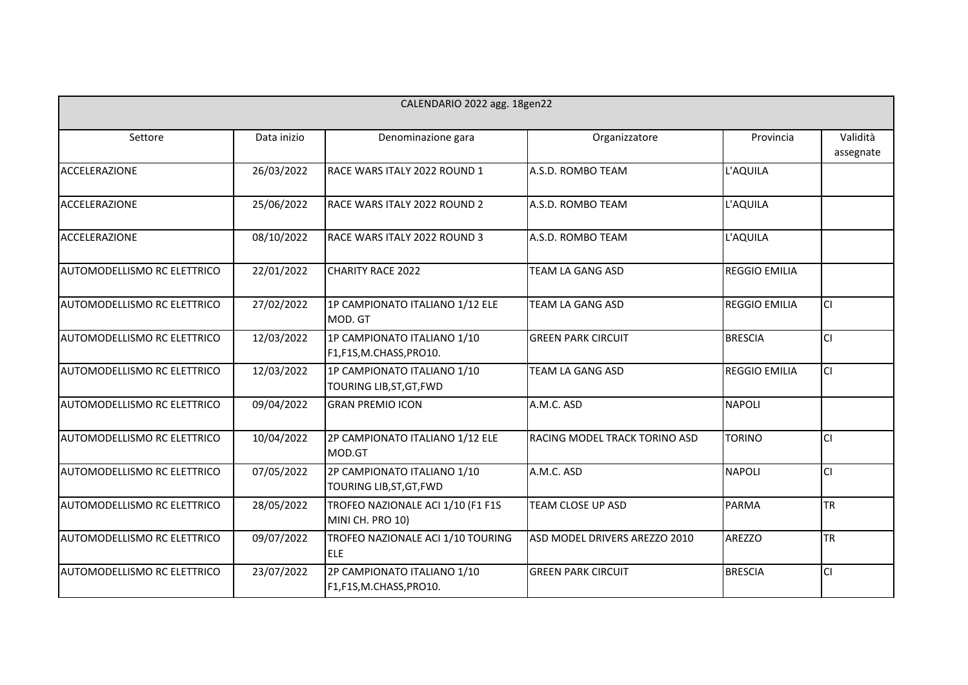| CALENDARIO 2022 agg. 18gen22       |             |                                                         |                               |                      |                       |
|------------------------------------|-------------|---------------------------------------------------------|-------------------------------|----------------------|-----------------------|
| Settore                            | Data inizio | Denominazione gara                                      | Organizzatore                 | Provincia            | Validità<br>assegnate |
| <b>ACCELERAZIONE</b>               | 26/03/2022  | RACE WARS ITALY 2022 ROUND 1                            | A.S.D. ROMBO TEAM             | L'AQUILA             |                       |
| <b>ACCELERAZIONE</b>               | 25/06/2022  | RACE WARS ITALY 2022 ROUND 2                            | A.S.D. ROMBO TEAM             | L'AQUILA             |                       |
| <b>ACCELERAZIONE</b>               | 08/10/2022  | RACE WARS ITALY 2022 ROUND 3                            | A.S.D. ROMBO TEAM             | L'AQUILA             |                       |
| AUTOMODELLISMO RC ELETTRICO        | 22/01/2022  | <b>CHARITY RACE 2022</b>                                | <b>TEAM LA GANG ASD</b>       | <b>REGGIO EMILIA</b> |                       |
| <b>AUTOMODELLISMO RC ELETTRICO</b> | 27/02/2022  | 1P CAMPIONATO ITALIANO 1/12 ELE<br>MOD. GT              | TEAM LA GANG ASD              | <b>REGGIO EMILIA</b> | lcı                   |
| AUTOMODELLISMO RC ELETTRICO        | 12/03/2022  | 1P CAMPIONATO ITALIANO 1/10<br>F1,F1S,M.CHASS,PRO10.    | <b>GREEN PARK CIRCUIT</b>     | <b>BRESCIA</b>       | lcı                   |
| AUTOMODELLISMO RC ELETTRICO        | 12/03/2022  | 1P CAMPIONATO ITALIANO 1/10<br>TOURING LIB, ST, GT, FWD | TEAM LA GANG ASD              | <b>REGGIO EMILIA</b> | lcı                   |
| AUTOMODELLISMO RC ELETTRICO        | 09/04/2022  | <b>GRAN PREMIO ICON</b>                                 | A.M.C. ASD                    | <b>NAPOLI</b>        |                       |
| AUTOMODELLISMO RC ELETTRICO        | 10/04/2022  | 2P CAMPIONATO ITALIANO 1/12 ELE<br>MOD.GT               | RACING MODEL TRACK TORINO ASD | <b>TORINO</b>        | lcı                   |
| AUTOMODELLISMO RC ELETTRICO        | 07/05/2022  | 2P CAMPIONATO ITALIANO 1/10<br>TOURING LIB, ST, GT, FWD | A.M.C. ASD                    | <b>NAPOLI</b>        | lcı                   |
| <b>AUTOMODELLISMO RC ELETTRICO</b> | 28/05/2022  | TROFEO NAZIONALE ACI 1/10 (F1 F1S<br>MINI CH. PRO 10)   | TEAM CLOSE UP ASD             | PARMA                | <b>TR</b>             |
| AUTOMODELLISMO RC ELETTRICO        | 09/07/2022  | TROFEO NAZIONALE ACI 1/10 TOURING<br><b>ELE</b>         | ASD MODEL DRIVERS AREZZO 2010 | <b>AREZZO</b>        | <b>TR</b>             |
| AUTOMODELLISMO RC ELETTRICO        | 23/07/2022  | 2P CAMPIONATO ITALIANO 1/10<br>F1,F1S,M.CHASS,PRO10.    | <b>GREEN PARK CIRCUIT</b>     | <b>BRESCIA</b>       | lcı                   |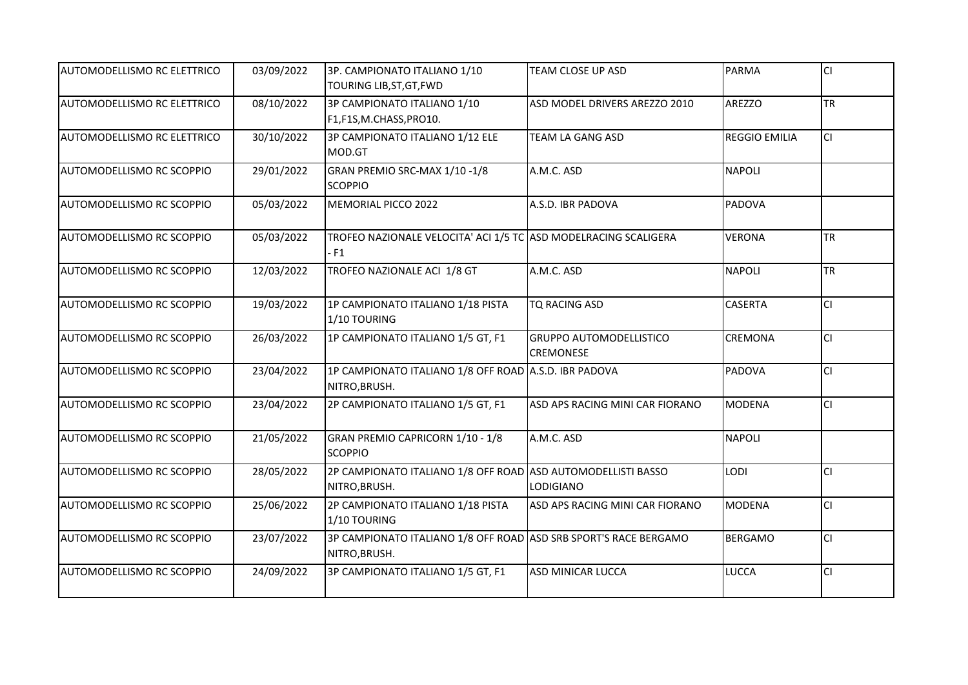| AUTOMODELLISMO RC ELETTRICO | 03/09/2022 | 3P. CAMPIONATO ITALIANO 1/10<br>TOURING LIB, ST, GT, FWD                          | TEAM CLOSE UP ASD                                  | PARMA                | lcı       |
|-----------------------------|------------|-----------------------------------------------------------------------------------|----------------------------------------------------|----------------------|-----------|
| AUTOMODELLISMO RC ELETTRICO | 08/10/2022 | 3P CAMPIONATO ITALIANO 1/10<br>F1,F1S,M.CHASS,PRO10.                              | ASD MODEL DRIVERS AREZZO 2010                      | AREZZO               | <b>TR</b> |
| AUTOMODELLISMO RC ELETTRICO | 30/10/2022 | 3P CAMPIONATO ITALIANO 1/12 ELE<br>MOD.GT                                         | <b>TEAM LA GANG ASD</b>                            | <b>REGGIO EMILIA</b> | lcı       |
| AUTOMODELLISMO RC SCOPPIO   | 29/01/2022 | GRAN PREMIO SRC-MAX 1/10-1/8<br><b>SCOPPIO</b>                                    | A.M.C. ASD                                         | <b>NAPOLI</b>        |           |
| AUTOMODELLISMO RC SCOPPIO   | 05/03/2022 | MEMORIAL PICCO 2022                                                               | A.S.D. IBR PADOVA                                  | PADOVA               |           |
| AUTOMODELLISMO RC SCOPPIO   | 05/03/2022 | TROFEO NAZIONALE VELOCITA' ACI 1/5 TC ASD MODELRACING SCALIGERA<br>$-F1$          |                                                    | <b>VERONA</b>        | <b>TR</b> |
| AUTOMODELLISMO RC SCOPPIO   | 12/03/2022 | TROFEO NAZIONALE ACI 1/8 GT                                                       | A.M.C. ASD                                         | <b>NAPOLI</b>        | <b>TR</b> |
| AUTOMODELLISMO RC SCOPPIO   | 19/03/2022 | 1P CAMPIONATO ITALIANO 1/18 PISTA<br>1/10 TOURING                                 | <b>TQ RACING ASD</b>                               | <b>CASERTA</b>       | lcı       |
| AUTOMODELLISMO RC SCOPPIO   | 26/03/2022 | 1P CAMPIONATO ITALIANO 1/5 GT, F1                                                 | <b>GRUPPO AUTOMODELLISTICO</b><br><b>CREMONESE</b> | <b>CREMONA</b>       | lcı       |
| AUTOMODELLISMO RC SCOPPIO   | 23/04/2022 | 1P CAMPIONATO ITALIANO 1/8 OFF ROAD A.S.D. IBR PADOVA<br>NITRO, BRUSH.            |                                                    | PADOVA               | CI.       |
| AUTOMODELLISMO RC SCOPPIO   | 23/04/2022 | 2P CAMPIONATO ITALIANO 1/5 GT, F1                                                 | ASD APS RACING MINI CAR FIORANO                    | MODENA               | lcı       |
| AUTOMODELLISMO RC SCOPPIO   | 21/05/2022 | GRAN PREMIO CAPRICORN 1/10 - 1/8<br><b>SCOPPIO</b>                                | A.M.C. ASD                                         | <b>NAPOLI</b>        |           |
| AUTOMODELLISMO RC SCOPPIO   | 28/05/2022 | 2P CAMPIONATO ITALIANO 1/8 OFF ROAD ASD AUTOMODELLISTI BASSO<br>NITRO, BRUSH.     | <b>LODIGIANO</b>                                   | <b>LODI</b>          | CI.       |
| AUTOMODELLISMO RC SCOPPIO   | 25/06/2022 | 2P CAMPIONATO ITALIANO 1/18 PISTA<br>1/10 TOURING                                 | ASD APS RACING MINI CAR FIORANO                    | MODENA               | lcı       |
| AUTOMODELLISMO RC SCOPPIO   | 23/07/2022 | 3P CAMPIONATO ITALIANO 1/8 OFF ROAD ASD SRB SPORT'S RACE BERGAMO<br>NITRO, BRUSH. |                                                    | <b>BERGAMO</b>       | CI        |
| AUTOMODELLISMO RC SCOPPIO   | 24/09/2022 | 3P CAMPIONATO ITALIANO 1/5 GT, F1                                                 | <b>ASD MINICAR LUCCA</b>                           | <b>LUCCA</b>         | <b>CI</b> |
|                             |            |                                                                                   |                                                    |                      |           |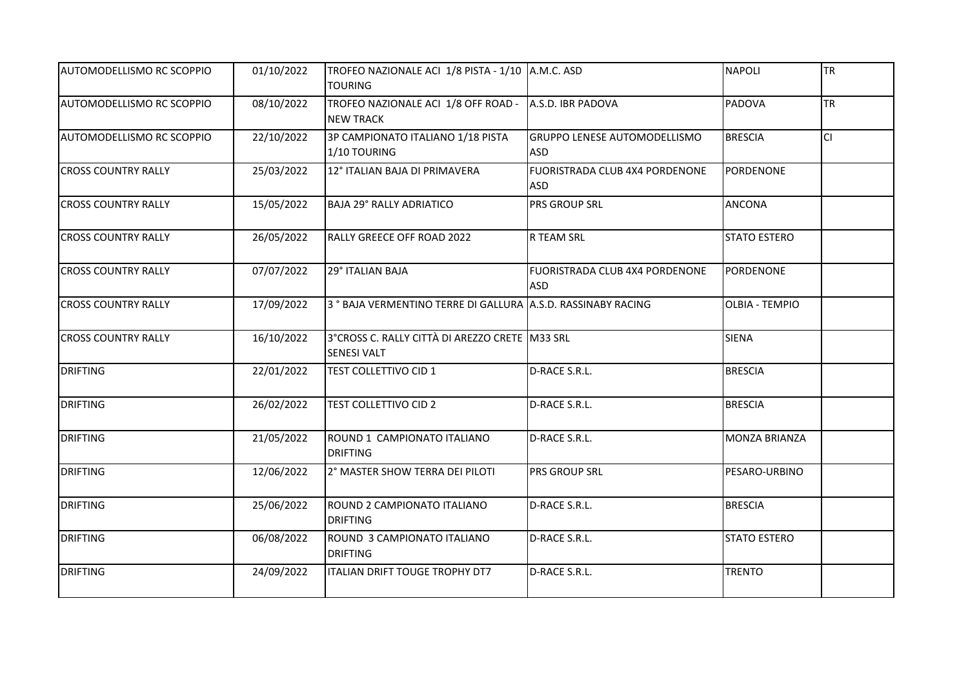| AUTOMODELLISMO RC SCOPPIO  | 01/10/2022 | TROFEO NAZIONALE ACI 1/8 PISTA - 1/10 A.M.C. ASD<br><b>TOURING</b>        |                                                   | <b>NAPOLI</b>         | <b>TR</b> |
|----------------------------|------------|---------------------------------------------------------------------------|---------------------------------------------------|-----------------------|-----------|
| AUTOMODELLISMO RC SCOPPIO  | 08/10/2022 | TROFEO NAZIONALE ACI 1/8 OFF ROAD - A.S.D. IBR PADOVA<br><b>NEW TRACK</b> |                                                   | <b>PADOVA</b>         | <b>TR</b> |
| AUTOMODELLISMO RC SCOPPIO  | 22/10/2022 | 3P CAMPIONATO ITALIANO 1/18 PISTA<br>1/10 TOURING                         | <b>GRUPPO LENESE AUTOMODELLISMO</b><br><b>ASD</b> | <b>BRESCIA</b>        | <b>CI</b> |
| <b>CROSS COUNTRY RALLY</b> | 25/03/2022 | 12° ITALIAN BAJA DI PRIMAVERA                                             | FUORISTRADA CLUB 4X4 PORDENONE<br><b>ASD</b>      | PORDENONE             |           |
| <b>CROSS COUNTRY RALLY</b> | 15/05/2022 | <b>BAJA 29° RALLY ADRIATICO</b>                                           | <b>PRS GROUP SRL</b>                              | <b>ANCONA</b>         |           |
| <b>CROSS COUNTRY RALLY</b> | 26/05/2022 | RALLY GREECE OFF ROAD 2022                                                | <b>R TEAM SRL</b>                                 | <b>STATO ESTERO</b>   |           |
| <b>CROSS COUNTRY RALLY</b> | 07/07/2022 | 29° ITALIAN BAJA                                                          | FUORISTRADA CLUB 4X4 PORDENONE<br><b>ASD</b>      | <b>PORDENONE</b>      |           |
| <b>CROSS COUNTRY RALLY</b> | 17/09/2022 | 3° BAJA VERMENTINO TERRE DI GALLURA A.S.D. RASSINABY RACING               |                                                   | <b>OLBIA - TEMPIO</b> |           |
| <b>CROSS COUNTRY RALLY</b> | 16/10/2022 | 3°CROSS C. RALLY CITTÀ DI AREZZO CRETE M33 SRL<br><b>SENESI VALT</b>      |                                                   | <b>SIENA</b>          |           |
| <b>DRIFTING</b>            | 22/01/2022 | <b>TEST COLLETTIVO CID 1</b>                                              | D-RACE S.R.L.                                     | <b>BRESCIA</b>        |           |
| <b>DRIFTING</b>            | 26/02/2022 | <b>TEST COLLETTIVO CID 2</b>                                              | D-RACE S.R.L.                                     | <b>BRESCIA</b>        |           |
| <b>DRIFTING</b>            | 21/05/2022 | ROUND 1 CAMPIONATO ITALIANO<br><b>DRIFTING</b>                            | D-RACE S.R.L.                                     | <b>MONZA BRIANZA</b>  |           |
| <b>DRIFTING</b>            | 12/06/2022 | 2° MASTER SHOW TERRA DEI PILOTI                                           | <b>PRS GROUP SRL</b>                              | PESARO-URBINO         |           |
| <b>DRIFTING</b>            | 25/06/2022 | ROUND 2 CAMPIONATO ITALIANO<br><b>DRIFTING</b>                            | D-RACE S.R.L.                                     | <b>BRESCIA</b>        |           |
| <b>DRIFTING</b>            | 06/08/2022 | ROUND 3 CAMPIONATO ITALIANO<br><b>DRIFTING</b>                            | D-RACE S.R.L.                                     | <b>STATO ESTERO</b>   |           |
| <b>DRIFTING</b>            | 24/09/2022 | ITALIAN DRIFT TOUGE TROPHY DT7                                            | D-RACE S.R.L.                                     | <b>TRENTO</b>         |           |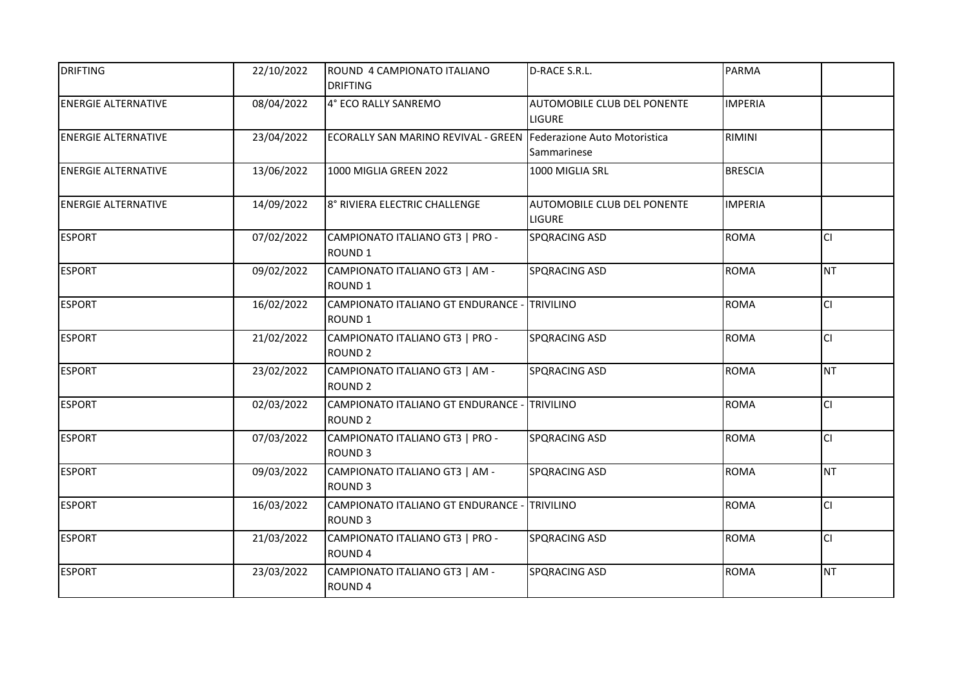| <b>DRIFTING</b>            | 22/10/2022 | ROUND 4 CAMPIONATO ITALIANO<br><b>DRIFTING</b>                     | D-RACE S.R.L.                                | <b>PARMA</b>   |           |
|----------------------------|------------|--------------------------------------------------------------------|----------------------------------------------|----------------|-----------|
| <b>ENERGIE ALTERNATIVE</b> | 08/04/2022 | 4° ECO RALLY SANREMO                                               | AUTOMOBILE CLUB DEL PONENTE<br><b>LIGURE</b> | <b>IMPERIA</b> |           |
| <b>ENERGIE ALTERNATIVE</b> | 23/04/2022 | ECORALLY SAN MARINO REVIVAL - GREEN Federazione Auto Motoristica   | Sammarinese                                  | RIMINI         |           |
| <b>ENERGIE ALTERNATIVE</b> | 13/06/2022 | 1000 MIGLIA GREEN 2022                                             | 1000 MIGLIA SRL                              | <b>BRESCIA</b> |           |
| <b>ENERGIE ALTERNATIVE</b> | 14/09/2022 | 8° RIVIERA ELECTRIC CHALLENGE                                      | AUTOMOBILE CLUB DEL PONENTE<br><b>LIGURE</b> | <b>IMPERIA</b> |           |
| <b>ESPORT</b>              | 07/02/2022 | CAMPIONATO ITALIANO GT3   PRO -<br>ROUND <sub>1</sub>              | SPQRACING ASD                                | <b>ROMA</b>    | lcı       |
| <b>ESPORT</b>              | 09/02/2022 | CAMPIONATO ITALIANO GT3   AM -<br>ROUND <sub>1</sub>               | SPQRACING ASD                                | <b>ROMA</b>    | INT.      |
| <b>ESPORT</b>              | 16/02/2022 | CAMPIONATO ITALIANO GT ENDURANCE - TRIVILINO<br>ROUND <sub>1</sub> |                                              | <b>ROMA</b>    | <b>CI</b> |
| <b>ESPORT</b>              | 21/02/2022 | CAMPIONATO ITALIANO GT3   PRO -<br><b>ROUND 2</b>                  | <b>SPQRACING ASD</b>                         | <b>ROMA</b>    | lcı       |
| <b>ESPORT</b>              | 23/02/2022 | CAMPIONATO ITALIANO GT3   AM -<br><b>ROUND 2</b>                   | SPQRACING ASD                                | <b>ROMA</b>    | INT.      |
| <b>ESPORT</b>              | 02/03/2022 | CAMPIONATO ITALIANO GT ENDURANCE - TRIVILINO<br><b>ROUND 2</b>     |                                              | <b>ROMA</b>    | <b>CI</b> |
| <b>ESPORT</b>              | 07/03/2022 | CAMPIONATO ITALIANO GT3   PRO -<br><b>ROUND 3</b>                  | SPQRACING ASD                                | <b>ROMA</b>    | lcı       |
| <b>ESPORT</b>              | 09/03/2022 | CAMPIONATO ITALIANO GT3   AM -<br>ROUND <sub>3</sub>               | SPQRACING ASD                                | <b>ROMA</b>    | INT.      |
| <b>ESPORT</b>              | 16/03/2022 | CAMPIONATO ITALIANO GT ENDURANCE - TRIVILINO<br>ROUND <sub>3</sub> |                                              | <b>ROMA</b>    | <b>CI</b> |
| <b>ESPORT</b>              | 21/03/2022 | CAMPIONATO ITALIANO GT3   PRO -<br>ROUND <sub>4</sub>              | <b>SPQRACING ASD</b>                         | <b>ROMA</b>    | <b>CI</b> |
| <b>ESPORT</b>              | 23/03/2022 | CAMPIONATO ITALIANO GT3   AM -<br>ROUND 4                          | SPQRACING ASD                                | <b>ROMA</b>    | <b>NT</b> |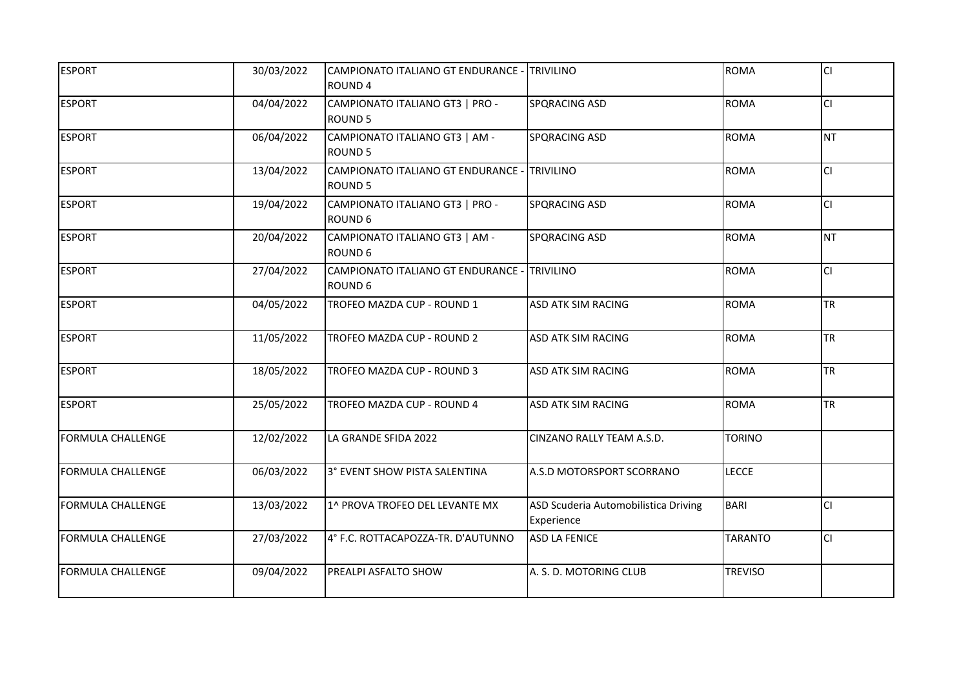| <b>ESPORT</b>            | 30/03/2022 | CAMPIONATO ITALIANO GT ENDURANCE - TRIVILINO |                                      | <b>ROMA</b>    | lcı       |
|--------------------------|------------|----------------------------------------------|--------------------------------------|----------------|-----------|
|                          |            | ROUND <sub>4</sub>                           |                                      |                |           |
| <b>ESPORT</b>            | 04/04/2022 | CAMPIONATO ITALIANO GT3   PRO -              | <b>SPQRACING ASD</b>                 | <b>ROMA</b>    | <b>CI</b> |
|                          |            | <b>ROUND 5</b>                               |                                      |                |           |
| <b>ESPORT</b>            | 06/04/2022 | CAMPIONATO ITALIANO GT3   AM -               | <b>SPQRACING ASD</b>                 | <b>ROMA</b>    | <b>NT</b> |
|                          |            | <b>ROUND 5</b>                               |                                      |                |           |
| <b>ESPORT</b>            | 13/04/2022 | CAMPIONATO ITALIANO GT ENDURANCE - TRIVILINO |                                      | <b>ROMA</b>    | <b>CI</b> |
|                          |            | <b>ROUND 5</b>                               |                                      |                |           |
| <b>ESPORT</b>            | 19/04/2022 | CAMPIONATO ITALIANO GT3   PRO -              | <b>SPQRACING ASD</b>                 | <b>ROMA</b>    | lcı.      |
|                          |            | ROUND 6                                      |                                      |                |           |
| <b>ESPORT</b>            | 20/04/2022 | CAMPIONATO ITALIANO GT3   AM -               | <b>SPQRACING ASD</b>                 | <b>ROMA</b>    | INT.      |
|                          |            | ROUND 6                                      |                                      |                |           |
| <b>ESPORT</b>            | 27/04/2022 | CAMPIONATO ITALIANO GT ENDURANCE - TRIVILINO |                                      | <b>ROMA</b>    | <b>CI</b> |
|                          |            | ROUND 6                                      |                                      |                |           |
| <b>ESPORT</b>            | 04/05/2022 | TROFEO MAZDA CUP - ROUND 1                   | <b>ASD ATK SIM RACING</b>            | <b>ROMA</b>    | <b>TR</b> |
|                          |            |                                              |                                      |                |           |
| <b>ESPORT</b>            | 11/05/2022 | TROFEO MAZDA CUP - ROUND 2                   | <b>ASD ATK SIM RACING</b>            | <b>ROMA</b>    | <b>TR</b> |
|                          |            |                                              |                                      |                |           |
| <b>ESPORT</b>            | 18/05/2022 | TROFEO MAZDA CUP - ROUND 3                   | <b>ASD ATK SIM RACING</b>            | <b>ROMA</b>    | <b>TR</b> |
|                          |            |                                              |                                      |                |           |
| <b>ESPORT</b>            | 25/05/2022 | TROFEO MAZDA CUP - ROUND 4                   | <b>ASD ATK SIM RACING</b>            | <b>ROMA</b>    | <b>TR</b> |
|                          |            |                                              |                                      |                |           |
| <b>FORMULA CHALLENGE</b> | 12/02/2022 | LA GRANDE SFIDA 2022                         | CINZANO RALLY TEAM A.S.D.            | <b>TORINO</b>  |           |
|                          |            |                                              |                                      |                |           |
| <b>FORMULA CHALLENGE</b> | 06/03/2022 | 3° EVENT SHOW PISTA SALENTINA                | A.S.D MOTORSPORT SCORRANO            | <b>LECCE</b>   |           |
|                          |            |                                              |                                      |                |           |
| <b>FORMULA CHALLENGE</b> | 13/03/2022 | 1^ PROVA TROFEO DEL LEVANTE MX               | ASD Scuderia Automobilistica Driving | <b>BARI</b>    | <b>CI</b> |
|                          |            |                                              | Experience                           |                |           |
| <b>FORMULA CHALLENGE</b> | 27/03/2022 | 4° F.C. ROTTACAPOZZA-TR. D'AUTUNNO           | <b>ASD LA FENICE</b>                 | <b>TARANTO</b> | <b>CI</b> |
|                          |            |                                              |                                      |                |           |
| <b>FORMULA CHALLENGE</b> | 09/04/2022 | PREALPI ASFALTO SHOW                         | A. S. D. MOTORING CLUB               | <b>TREVISO</b> |           |
|                          |            |                                              |                                      |                |           |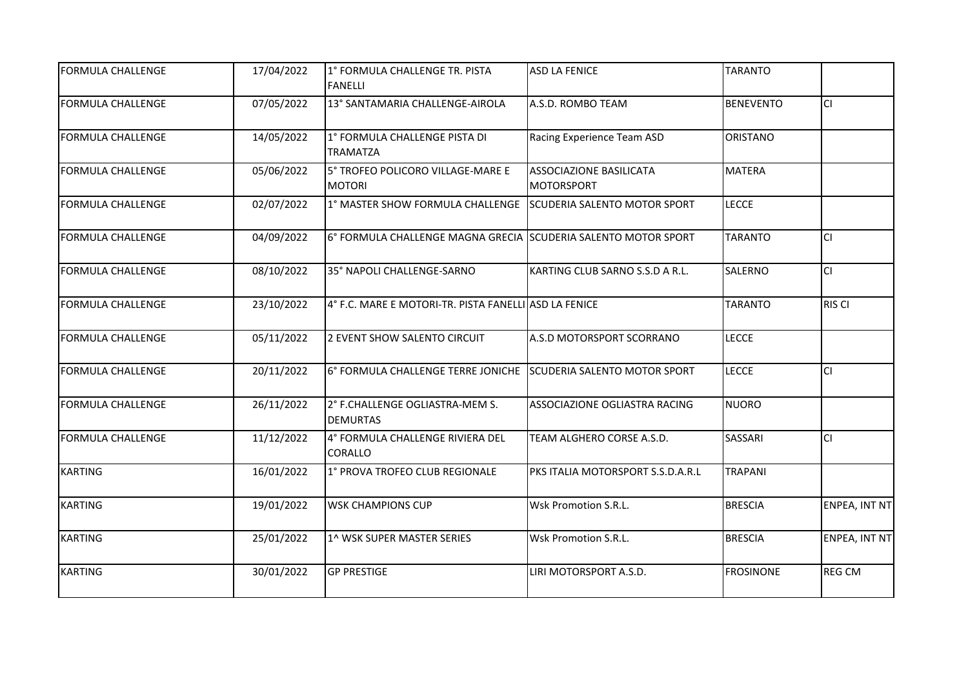| <b>FORMULA CHALLENGE</b> | 17/04/2022 | 1° FORMULA CHALLENGE TR. PISTA<br><b>FANELLI</b>                | <b>ASD LA FENICE</b>                                | <b>TARANTO</b>   |               |
|--------------------------|------------|-----------------------------------------------------------------|-----------------------------------------------------|------------------|---------------|
| <b>FORMULA CHALLENGE</b> | 07/05/2022 | 13° SANTAMARIA CHALLENGE-AIROLA                                 | A.S.D. ROMBO TEAM                                   | <b>BENEVENTO</b> | <b>CI</b>     |
| <b>FORMULA CHALLENGE</b> | 14/05/2022 | 1° FORMULA CHALLENGE PISTA DI<br><b>TRAMATZA</b>                | Racing Experience Team ASD                          | <b>ORISTANO</b>  |               |
| <b>FORMULA CHALLENGE</b> | 05/06/2022 | 5° TROFEO POLICORO VILLAGE-MARE E<br><b>MOTORI</b>              | <b>ASSOCIAZIONE BASILICATA</b><br><b>MOTORSPORT</b> | <b>MATERA</b>    |               |
| <b>FORMULA CHALLENGE</b> | 02/07/2022 | 1º MASTER SHOW FORMULA CHALLENGE SCUDERIA SALENTO MOTOR SPORT   |                                                     | <b>LECCE</b>     |               |
| <b>FORMULA CHALLENGE</b> | 04/09/2022 | 6° FORMULA CHALLENGE MAGNA GRECIA SSCUDERIA SALENTO MOTOR SPORT |                                                     | <b>TARANTO</b>   | <b>CI</b>     |
| <b>FORMULA CHALLENGE</b> | 08/10/2022 | 35° NAPOLI CHALLENGE-SARNO                                      | KARTING CLUB SARNO S.S.D A R.L.                     | SALERNO          | lcı           |
| <b>FORMULA CHALLENGE</b> | 23/10/2022 | 4° F.C. MARE E MOTORI-TR. PISTA FANELLI ASD LA FENICE           |                                                     | <b>TARANTO</b>   | <b>RIS CI</b> |
| <b>FORMULA CHALLENGE</b> | 05/11/2022 | 2 EVENT SHOW SALENTO CIRCUIT                                    | A.S.D MOTORSPORT SCORRANO                           | <b>LECCE</b>     |               |
| <b>FORMULA CHALLENGE</b> | 20/11/2022 | 6° FORMULA CHALLENGE TERRE JONICHE SCUDERIA SALENTO MOTOR SPORT |                                                     | <b>LECCE</b>     | <b>CI</b>     |
| <b>FORMULA CHALLENGE</b> | 26/11/2022 | 2° F.CHALLENGE OGLIASTRA-MEM S.<br><b>DEMURTAS</b>              | ASSOCIAZIONE OGLIASTRA RACING                       | <b>NUORO</b>     |               |
| <b>FORMULA CHALLENGE</b> | 11/12/2022 | 4° FORMULA CHALLENGE RIVIERA DEL<br><b>CORALLO</b>              | TEAM ALGHERO CORSE A.S.D.                           | SASSARI          | lcı           |
| <b>KARTING</b>           | 16/01/2022 | 1° PROVA TROFEO CLUB REGIONALE                                  | PKS ITALIA MOTORSPORT S.S.D.A.R.L                   | <b>TRAPANI</b>   |               |
| <b>KARTING</b>           | 19/01/2022 | <b>WSK CHAMPIONS CUP</b>                                        | Wsk Promotion S.R.L.                                | <b>BRESCIA</b>   | ENPEA, INT NT |
| <b>KARTING</b>           | 25/01/2022 | 1^ WSK SUPER MASTER SERIES                                      | Wsk Promotion S.R.L.                                | <b>BRESCIA</b>   | ENPEA, INT NT |
| <b>KARTING</b>           | 30/01/2022 | <b>GP PRESTIGE</b>                                              | LIRI MOTORSPORT A.S.D.                              | <b>FROSINONE</b> | <b>REG CM</b> |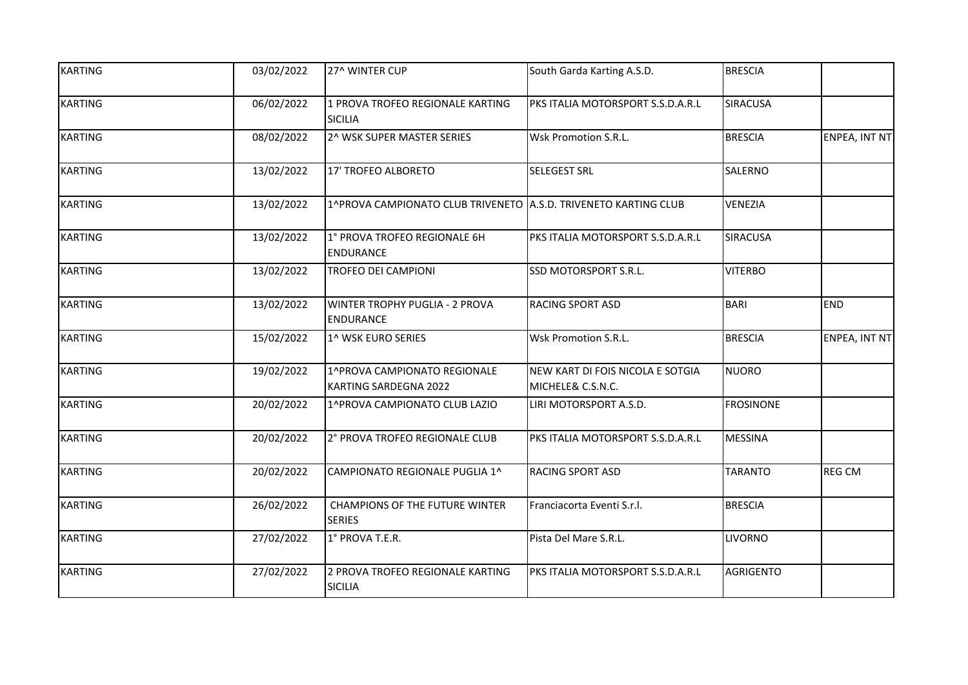| <b>KARTING</b> | 03/02/2022 | 27^ WINTER CUP                                                  | South Garda Karting A.S.D.                            | <b>BRESCIA</b>   |                      |
|----------------|------------|-----------------------------------------------------------------|-------------------------------------------------------|------------------|----------------------|
| <b>KARTING</b> | 06/02/2022 | 1 PROVA TROFEO REGIONALE KARTING<br><b>SICILIA</b>              | PKS ITALIA MOTORSPORT S.S.D.A.R.L                     | <b>SIRACUSA</b>  |                      |
| <b>KARTING</b> | 08/02/2022 | 2^ WSK SUPER MASTER SERIES                                      | Wsk Promotion S.R.L.                                  | <b>BRESCIA</b>   | <b>ENPEA, INT NT</b> |
| <b>KARTING</b> | 13/02/2022 | 17' TROFEO ALBORETO                                             | <b>SELEGEST SRL</b>                                   | SALERNO          |                      |
| <b>KARTING</b> | 13/02/2022 | 1^PROVA CAMPIONATO CLUB TRIVENETO A.S.D. TRIVENETO KARTING CLUB |                                                       | <b>VENEZIA</b>   |                      |
| <b>KARTING</b> | 13/02/2022 | 1° PROVA TROFEO REGIONALE 6H<br><b>ENDURANCE</b>                | PKS ITALIA MOTORSPORT S.S.D.A.R.L                     | <b>SIRACUSA</b>  |                      |
| <b>KARTING</b> | 13/02/2022 | <b>TROFEO DEI CAMPIONI</b>                                      | SSD MOTORSPORT S.R.L.                                 | <b>VITERBO</b>   |                      |
| <b>KARTING</b> | 13/02/2022 | <b>WINTER TROPHY PUGLIA - 2 PROVA</b><br>ENDURANCE              | <b>RACING SPORT ASD</b>                               | BARI             | <b>END</b>           |
| <b>KARTING</b> | 15/02/2022 | 1^ WSK EURO SERIES                                              | Wsk Promotion S.R.L.                                  | <b>BRESCIA</b>   | <b>ENPEA, INT NT</b> |
| <b>KARTING</b> | 19/02/2022 | 1^PROVA CAMPIONATO REGIONALE<br>KARTING SARDEGNA 2022           | NEW KART DI FOIS NICOLA E SOTGIA<br>MICHELE& C.S.N.C. | NUORO            |                      |
| <b>KARTING</b> | 20/02/2022 | 1^PROVA CAMPIONATO CLUB LAZIO                                   | LIRI MOTORSPORT A.S.D.                                | <b>FROSINONE</b> |                      |
| <b>KARTING</b> | 20/02/2022 | 2° PROVA TROFEO REGIONALE CLUB                                  | PKS ITALIA MOTORSPORT S.S.D.A.R.L                     | <b>MESSINA</b>   |                      |
| <b>KARTING</b> | 20/02/2022 | CAMPIONATO REGIONALE PUGLIA 1^                                  | <b>RACING SPORT ASD</b>                               | <b>TARANTO</b>   | <b>REG CM</b>        |
| <b>KARTING</b> | 26/02/2022 | <b>CHAMPIONS OF THE FUTURE WINTER</b><br><b>SERIES</b>          | Franciacorta Eventi S.r.l.                            | <b>BRESCIA</b>   |                      |
| <b>KARTING</b> | 27/02/2022 | 1° PROVA T.E.R.                                                 | Pista Del Mare S.R.L.                                 | <b>LIVORNO</b>   |                      |
| <b>KARTING</b> | 27/02/2022 | 2 PROVA TROFEO REGIONALE KARTING<br><b>SICILIA</b>              | PKS ITALIA MOTORSPORT S.S.D.A.R.L                     | <b>AGRIGENTO</b> |                      |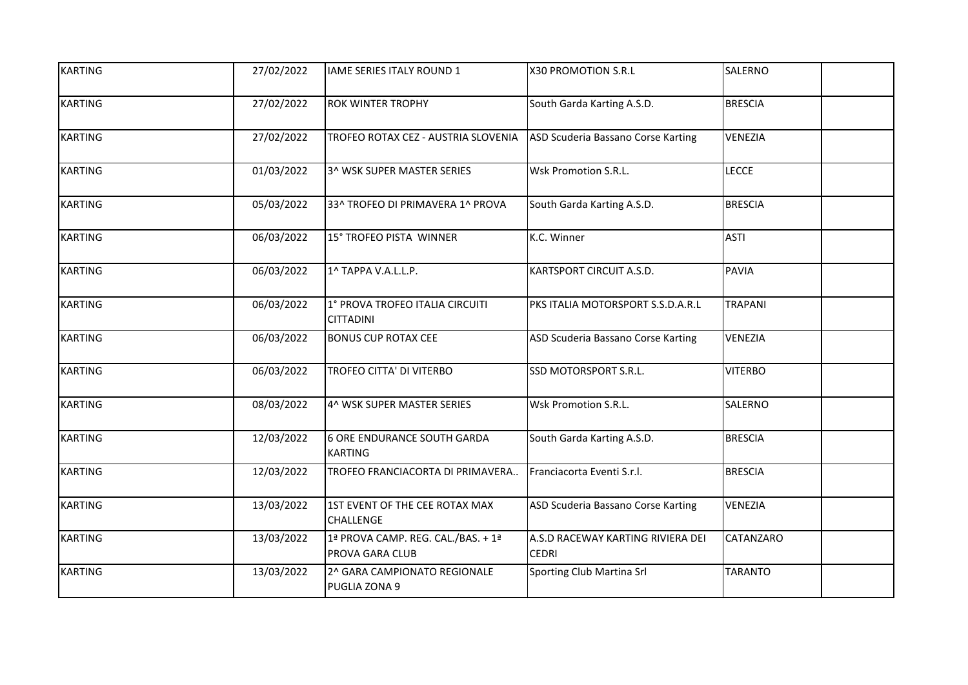| <b>KARTING</b> | 27/02/2022 | IAME SERIES ITALY ROUND 1                             | X30 PROMOTION S.R.L                               | SALERNO        |
|----------------|------------|-------------------------------------------------------|---------------------------------------------------|----------------|
| <b>KARTING</b> | 27/02/2022 | <b>ROK WINTER TROPHY</b>                              | South Garda Karting A.S.D.                        | <b>BRESCIA</b> |
| <b>KARTING</b> | 27/02/2022 | TROFEO ROTAX CEZ - AUSTRIA SLOVENIA                   | ASD Scuderia Bassano Corse Karting                | VENEZIA        |
| <b>KARTING</b> | 01/03/2022 | 3^ WSK SUPER MASTER SERIES                            | Wsk Promotion S.R.L.                              | <b>LECCE</b>   |
| <b>KARTING</b> | 05/03/2022 | 33^ TROFEO DI PRIMAVERA 1^ PROVA                      | South Garda Karting A.S.D.                        | <b>BRESCIA</b> |
| <b>KARTING</b> | 06/03/2022 | 15° TROFEO PISTA WINNER                               | K.C. Winner                                       | <b>ASTI</b>    |
| <b>KARTING</b> | 06/03/2022 | 1^ TAPPA V.A.L.L.P.                                   | KARTSPORT CIRCUIT A.S.D.                          | <b>PAVIA</b>   |
| <b>KARTING</b> | 06/03/2022 | 1° PROVA TROFEO ITALIA CIRCUITI<br><b>CITTADINI</b>   | PKS ITALIA MOTORSPORT S.S.D.A.R.L                 | <b>TRAPANI</b> |
| <b>KARTING</b> | 06/03/2022 | <b>BONUS CUP ROTAX CEE</b>                            | ASD Scuderia Bassano Corse Karting                | VENEZIA        |
| <b>KARTING</b> | 06/03/2022 | TROFEO CITTA' DI VITERBO                              | SSD MOTORSPORT S.R.L.                             | <b>VITERBO</b> |
| <b>KARTING</b> | 08/03/2022 | 4^ WSK SUPER MASTER SERIES                            | <b>Wsk Promotion S.R.L.</b>                       | SALERNO        |
| <b>KARTING</b> | 12/03/2022 | <b>6 ORE ENDURANCE SOUTH GARDA</b><br><b>KARTING</b>  | South Garda Karting A.S.D.                        | <b>BRESCIA</b> |
| <b>KARTING</b> | 12/03/2022 | TROFEO FRANCIACORTA DI PRIMAVERA                      | Franciacorta Eventi S.r.l.                        | <b>BRESCIA</b> |
| <b>KARTING</b> | 13/03/2022 | 1ST EVENT OF THE CEE ROTAX MAX<br>CHALLENGE           | ASD Scuderia Bassano Corse Karting                | VENEZIA        |
| <b>KARTING</b> | 13/03/2022 | 1ª PROVA CAMP. REG. CAL./BAS. + 1ª<br>PROVA GARA CLUB | A.S.D RACEWAY KARTING RIVIERA DEI<br><b>CEDRI</b> | CATANZARO      |
| <b>KARTING</b> | 13/03/2022 | 2^ GARA CAMPIONATO REGIONALE<br>PUGLIA ZONA 9         | Sporting Club Martina Srl                         | <b>TARANTO</b> |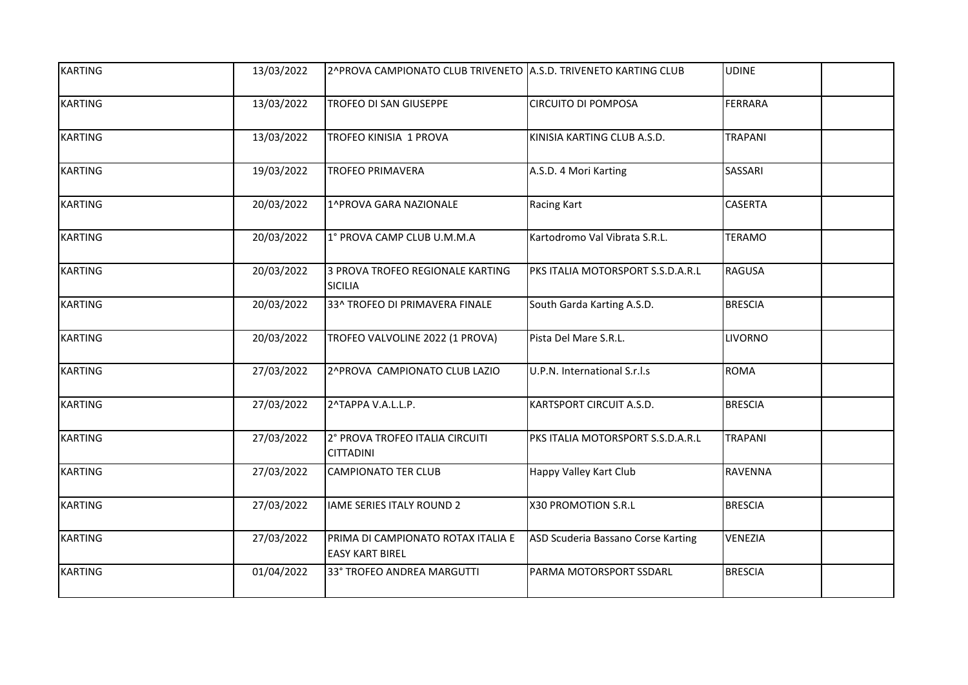| <b>KARTING</b> | 13/03/2022 | 2^PROVA CAMPIONATO CLUB TRIVENETO A.S.D. TRIVENETO KARTING CLUB |                                    | <b>UDINE</b>   |
|----------------|------------|-----------------------------------------------------------------|------------------------------------|----------------|
| <b>KARTING</b> | 13/03/2022 | TROFEO DI SAN GIUSEPPE                                          | <b>CIRCUITO DI POMPOSA</b>         | <b>FERRARA</b> |
| <b>KARTING</b> | 13/03/2022 | TROFEO KINISIA 1 PROVA                                          | KINISIA KARTING CLUB A.S.D.        | <b>TRAPANI</b> |
| <b>KARTING</b> | 19/03/2022 | <b>TROFEO PRIMAVERA</b>                                         | A.S.D. 4 Mori Karting              | SASSARI        |
| <b>KARTING</b> | 20/03/2022 | 1^PROVA GARA NAZIONALE                                          | <b>Racing Kart</b>                 | <b>CASERTA</b> |
| <b>KARTING</b> | 20/03/2022 | 1° PROVA CAMP CLUB U.M.M.A                                      | Kartodromo Val Vibrata S.R.L.      | <b>TERAMO</b>  |
| <b>KARTING</b> | 20/03/2022 | 3 PROVA TROFEO REGIONALE KARTING<br><b>SICILIA</b>              | PKS ITALIA MOTORSPORT S.S.D.A.R.L  | <b>RAGUSA</b>  |
| <b>KARTING</b> | 20/03/2022 | 33^ TROFEO DI PRIMAVERA FINALE                                  | South Garda Karting A.S.D.         | <b>BRESCIA</b> |
| <b>KARTING</b> | 20/03/2022 | TROFEO VALVOLINE 2022 (1 PROVA)                                 | Pista Del Mare S.R.L.              | <b>LIVORNO</b> |
| <b>KARTING</b> | 27/03/2022 | 2^PROVA CAMPIONATO CLUB LAZIO                                   | U.P.N. International S.r.l.s       | <b>ROMA</b>    |
| <b>KARTING</b> | 27/03/2022 | 2^TAPPA V.A.L.L.P.                                              | KARTSPORT CIRCUIT A.S.D.           | <b>BRESCIA</b> |
| <b>KARTING</b> | 27/03/2022 | 2° PROVA TROFEO ITALIA CIRCUITI<br><b>CITTADINI</b>             | PKS ITALIA MOTORSPORT S.S.D.A.R.L  | <b>TRAPANI</b> |
| <b>KARTING</b> | 27/03/2022 | <b>CAMPIONATO TER CLUB</b>                                      | Happy Valley Kart Club             | <b>RAVENNA</b> |
| <b>KARTING</b> | 27/03/2022 | <b>IAME SERIES ITALY ROUND 2</b>                                | X30 PROMOTION S.R.L                | <b>BRESCIA</b> |
| <b>KARTING</b> | 27/03/2022 | PRIMA DI CAMPIONATO ROTAX ITALIA E<br><b>EASY KART BIREL</b>    | ASD Scuderia Bassano Corse Karting | VENEZIA        |
| <b>KARTING</b> | 01/04/2022 | 33° TROFEO ANDREA MARGUTTI                                      | PARMA MOTORSPORT SSDARL            | <b>BRESCIA</b> |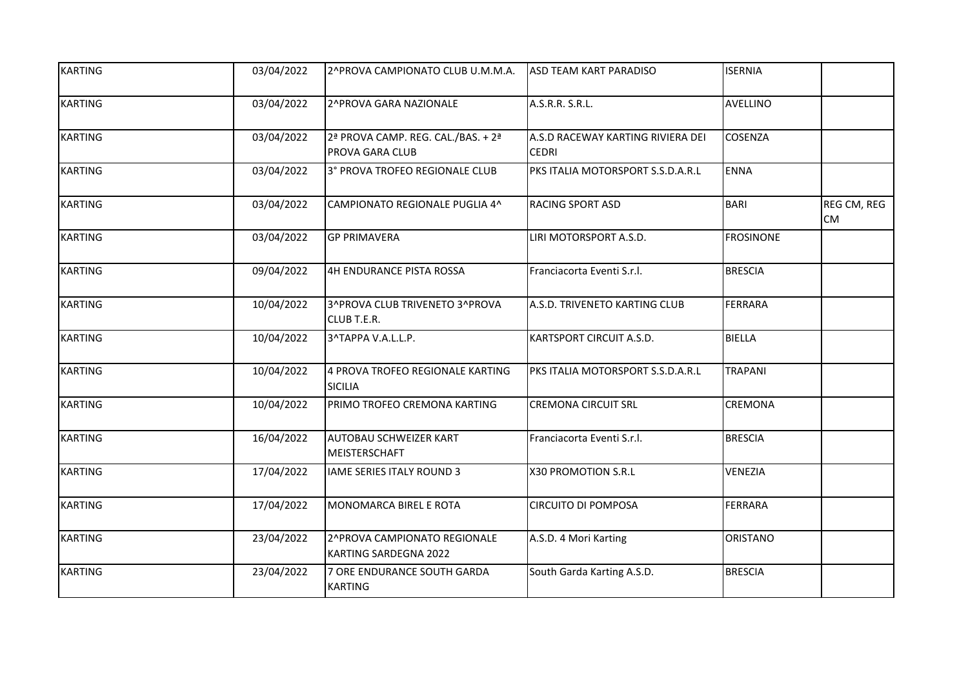| <b>KARTING</b> | 03/04/2022 | 2^PROVA CAMPIONATO CLUB U.M.M.A.                             | ASD TEAM KART PARADISO                            | <b>ISERNIA</b>   |                          |
|----------------|------------|--------------------------------------------------------------|---------------------------------------------------|------------------|--------------------------|
| <b>KARTING</b> | 03/04/2022 | 2^PROVA GARA NAZIONALE                                       | A.S.R.R. S.R.L.                                   | <b>AVELLINO</b>  |                          |
| <b>KARTING</b> | 03/04/2022 | 2ª PROVA CAMP. REG. CAL./BAS. + 2ª<br>PROVA GARA CLUB        | A.S.D RACEWAY KARTING RIVIERA DEI<br><b>CEDRI</b> | <b>COSENZA</b>   |                          |
| <b>KARTING</b> | 03/04/2022 | 3° PROVA TROFEO REGIONALE CLUB                               | PKS ITALIA MOTORSPORT S.S.D.A.R.L                 | <b>ENNA</b>      |                          |
| <b>KARTING</b> | 03/04/2022 | CAMPIONATO REGIONALE PUGLIA 4^                               | <b>RACING SPORT ASD</b>                           | BARI             | REG CM, REG<br><b>CM</b> |
| <b>KARTING</b> | 03/04/2022 | <b>GP PRIMAVERA</b>                                          | LIRI MOTORSPORT A.S.D.                            | <b>FROSINONE</b> |                          |
| <b>KARTING</b> | 09/04/2022 | 4H ENDURANCE PISTA ROSSA                                     | Franciacorta Eventi S.r.l.                        | <b>BRESCIA</b>   |                          |
| <b>KARTING</b> | 10/04/2022 | 3^PROVA CLUB TRIVENETO 3^PROVA<br>CLUB T.E.R.                | A.S.D. TRIVENETO KARTING CLUB                     | <b>FERRARA</b>   |                          |
| <b>KARTING</b> | 10/04/2022 | 3^TAPPA V.A.L.L.P.                                           | KARTSPORT CIRCUIT A.S.D.                          | BIELLA           |                          |
| <b>KARTING</b> | 10/04/2022 | 4 PROVA TROFEO REGIONALE KARTING<br><b>SICILIA</b>           | PKS ITALIA MOTORSPORT S.S.D.A.R.L                 | <b>TRAPANI</b>   |                          |
| <b>KARTING</b> | 10/04/2022 | PRIMO TROFEO CREMONA KARTING                                 | <b>CREMONA CIRCUIT SRL</b>                        | <b>CREMONA</b>   |                          |
| <b>KARTING</b> | 16/04/2022 | AUTOBAU SCHWEIZER KART<br>MEISTERSCHAFT                      | Franciacorta Eventi S.r.l.                        | <b>BRESCIA</b>   |                          |
| <b>KARTING</b> | 17/04/2022 | <b>IAME SERIES ITALY ROUND 3</b>                             | X30 PROMOTION S.R.L                               | <b>VENEZIA</b>   |                          |
| <b>KARTING</b> | 17/04/2022 | MONOMARCA BIREL E ROTA                                       | <b>CIRCUITO DI POMPOSA</b>                        | FERRARA          |                          |
| <b>KARTING</b> | 23/04/2022 | 2^PROVA CAMPIONATO REGIONALE<br><b>KARTING SARDEGNA 2022</b> | A.S.D. 4 Mori Karting                             | <b>ORISTANO</b>  |                          |
| <b>KARTING</b> | 23/04/2022 | 7 ORE ENDURANCE SOUTH GARDA<br><b>KARTING</b>                | South Garda Karting A.S.D.                        | <b>BRESCIA</b>   |                          |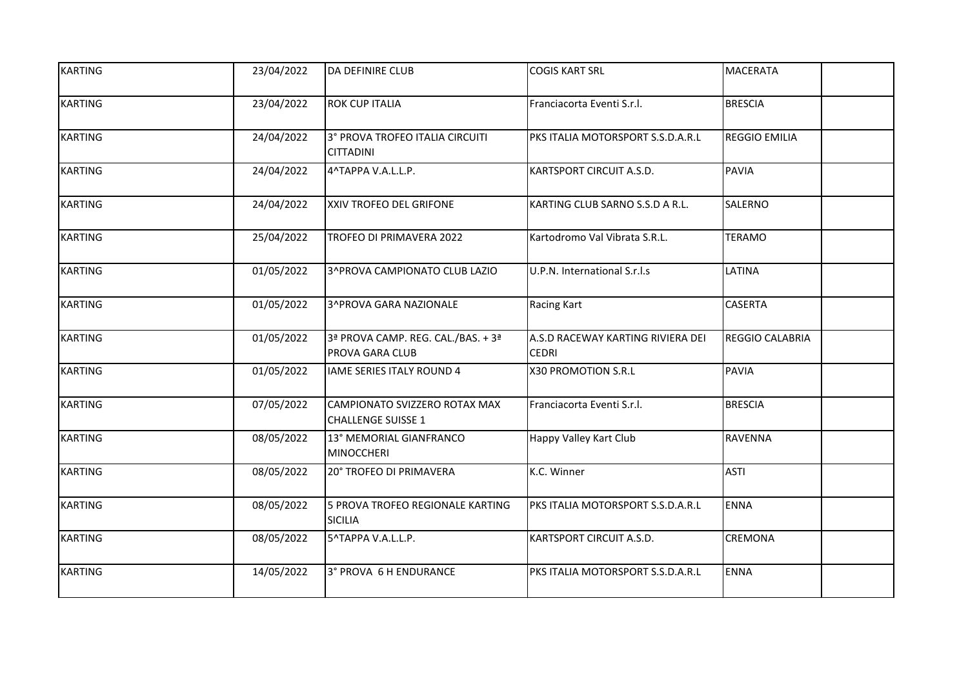| <b>KARTING</b> | 23/04/2022 | DA DEFINIRE CLUB                                           | <b>COGIS KART SRL</b>                             | MACERATA               |
|----------------|------------|------------------------------------------------------------|---------------------------------------------------|------------------------|
| <b>KARTING</b> | 23/04/2022 | <b>ROK CUP ITALIA</b>                                      | Franciacorta Eventi S.r.l.                        | <b>BRESCIA</b>         |
| <b>KARTING</b> | 24/04/2022 | 3° PROVA TROFEO ITALIA CIRCUITI<br><b>CITTADINI</b>        | PKS ITALIA MOTORSPORT S.S.D.A.R.L                 | <b>REGGIO EMILIA</b>   |
| <b>KARTING</b> | 24/04/2022 | 4^TAPPA V.A.L.L.P.                                         | KARTSPORT CIRCUIT A.S.D.                          | <b>PAVIA</b>           |
| <b>KARTING</b> | 24/04/2022 | XXIV TROFEO DEL GRIFONE                                    | KARTING CLUB SARNO S.S.D A R.L.                   | SALERNO                |
| <b>KARTING</b> | 25/04/2022 | TROFEO DI PRIMAVERA 2022                                   | Kartodromo Val Vibrata S.R.L.                     | <b>TERAMO</b>          |
| <b>KARTING</b> | 01/05/2022 | 3^PROVA CAMPIONATO CLUB LAZIO                              | U.P.N. International S.r.l.s                      | LATINA                 |
| <b>KARTING</b> | 01/05/2022 | 3^PROVA GARA NAZIONALE                                     | <b>Racing Kart</b>                                | <b>CASERTA</b>         |
| <b>KARTING</b> | 01/05/2022 | 3ª PROVA CAMP. REG. CAL./BAS. + 3ª<br>PROVA GARA CLUB      | A.S.D RACEWAY KARTING RIVIERA DEI<br><b>CEDRI</b> | <b>REGGIO CALABRIA</b> |
| <b>KARTING</b> | 01/05/2022 | <b>IAME SERIES ITALY ROUND 4</b>                           | X30 PROMOTION S.R.L                               | <b>PAVIA</b>           |
| <b>KARTING</b> | 07/05/2022 | CAMPIONATO SVIZZERO ROTAX MAX<br><b>CHALLENGE SUISSE 1</b> | Franciacorta Eventi S.r.l.                        | <b>BRESCIA</b>         |
| <b>KARTING</b> | 08/05/2022 | 13° MEMORIAL GIANFRANCO<br><b>MINOCCHERI</b>               | Happy Valley Kart Club                            | RAVENNA                |
| <b>KARTING</b> | 08/05/2022 | 20° TROFEO DI PRIMAVERA                                    | K.C. Winner                                       | <b>ASTI</b>            |
| <b>KARTING</b> | 08/05/2022 | 5 PROVA TROFEO REGIONALE KARTING<br><b>SICILIA</b>         | PKS ITALIA MOTORSPORT S.S.D.A.R.L                 | <b>ENNA</b>            |
| <b>KARTING</b> | 08/05/2022 | 5^TAPPA V.A.L.L.P.                                         | KARTSPORT CIRCUIT A.S.D.                          | CREMONA                |
| <b>KARTING</b> | 14/05/2022 | 3° PROVA 6 H ENDURANCE                                     | PKS ITALIA MOTORSPORT S.S.D.A.R.L                 | <b>ENNA</b>            |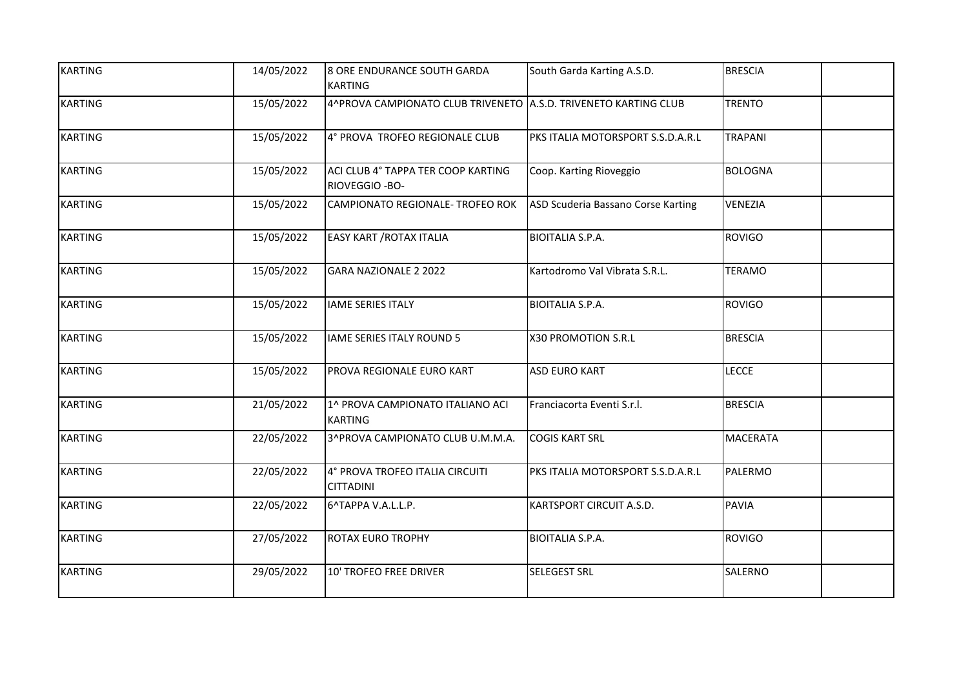| <b>KARTING</b> | 14/05/2022 | 8 ORE ENDURANCE SOUTH GARDA<br><b>KARTING</b>                   | South Garda Karting A.S.D.         | <b>BRESCIA</b>  |
|----------------|------------|-----------------------------------------------------------------|------------------------------------|-----------------|
| <b>KARTING</b> | 15/05/2022 | 4^PROVA CAMPIONATO CLUB TRIVENETO A.S.D. TRIVENETO KARTING CLUB |                                    | <b>TRENTO</b>   |
| <b>KARTING</b> | 15/05/2022 | 4° PROVA TROFEO REGIONALE CLUB                                  | PKS ITALIA MOTORSPORT S.S.D.A.R.L  | <b>TRAPANI</b>  |
| <b>KARTING</b> | 15/05/2022 | ACI CLUB 4° TAPPA TER COOP KARTING<br>RIOVEGGIO - BO-           | Coop. Karting Rioveggio            | <b>BOLOGNA</b>  |
| <b>KARTING</b> | 15/05/2022 | CAMPIONATO REGIONALE- TROFEO ROK                                | ASD Scuderia Bassano Corse Karting | VENEZIA         |
| <b>KARTING</b> | 15/05/2022 | <b>EASY KART / ROTAX ITALIA</b>                                 | <b>BIOITALIA S.P.A.</b>            | <b>ROVIGO</b>   |
| <b>KARTING</b> | 15/05/2022 | <b>GARA NAZIONALE 2 2022</b>                                    | Kartodromo Val Vibrata S.R.L.      | <b>TERAMO</b>   |
| <b>KARTING</b> | 15/05/2022 | <b>IAME SERIES ITALY</b>                                        | <b>BIOITALIA S.P.A.</b>            | <b>ROVIGO</b>   |
| <b>KARTING</b> | 15/05/2022 | IAME SERIES ITALY ROUND 5                                       | X30 PROMOTION S.R.L                | <b>BRESCIA</b>  |
| <b>KARTING</b> | 15/05/2022 | PROVA REGIONALE EURO KART                                       | <b>ASD EURO KART</b>               | <b>LECCE</b>    |
| <b>KARTING</b> | 21/05/2022 | 1^ PROVA CAMPIONATO ITALIANO ACI<br><b>KARTING</b>              | Franciacorta Eventi S.r.l.         | <b>BRESCIA</b>  |
| <b>KARTING</b> | 22/05/2022 | 3^PROVA CAMPIONATO CLUB U.M.M.A.                                | <b>COGIS KART SRL</b>              | <b>MACERATA</b> |
| <b>KARTING</b> | 22/05/2022 | 4° PROVA TROFEO ITALIA CIRCUITI<br><b>CITTADINI</b>             | PKS ITALIA MOTORSPORT S.S.D.A.R.L  | PALERMO         |
| <b>KARTING</b> | 22/05/2022 | 6^TAPPA V.A.L.L.P.                                              | <b>KARTSPORT CIRCUIT A.S.D.</b>    | <b>PAVIA</b>    |
| <b>KARTING</b> | 27/05/2022 | ROTAX EURO TROPHY                                               | <b>BIOITALIA S.P.A.</b>            | <b>ROVIGO</b>   |
| <b>KARTING</b> | 29/05/2022 | <b>10' TROFEO FREE DRIVER</b>                                   | <b>SELEGEST SRL</b>                | SALERNO         |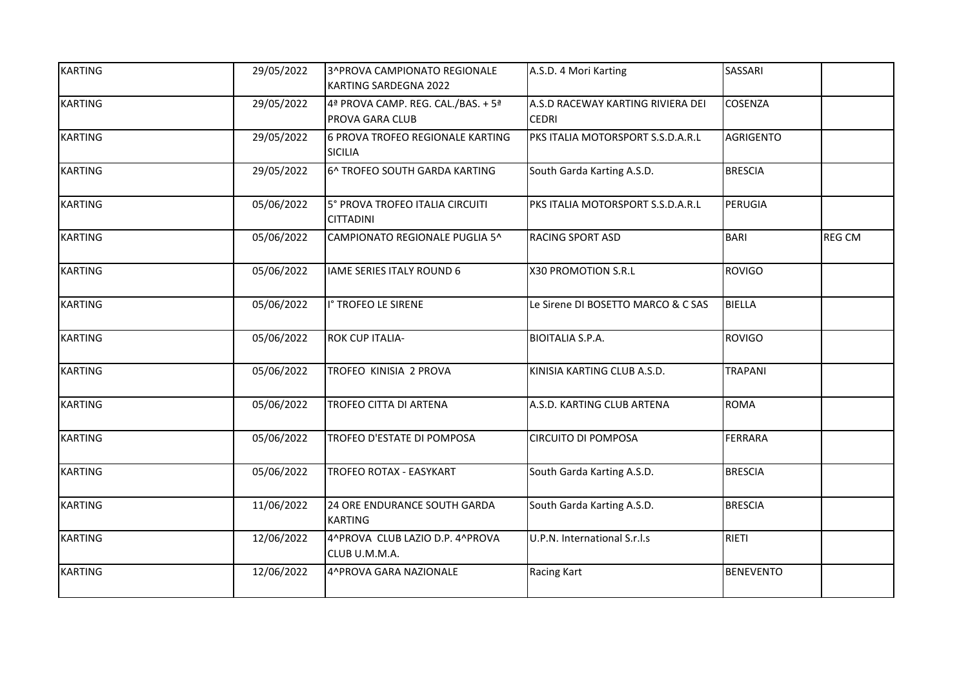| <b>KARTING</b> | 29/05/2022 | 3^PROVA CAMPIONATO REGIONALE<br>KARTING SARDEGNA 2022 | A.S.D. 4 Mori Karting                             | SASSARI          |               |
|----------------|------------|-------------------------------------------------------|---------------------------------------------------|------------------|---------------|
| <b>KARTING</b> | 29/05/2022 | 4ª PROVA CAMP. REG. CAL./BAS. + 5ª<br>PROVA GARA CLUB | A.S.D RACEWAY KARTING RIVIERA DEI<br><b>CEDRI</b> | COSENZA          |               |
| <b>KARTING</b> | 29/05/2022 | 6 PROVA TROFEO REGIONALE KARTING<br><b>SICILIA</b>    | PKS ITALIA MOTORSPORT S.S.D.A.R.L                 | <b>AGRIGENTO</b> |               |
| <b>KARTING</b> | 29/05/2022 | 6^ TROFEO SOUTH GARDA KARTING                         | South Garda Karting A.S.D.                        | <b>BRESCIA</b>   |               |
| <b>KARTING</b> | 05/06/2022 | 5° PROVA TROFEO ITALIA CIRCUITI<br><b>CITTADINI</b>   | PKS ITALIA MOTORSPORT S.S.D.A.R.L                 | PERUGIA          |               |
| <b>KARTING</b> | 05/06/2022 | CAMPIONATO REGIONALE PUGLIA 5^                        | <b>RACING SPORT ASD</b>                           | <b>BARI</b>      | <b>REG CM</b> |
| <b>KARTING</b> | 05/06/2022 | <b>IAME SERIES ITALY ROUND 6</b>                      | X30 PROMOTION S.R.L                               | <b>ROVIGO</b>    |               |
| <b>KARTING</b> | 05/06/2022 | I° TROFEO LE SIRENE                                   | Le Sirene DI BOSETTO MARCO & C SAS                | BIELLA           |               |
| <b>KARTING</b> | 05/06/2022 | <b>ROK CUP ITALIA-</b>                                | <b>BIOITALIA S.P.A.</b>                           | <b>ROVIGO</b>    |               |
| <b>KARTING</b> | 05/06/2022 | TROFEO KINISIA 2 PROVA                                | KINISIA KARTING CLUB A.S.D.                       | <b>TRAPANI</b>   |               |
| <b>KARTING</b> | 05/06/2022 | TROFEO CITTA DI ARTENA                                | A.S.D. KARTING CLUB ARTENA                        | <b>ROMA</b>      |               |
| <b>KARTING</b> | 05/06/2022 | TROFEO D'ESTATE DI POMPOSA                            | <b>CIRCUITO DI POMPOSA</b>                        | <b>FERRARA</b>   |               |
| <b>KARTING</b> | 05/06/2022 | TROFEO ROTAX - EASYKART                               | South Garda Karting A.S.D.                        | <b>BRESCIA</b>   |               |
| <b>KARTING</b> | 11/06/2022 | 24 ORE ENDURANCE SOUTH GARDA<br><b>KARTING</b>        | South Garda Karting A.S.D.                        | <b>BRESCIA</b>   |               |
| <b>KARTING</b> | 12/06/2022 | 4^PROVA CLUB LAZIO D.P. 4^PROVA<br>CLUB U.M.M.A.      | U.P.N. International S.r.l.s                      | RIETI            |               |
| <b>KARTING</b> | 12/06/2022 | 4^PROVA GARA NAZIONALE                                | Racing Kart                                       | <b>BENEVENTO</b> |               |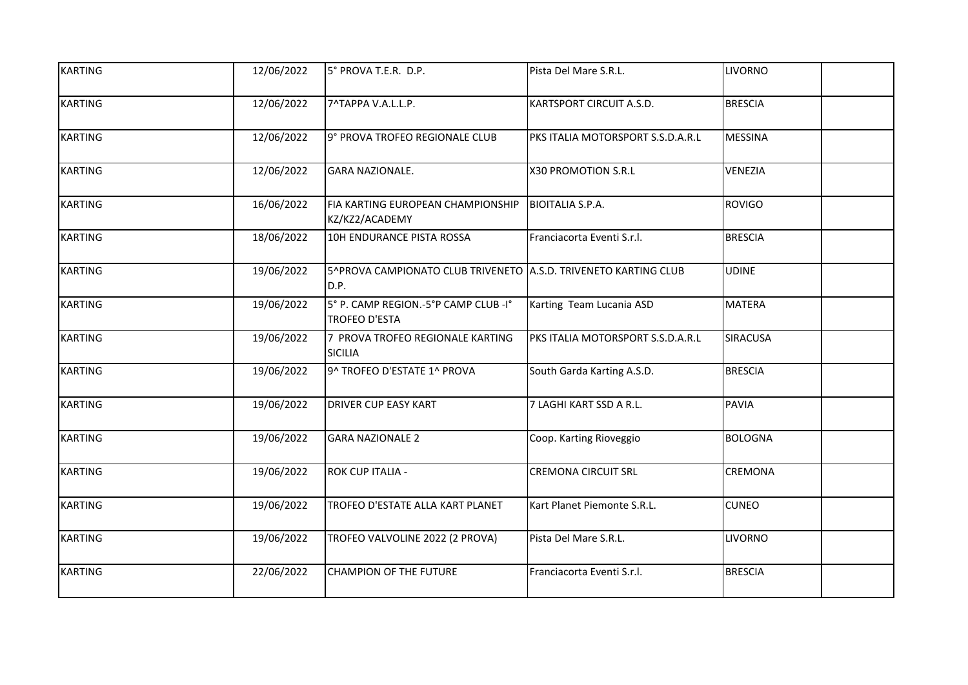| <b>KARTING</b> | 12/06/2022 | 5° PROVA T.E.R. D.P.                                                    | Pista Del Mare S.R.L.             | <b>LIVORNO</b>  |
|----------------|------------|-------------------------------------------------------------------------|-----------------------------------|-----------------|
| <b>KARTING</b> | 12/06/2022 | 7^TAPPA V.A.L.L.P.                                                      | KARTSPORT CIRCUIT A.S.D.          | <b>BRESCIA</b>  |
| <b>KARTING</b> | 12/06/2022 | 9° PROVA TROFEO REGIONALE CLUB                                          | PKS ITALIA MOTORSPORT S.S.D.A.R.L | <b>MESSINA</b>  |
| <b>KARTING</b> | 12/06/2022 | <b>GARA NAZIONALE.</b>                                                  | X30 PROMOTION S.R.L               | VENEZIA         |
| <b>KARTING</b> | 16/06/2022 | FIA KARTING EUROPEAN CHAMPIONSHIP<br>KZ/KZ2/ACADEMY                     | <b>BIOITALIA S.P.A.</b>           | <b>ROVIGO</b>   |
| <b>KARTING</b> | 18/06/2022 | 10H ENDURANCE PISTA ROSSA                                               | Franciacorta Eventi S.r.l.        | <b>BRESCIA</b>  |
| <b>KARTING</b> | 19/06/2022 | 5^PROVA CAMPIONATO CLUB TRIVENETO A.S.D. TRIVENETO KARTING CLUB<br>D.P. |                                   | <b>UDINE</b>    |
| <b>KARTING</b> | 19/06/2022 | 5° P. CAMP REGION.-5°P CAMP CLUB -I°<br><b>TROFEO D'ESTA</b>            | Karting Team Lucania ASD          | <b>MATERA</b>   |
| <b>KARTING</b> | 19/06/2022 | 7 PROVA TROFEO REGIONALE KARTING<br><b>SICILIA</b>                      | PKS ITALIA MOTORSPORT S.S.D.A.R.L | <b>SIRACUSA</b> |
| <b>KARTING</b> | 19/06/2022 | 9^ TROFEO D'ESTATE 1^ PROVA                                             | South Garda Karting A.S.D.        | <b>BRESCIA</b>  |
| <b>KARTING</b> | 19/06/2022 | <b>DRIVER CUP EASY KART</b>                                             | 7 LAGHI KART SSD A R.L.           | <b>PAVIA</b>    |
| <b>KARTING</b> | 19/06/2022 | <b>GARA NAZIONALE 2</b>                                                 | Coop. Karting Rioveggio           | <b>BOLOGNA</b>  |
| <b>KARTING</b> | 19/06/2022 | ROK CUP ITALIA -                                                        | <b>CREMONA CIRCUIT SRL</b>        | CREMONA         |
| <b>KARTING</b> | 19/06/2022 | TROFEO D'ESTATE ALLA KART PLANET                                        | Kart Planet Piemonte S.R.L.       | <b>CUNEO</b>    |
| <b>KARTING</b> | 19/06/2022 | TROFEO VALVOLINE 2022 (2 PROVA)                                         | Pista Del Mare S.R.L.             | <b>LIVORNO</b>  |
| <b>KARTING</b> | 22/06/2022 | <b>CHAMPION OF THE FUTURE</b>                                           | Franciacorta Eventi S.r.l.        | <b>BRESCIA</b>  |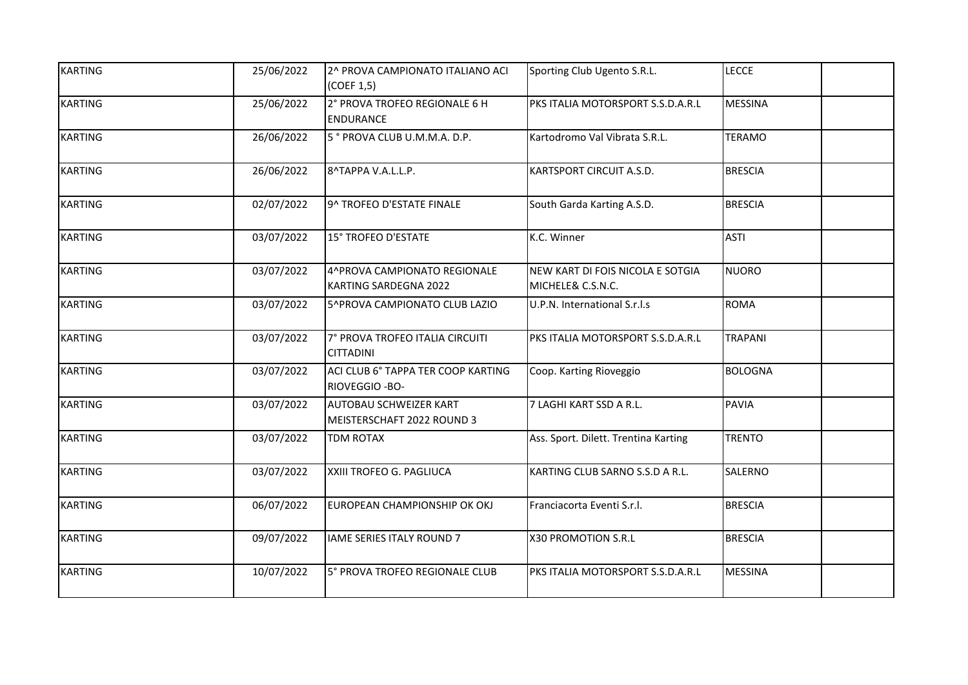| <b>KARTING</b> | 25/06/2022 | 2^ PROVA CAMPIONATO ITALIANO ACI<br>(COEF 1,5)        | Sporting Club Ugento S.R.L.                           | <b>LECCE</b>   |
|----------------|------------|-------------------------------------------------------|-------------------------------------------------------|----------------|
| <b>KARTING</b> | 25/06/2022 | 2° PROVA TROFEO REGIONALE 6 H<br><b>ENDURANCE</b>     | PKS ITALIA MOTORSPORT S.S.D.A.R.L                     | <b>MESSINA</b> |
| <b>KARTING</b> | 26/06/2022 | 5° PROVA CLUB U.M.M.A. D.P.                           | Kartodromo Val Vibrata S.R.L.                         | <b>TERAMO</b>  |
| <b>KARTING</b> | 26/06/2022 | 8^TAPPA V.A.L.L.P.                                    | KARTSPORT CIRCUIT A.S.D.                              | <b>BRESCIA</b> |
| <b>KARTING</b> | 02/07/2022 | 9^ TROFEO D'ESTATE FINALE                             | South Garda Karting A.S.D.                            | <b>BRESCIA</b> |
| <b>KARTING</b> | 03/07/2022 | 15° TROFEO D'ESTATE                                   | K.C. Winner                                           | <b>ASTI</b>    |
| <b>KARTING</b> | 03/07/2022 | 4^PROVA CAMPIONATO REGIONALE<br>KARTING SARDEGNA 2022 | NEW KART DI FOIS NICOLA E SOTGIA<br>MICHELE& C.S.N.C. | <b>NUORO</b>   |
| <b>KARTING</b> | 03/07/2022 | 5^PROVA CAMPIONATO CLUB LAZIO                         | U.P.N. International S.r.l.s                          | <b>ROMA</b>    |
| <b>KARTING</b> | 03/07/2022 | 7° PROVA TROFEO ITALIA CIRCUITI<br><b>CITTADINI</b>   | PKS ITALIA MOTORSPORT S.S.D.A.R.L                     | <b>TRAPANI</b> |
| <b>KARTING</b> | 03/07/2022 | ACI CLUB 6° TAPPA TER COOP KARTING<br>RIOVEGGIO - BO- | Coop. Karting Rioveggio                               | <b>BOLOGNA</b> |
| <b>KARTING</b> | 03/07/2022 | AUTOBAU SCHWEIZER KART<br>MEISTERSCHAFT 2022 ROUND 3  | 7 LAGHI KART SSD A R.L.                               | <b>PAVIA</b>   |
| <b>KARTING</b> | 03/07/2022 | <b>TDM ROTAX</b>                                      | Ass. Sport. Dilett. Trentina Karting                  | <b>TRENTO</b>  |
| <b>KARTING</b> | 03/07/2022 | XXIII TROFEO G. PAGLIUCA                              | KARTING CLUB SARNO S.S.D A R.L.                       | SALERNO        |
| <b>KARTING</b> | 06/07/2022 | EUROPEAN CHAMPIONSHIP OK OKJ                          | Franciacorta Eventi S.r.l.                            | <b>BRESCIA</b> |
| <b>KARTING</b> | 09/07/2022 | <b>IAME SERIES ITALY ROUND 7</b>                      | X30 PROMOTION S.R.L                                   | <b>BRESCIA</b> |
| <b>KARTING</b> | 10/07/2022 | 5° PROVA TROFEO REGIONALE CLUB                        | PKS ITALIA MOTORSPORT S.S.D.A.R.L                     | <b>MESSINA</b> |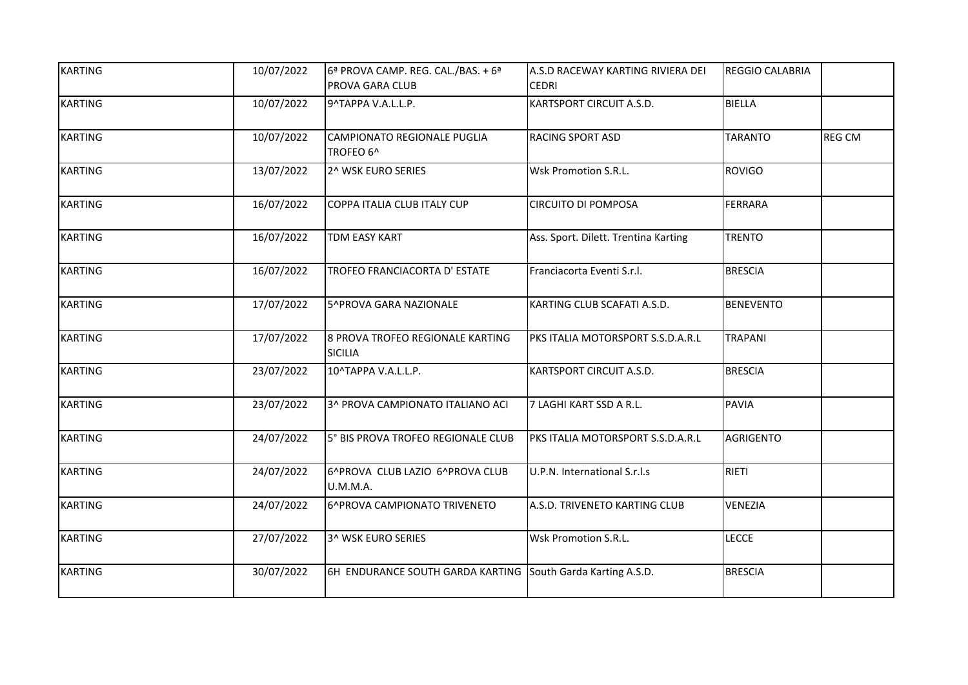| <b>KARTING</b> | 10/07/2022 | 6ª PROVA CAMP. REG. CAL./BAS. + 6ª                          | A.S.D RACEWAY KARTING RIVIERA DEI    | <b>REGGIO CALABRIA</b> |               |
|----------------|------------|-------------------------------------------------------------|--------------------------------------|------------------------|---------------|
|                |            | PROVA GARA CLUB                                             | <b>CEDRI</b>                         |                        |               |
| <b>KARTING</b> | 10/07/2022 | 9^TAPPA V.A.L.L.P.                                          | KARTSPORT CIRCUIT A.S.D.             | BIELLA                 |               |
| <b>KARTING</b> | 10/07/2022 | CAMPIONATO REGIONALE PUGLIA<br>TROFEO 6^                    | <b>RACING SPORT ASD</b>              | <b>TARANTO</b>         | <b>REG CM</b> |
| <b>KARTING</b> | 13/07/2022 | 2^ WSK EURO SERIES                                          | Wsk Promotion S.R.L.                 | <b>ROVIGO</b>          |               |
| <b>KARTING</b> | 16/07/2022 | COPPA ITALIA CLUB ITALY CUP                                 | <b>CIRCUITO DI POMPOSA</b>           | FERRARA                |               |
| <b>KARTING</b> | 16/07/2022 | TDM EASY KART                                               | Ass. Sport. Dilett. Trentina Karting | <b>TRENTO</b>          |               |
| <b>KARTING</b> | 16/07/2022 | TROFEO FRANCIACORTA D' ESTATE                               | Franciacorta Eventi S.r.l.           | <b>BRESCIA</b>         |               |
| <b>KARTING</b> | 17/07/2022 | 5^PROVA GARA NAZIONALE                                      | KARTING CLUB SCAFATI A.S.D.          | <b>BENEVENTO</b>       |               |
| <b>KARTING</b> | 17/07/2022 | 8 PROVA TROFEO REGIONALE KARTING<br><b>SICILIA</b>          | PKS ITALIA MOTORSPORT S.S.D.A.R.L    | <b>TRAPANI</b>         |               |
| <b>KARTING</b> | 23/07/2022 | 10^TAPPA V.A.L.L.P.                                         | KARTSPORT CIRCUIT A.S.D.             | <b>BRESCIA</b>         |               |
| <b>KARTING</b> | 23/07/2022 | 3^ PROVA CAMPIONATO ITALIANO ACI                            | 7 LAGHI KART SSD A R.L.              | PAVIA                  |               |
| <b>KARTING</b> | 24/07/2022 | 5° BIS PROVA TROFEO REGIONALE CLUB                          | PKS ITALIA MOTORSPORT S.S.D.A.R.L    | <b>AGRIGENTO</b>       |               |
| <b>KARTING</b> | 24/07/2022 | 6^PROVA CLUB LAZIO 6^PROVA CLUB<br>U.M.M.A.                 | U.P.N. International S.r.l.s         | RIETI                  |               |
| <b>KARTING</b> | 24/07/2022 | 6^PROVA CAMPIONATO TRIVENETO                                | A.S.D. TRIVENETO KARTING CLUB        | <b>VENEZIA</b>         |               |
| <b>KARTING</b> | 27/07/2022 | 3^ WSK EURO SERIES                                          | Wsk Promotion S.R.L.                 | <b>LECCE</b>           |               |
| <b>KARTING</b> | 30/07/2022 | 6H ENDURANCE SOUTH GARDA KARTING South Garda Karting A.S.D. |                                      | <b>BRESCIA</b>         |               |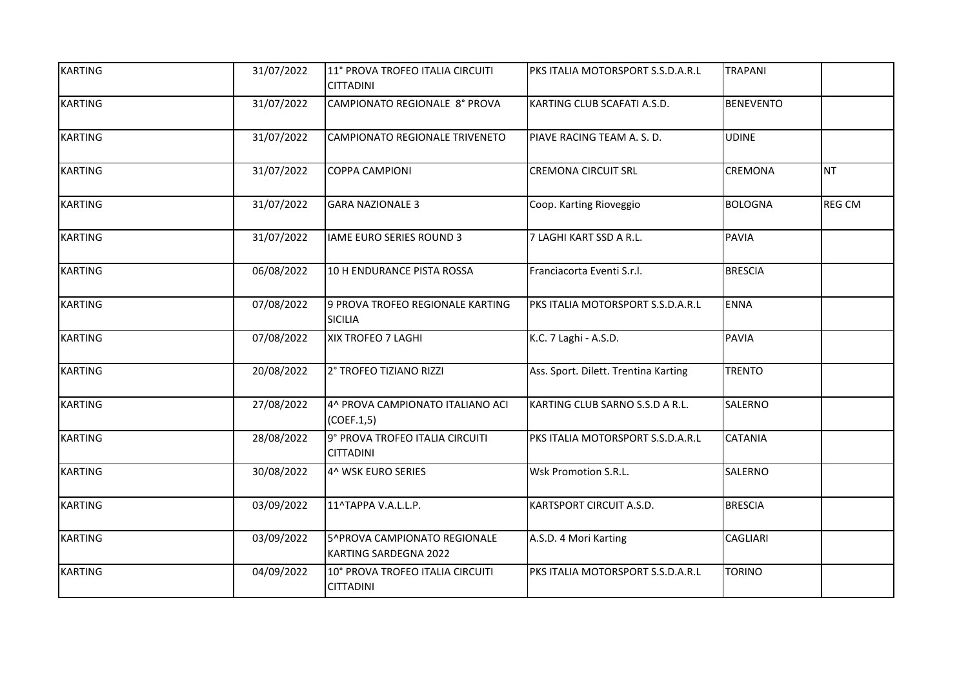| <b>KARTING</b> | 31/07/2022 | 11° PROVA TROFEO ITALIA CIRCUITI<br><b>CITTADINI</b>         | PKS ITALIA MOTORSPORT S.S.D.A.R.L    | <b>TRAPANI</b>   |               |
|----------------|------------|--------------------------------------------------------------|--------------------------------------|------------------|---------------|
| <b>KARTING</b> | 31/07/2022 | CAMPIONATO REGIONALE 8° PROVA                                | KARTING CLUB SCAFATI A.S.D.          | <b>BENEVENTO</b> |               |
| <b>KARTING</b> | 31/07/2022 | CAMPIONATO REGIONALE TRIVENETO                               | PIAVE RACING TEAM A. S. D.           | <b>UDINE</b>     |               |
| <b>KARTING</b> | 31/07/2022 | <b>COPPA CAMPIONI</b>                                        | <b>CREMONA CIRCUIT SRL</b>           | CREMONA          | <b>NT</b>     |
| <b>KARTING</b> | 31/07/2022 | <b>GARA NAZIONALE 3</b>                                      | Coop. Karting Rioveggio              | <b>BOLOGNA</b>   | <b>REG CM</b> |
| <b>KARTING</b> | 31/07/2022 | IAME EURO SERIES ROUND 3                                     | 7 LAGHI KART SSD A R.L.              | PAVIA            |               |
| <b>KARTING</b> | 06/08/2022 | 10 H ENDURANCE PISTA ROSSA                                   | Franciacorta Eventi S.r.l.           | <b>BRESCIA</b>   |               |
| <b>KARTING</b> | 07/08/2022 | 9 PROVA TROFEO REGIONALE KARTING<br><b>SICILIA</b>           | PKS ITALIA MOTORSPORT S.S.D.A.R.L    | ENNA             |               |
| <b>KARTING</b> | 07/08/2022 | XIX TROFEO 7 LAGHI                                           | K.C. 7 Laghi - A.S.D.                | PAVIA            |               |
| <b>KARTING</b> | 20/08/2022 | 2° TROFEO TIZIANO RIZZI                                      | Ass. Sport. Dilett. Trentina Karting | <b>TRENTO</b>    |               |
| <b>KARTING</b> | 27/08/2022 | 4^ PROVA CAMPIONATO ITALIANO ACI<br>(COEF.1,5)               | KARTING CLUB SARNO S.S.D A R.L.      | SALERNO          |               |
| <b>KARTING</b> | 28/08/2022 | 9° PROVA TROFEO ITALIA CIRCUITI<br><b>CITTADINI</b>          | PKS ITALIA MOTORSPORT S.S.D.A.R.L    | <b>CATANIA</b>   |               |
| <b>KARTING</b> | 30/08/2022 | 4^ WSK EURO SERIES                                           | Wsk Promotion S.R.L.                 | SALERNO          |               |
| <b>KARTING</b> | 03/09/2022 | 11^TAPPA V.A.L.L.P.                                          | KARTSPORT CIRCUIT A.S.D.             | <b>BRESCIA</b>   |               |
| <b>KARTING</b> | 03/09/2022 | 5^PROVA CAMPIONATO REGIONALE<br><b>KARTING SARDEGNA 2022</b> | A.S.D. 4 Mori Karting                | <b>CAGLIARI</b>  |               |
| <b>KARTING</b> | 04/09/2022 | 10° PROVA TROFEO ITALIA CIRCUITI<br><b>CITTADINI</b>         | PKS ITALIA MOTORSPORT S.S.D.A.R.L    | <b>TORINO</b>    |               |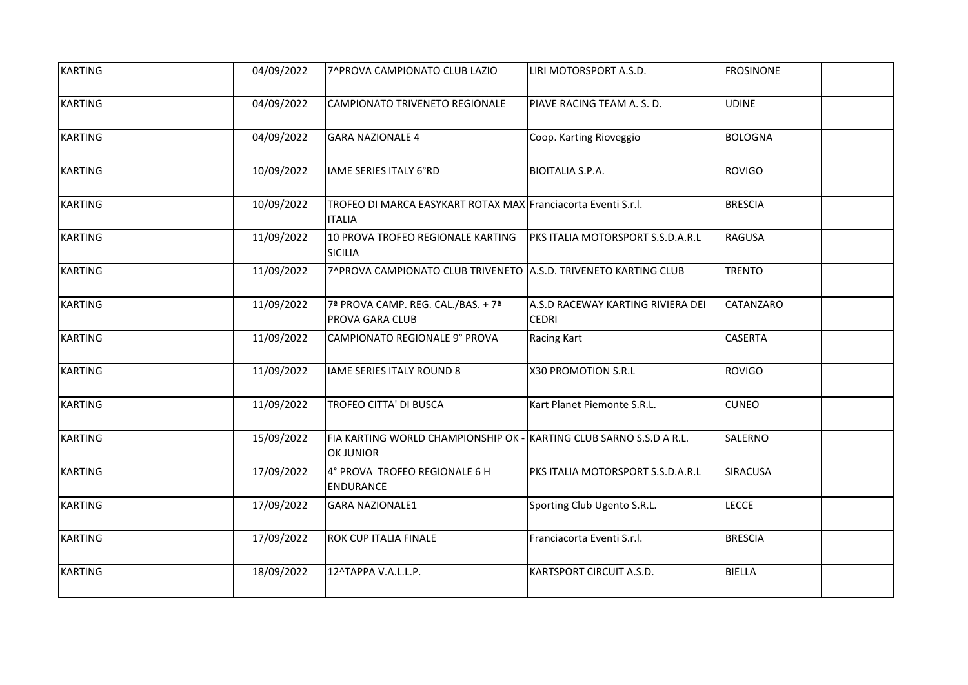| <b>KARTING</b> | 04/09/2022 | 7^PROVA CAMPIONATO CLUB LAZIO                                                    | LIRI MOTORSPORT A.S.D.                            | <b>FROSINONE</b> |
|----------------|------------|----------------------------------------------------------------------------------|---------------------------------------------------|------------------|
| <b>KARTING</b> | 04/09/2022 | CAMPIONATO TRIVENETO REGIONALE                                                   | PIAVE RACING TEAM A. S. D.                        | <b>UDINE</b>     |
| <b>KARTING</b> | 04/09/2022 | <b>GARA NAZIONALE 4</b>                                                          | Coop. Karting Rioveggio                           | <b>BOLOGNA</b>   |
| <b>KARTING</b> | 10/09/2022 | IAME SERIES ITALY 6°RD                                                           | <b>BIOITALIA S.P.A.</b>                           | <b>ROVIGO</b>    |
| <b>KARTING</b> | 10/09/2022 | TROFEO DI MARCA EASYKART ROTAX MAX Franciacorta Eventi S.r.l.<br><b>ITALIA</b>   |                                                   | <b>BRESCIA</b>   |
| <b>KARTING</b> | 11/09/2022 | 10 PROVA TROFEO REGIONALE KARTING<br><b>SICILIA</b>                              | PKS ITALIA MOTORSPORT S.S.D.A.R.L                 | <b>RAGUSA</b>    |
| <b>KARTING</b> | 11/09/2022 | 7^PROVA CAMPIONATO CLUB TRIVENETO A.S.D. TRIVENETO KARTING CLUB                  |                                                   | <b>TRENTO</b>    |
| <b>KARTING</b> | 11/09/2022 | 7ª PROVA CAMP. REG. CAL./BAS. + 7ª<br>PROVA GARA CLUB                            | A.S.D RACEWAY KARTING RIVIERA DEI<br><b>CEDRI</b> | CATANZARO        |
| <b>KARTING</b> | 11/09/2022 | CAMPIONATO REGIONALE 9° PROVA                                                    | Racing Kart                                       | <b>CASERTA</b>   |
| <b>KARTING</b> | 11/09/2022 | <b>IAME SERIES ITALY ROUND 8</b>                                                 | X30 PROMOTION S.R.L                               | <b>ROVIGO</b>    |
| <b>KARTING</b> | 11/09/2022 | TROFEO CITTA' DI BUSCA                                                           | Kart Planet Piemonte S.R.L.                       | <b>CUNEO</b>     |
| <b>KARTING</b> | 15/09/2022 | FIA KARTING WORLD CHAMPIONSHIP OK - KARTING CLUB SARNO S.S.D A R.L.<br>OK JUNIOR |                                                   | <b>SALERNO</b>   |
| <b>KARTING</b> | 17/09/2022 | 4° PROVA TROFEO REGIONALE 6 H<br><b>ENDURANCE</b>                                | PKS ITALIA MOTORSPORT S.S.D.A.R.L                 | <b>SIRACUSA</b>  |
| <b>KARTING</b> | 17/09/2022 | <b>GARA NAZIONALE1</b>                                                           | Sporting Club Ugento S.R.L.                       | <b>LECCE</b>     |
| <b>KARTING</b> | 17/09/2022 | ROK CUP ITALIA FINALE                                                            | Franciacorta Eventi S.r.l.                        | <b>BRESCIA</b>   |
| <b>KARTING</b> | 18/09/2022 | 12^TAPPA V.A.L.L.P.                                                              | KARTSPORT CIRCUIT A.S.D.                          | <b>BIELLA</b>    |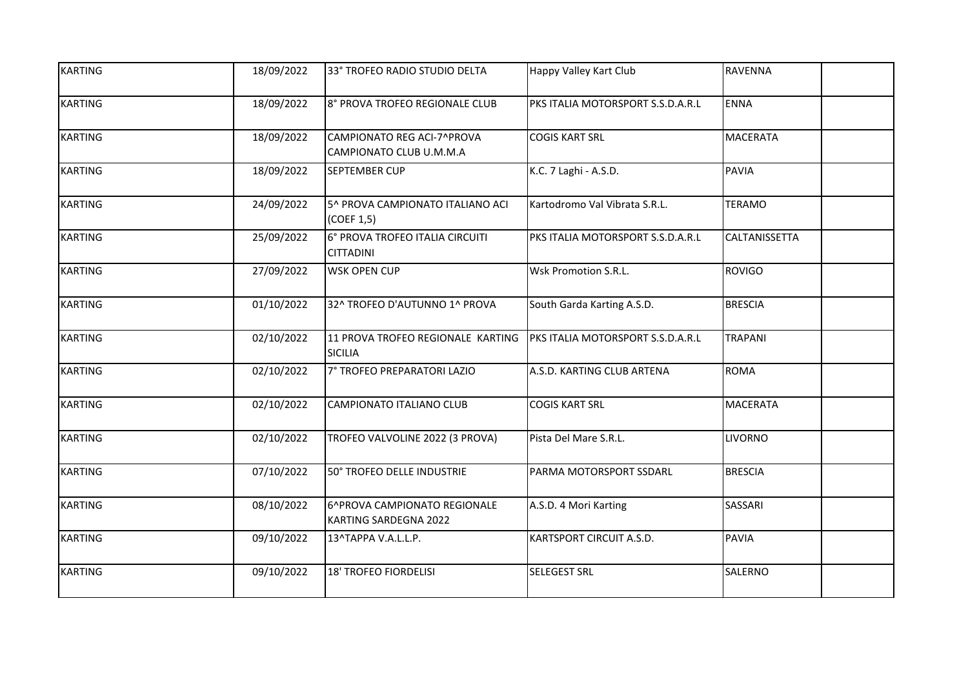| <b>KARTING</b> | 18/09/2022 | 33° TROFEO RADIO STUDIO DELTA                         | Happy Valley Kart Club            | RAVENNA              |
|----------------|------------|-------------------------------------------------------|-----------------------------------|----------------------|
| <b>KARTING</b> | 18/09/2022 | 8° PROVA TROFEO REGIONALE CLUB                        | PKS ITALIA MOTORSPORT S.S.D.A.R.L | <b>ENNA</b>          |
| <b>KARTING</b> | 18/09/2022 | CAMPIONATO REG ACI-7^PROVA<br>CAMPIONATO CLUB U.M.M.A | <b>COGIS KART SRL</b>             | <b>MACERATA</b>      |
| <b>KARTING</b> | 18/09/2022 | SEPTEMBER CUP                                         | K.C. 7 Laghi - A.S.D.             | <b>PAVIA</b>         |
| <b>KARTING</b> | 24/09/2022 | 5^ PROVA CAMPIONATO ITALIANO ACI<br>(COEF 1,5)        | Kartodromo Val Vibrata S.R.L.     | <b>TERAMO</b>        |
| <b>KARTING</b> | 25/09/2022 | 6° PROVA TROFEO ITALIA CIRCUITI<br><b>CITTADINI</b>   | PKS ITALIA MOTORSPORT S.S.D.A.R.L | <b>CALTANISSETTA</b> |
| <b>KARTING</b> | 27/09/2022 | <b>WSK OPEN CUP</b>                                   | Wsk Promotion S.R.L.              | <b>ROVIGO</b>        |
| <b>KARTING</b> | 01/10/2022 | 32^ TROFEO D'AUTUNNO 1^ PROVA                         | South Garda Karting A.S.D.        | <b>BRESCIA</b>       |
| <b>KARTING</b> | 02/10/2022 | 11 PROVA TROFEO REGIONALE KARTING<br><b>SICILIA</b>   | PKS ITALIA MOTORSPORT S.S.D.A.R.L | <b>TRAPANI</b>       |
| <b>KARTING</b> | 02/10/2022 | 7° TROFEO PREPARATORI LAZIO                           | A.S.D. KARTING CLUB ARTENA        | <b>ROMA</b>          |
| <b>KARTING</b> | 02/10/2022 | CAMPIONATO ITALIANO CLUB                              | <b>COGIS KART SRL</b>             | <b>MACERATA</b>      |
| <b>KARTING</b> | 02/10/2022 | TROFEO VALVOLINE 2022 (3 PROVA)                       | Pista Del Mare S.R.L.             | <b>LIVORNO</b>       |
| <b>KARTING</b> | 07/10/2022 | 50° TROFEO DELLE INDUSTRIE                            | PARMA MOTORSPORT SSDARL           | <b>BRESCIA</b>       |
| <b>KARTING</b> | 08/10/2022 | 6^PROVA CAMPIONATO REGIONALE<br>KARTING SARDEGNA 2022 | A.S.D. 4 Mori Karting             | <b>SASSARI</b>       |
| <b>KARTING</b> | 09/10/2022 | 13^TAPPA V.A.L.L.P.                                   | KARTSPORT CIRCUIT A.S.D.          | <b>PAVIA</b>         |
| <b>KARTING</b> | 09/10/2022 | <b>18' TROFEO FIORDELISI</b>                          | <b>SELEGEST SRL</b>               | SALERNO              |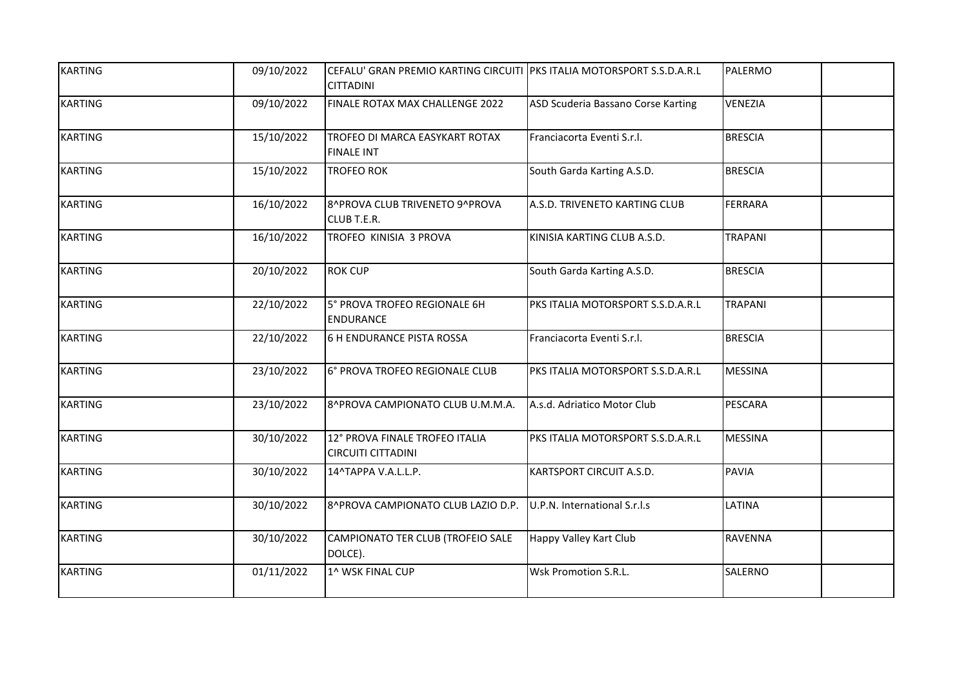| <b>KARTING</b> | 09/10/2022 | CEFALU' GRAN PREMIO KARTING CIRCUITI PKS ITALIA MOTORSPORT S.S.D.A.R.L<br><b>CITTADINI</b> |                                    | PALERMO        |
|----------------|------------|--------------------------------------------------------------------------------------------|------------------------------------|----------------|
| <b>KARTING</b> | 09/10/2022 | FINALE ROTAX MAX CHALLENGE 2022                                                            | ASD Scuderia Bassano Corse Karting | VENEZIA        |
| <b>KARTING</b> | 15/10/2022 | TROFEO DI MARCA EASYKART ROTAX<br><b>FINALE INT</b>                                        | Franciacorta Eventi S.r.l.         | <b>BRESCIA</b> |
| <b>KARTING</b> | 15/10/2022 | <b>TROFEO ROK</b>                                                                          | South Garda Karting A.S.D.         | <b>BRESCIA</b> |
| <b>KARTING</b> | 16/10/2022 | 8^PROVA CLUB TRIVENETO 9^PROVA<br>CLUB T.E.R.                                              | A.S.D. TRIVENETO KARTING CLUB      | <b>FERRARA</b> |
| <b>KARTING</b> | 16/10/2022 | TROFEO KINISIA 3 PROVA                                                                     | KINISIA KARTING CLUB A.S.D.        | <b>TRAPANI</b> |
| <b>KARTING</b> | 20/10/2022 | <b>ROK CUP</b>                                                                             | South Garda Karting A.S.D.         | <b>BRESCIA</b> |
| <b>KARTING</b> | 22/10/2022 | 5° PROVA TROFEO REGIONALE 6H<br>ENDURANCE                                                  | PKS ITALIA MOTORSPORT S.S.D.A.R.L  | <b>TRAPANI</b> |
| <b>KARTING</b> | 22/10/2022 | 6 H ENDURANCE PISTA ROSSA                                                                  | Franciacorta Eventi S.r.l.         | <b>BRESCIA</b> |
| <b>KARTING</b> | 23/10/2022 | 6° PROVA TROFEO REGIONALE CLUB                                                             | PKS ITALIA MOTORSPORT S.S.D.A.R.L  | <b>MESSINA</b> |
| <b>KARTING</b> | 23/10/2022 | 8^PROVA CAMPIONATO CLUB U.M.M.A.                                                           | A.s.d. Adriatico Motor Club        | PESCARA        |
| <b>KARTING</b> | 30/10/2022 | 12° PROVA FINALE TROFEO ITALIA<br><b>CIRCUITI CITTADINI</b>                                | PKS ITALIA MOTORSPORT S.S.D.A.R.L  | <b>MESSINA</b> |
| <b>KARTING</b> | 30/10/2022 | 14^TAPPA V.A.L.L.P.                                                                        | KARTSPORT CIRCUIT A.S.D.           | <b>PAVIA</b>   |
| <b>KARTING</b> | 30/10/2022 | 8^PROVA CAMPIONATO CLUB LAZIO D.P. U.P.N. International S.r.l.s                            |                                    | LATINA         |
| <b>KARTING</b> | 30/10/2022 | CAMPIONATO TER CLUB (TROFEIO SALE<br>DOLCE).                                               | Happy Valley Kart Club             | <b>RAVENNA</b> |
| <b>KARTING</b> | 01/11/2022 | 1^ WSK FINAL CUP                                                                           | Wsk Promotion S.R.L.               | SALERNO        |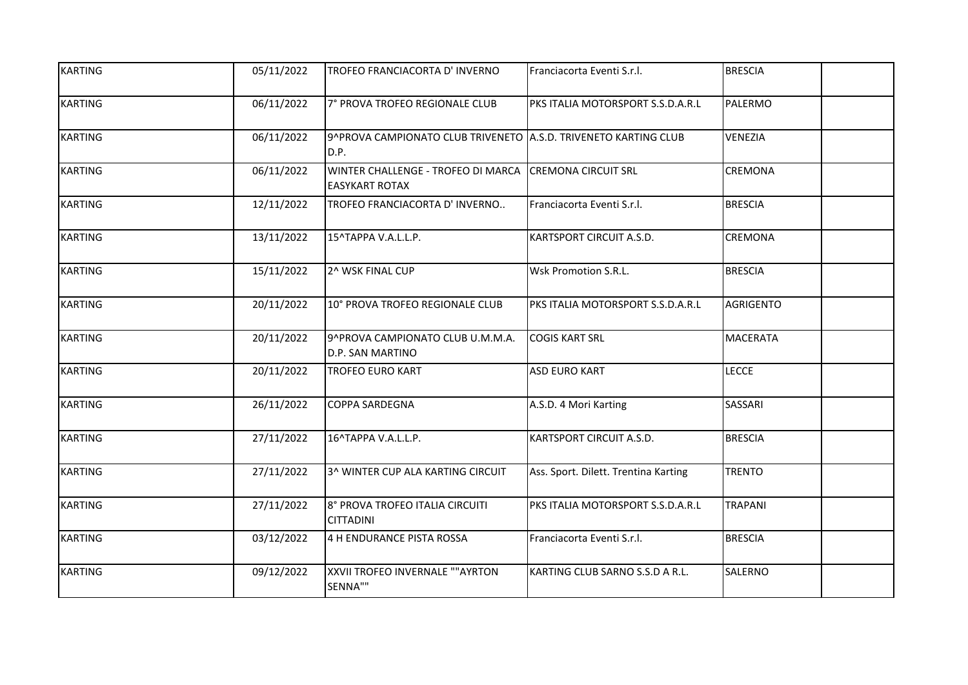| <b>KARTING</b> | 05/11/2022 | TROFEO FRANCIACORTA D'INVERNO                                           | Franciacorta Eventi S.r.l.           | <b>BRESCIA</b>   |
|----------------|------------|-------------------------------------------------------------------------|--------------------------------------|------------------|
| <b>KARTING</b> | 06/11/2022 | 7° PROVA TROFEO REGIONALE CLUB                                          | PKS ITALIA MOTORSPORT S.S.D.A.R.L    | PALERMO          |
| <b>KARTING</b> | 06/11/2022 | 9^PROVA CAMPIONATO CLUB TRIVENETO A.S.D. TRIVENETO KARTING CLUB<br>D.P. |                                      | <b>VENEZIA</b>   |
| <b>KARTING</b> | 06/11/2022 | WINTER CHALLENGE - TROFEO DI MARCA<br><b>EASYKART ROTAX</b>             | <b>CREMONA CIRCUIT SRL</b>           | <b>CREMONA</b>   |
| <b>KARTING</b> | 12/11/2022 | TROFEO FRANCIACORTA D'INVERNO                                           | Franciacorta Eventi S.r.l.           | <b>BRESCIA</b>   |
| <b>KARTING</b> | 13/11/2022 | 15^TAPPA V.A.L.L.P.                                                     | KARTSPORT CIRCUIT A.S.D.             | CREMONA          |
| <b>KARTING</b> | 15/11/2022 | 2^ WSK FINAL CUP                                                        | Wsk Promotion S.R.L.                 | <b>BRESCIA</b>   |
| <b>KARTING</b> | 20/11/2022 | 10° PROVA TROFEO REGIONALE CLUB                                         | PKS ITALIA MOTORSPORT S.S.D.A.R.L    | <b>AGRIGENTO</b> |
| <b>KARTING</b> | 20/11/2022 | 9^PROVA CAMPIONATO CLUB U.M.M.A.<br>D.P. SAN MARTINO                    | <b>COGIS KART SRL</b>                | <b>MACERATA</b>  |
| <b>KARTING</b> | 20/11/2022 | <b>TROFEO EURO KART</b>                                                 | <b>ASD EURO KART</b>                 | <b>LECCE</b>     |
| <b>KARTING</b> | 26/11/2022 | COPPA SARDEGNA                                                          | A.S.D. 4 Mori Karting                | <b>SASSARI</b>   |
| <b>KARTING</b> | 27/11/2022 | 16^TAPPA V.A.L.L.P.                                                     | KARTSPORT CIRCUIT A.S.D.             | <b>BRESCIA</b>   |
| <b>KARTING</b> | 27/11/2022 | 3^ WINTER CUP ALA KARTING CIRCUIT                                       | Ass. Sport. Dilett. Trentina Karting | <b>TRENTO</b>    |
| <b>KARTING</b> | 27/11/2022 | 8° PROVA TROFEO ITALIA CIRCUITI<br><b>CITTADINI</b>                     | PKS ITALIA MOTORSPORT S.S.D.A.R.L    | <b>TRAPANI</b>   |
| <b>KARTING</b> | 03/12/2022 | 4 H ENDURANCE PISTA ROSSA                                               | Franciacorta Eventi S.r.l.           | <b>BRESCIA</b>   |
| <b>KARTING</b> | 09/12/2022 | XXVII TROFEO INVERNALE ""AYRTON<br>SENNA""                              | KARTING CLUB SARNO S.S.D A R.L.      | SALERNO          |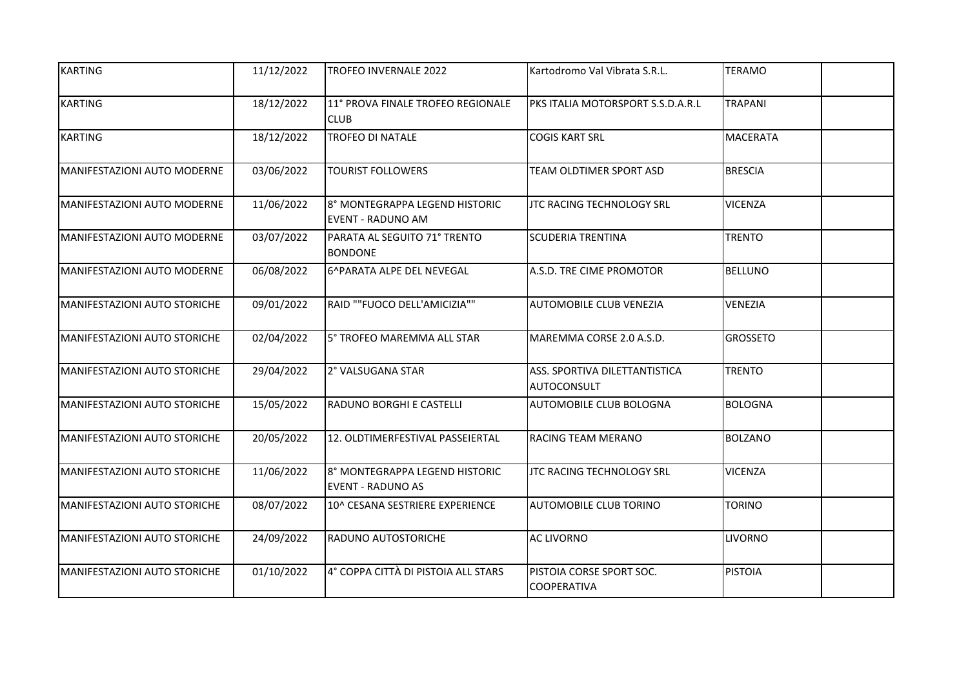| <b>KARTING</b>                      | 11/12/2022 | <b>TROFEO INVERNALE 2022</b>                               | Kartodromo Val Vibrata S.R.L.                  | <b>TERAMO</b>   |
|-------------------------------------|------------|------------------------------------------------------------|------------------------------------------------|-----------------|
| <b>KARTING</b>                      | 18/12/2022 | 11° PROVA FINALE TROFEO REGIONALE<br><b>CLUB</b>           | PKS ITALIA MOTORSPORT S.S.D.A.R.L              | <b>TRAPANI</b>  |
| <b>KARTING</b>                      | 18/12/2022 | <b>TROFEO DI NATALE</b>                                    | <b>COGIS KART SRL</b>                          | <b>MACERATA</b> |
| <b>MANIFESTAZIONI AUTO MODERNE</b>  | 03/06/2022 | <b>TOURIST FOLLOWERS</b>                                   | <b>TEAM OLDTIMER SPORT ASD</b>                 | <b>BRESCIA</b>  |
| <b>MANIFESTAZIONI AUTO MODERNE</b>  | 11/06/2022 | 8° MONTEGRAPPA LEGEND HISTORIC<br><b>EVENT - RADUNO AM</b> | JTC RACING TECHNOLOGY SRL                      | <b>VICENZA</b>  |
| MANIFESTAZIONI AUTO MODERNE         | 03/07/2022 | PARATA AL SEGUITO 71° TRENTO<br><b>BONDONE</b>             | <b>SCUDERIA TRENTINA</b>                       | <b>TRENTO</b>   |
| MANIFESTAZIONI AUTO MODERNE         | 06/08/2022 | 6^PARATA ALPE DEL NEVEGAL                                  | A.S.D. TRE CIME PROMOTOR                       | <b>BELLUNO</b>  |
| MANIFESTAZIONI AUTO STORICHE        | 09/01/2022 | RAID ""FUOCO DELL'AMICIZIA""                               | <b>AUTOMOBILE CLUB VENEZIA</b>                 | <b>VENEZIA</b>  |
| MANIFESTAZIONI AUTO STORICHE        | 02/04/2022 | 5° TROFEO MAREMMA ALL STAR                                 | MAREMMA CORSE 2.0 A.S.D.                       | <b>GROSSETO</b> |
| <b>MANIFESTAZIONI AUTO STORICHE</b> | 29/04/2022 | 2° VALSUGANA STAR                                          | ASS. SPORTIVA DILETTANTISTICA<br>AUTOCONSULT   | <b>TRENTO</b>   |
| <b>MANIFESTAZIONI AUTO STORICHE</b> | 15/05/2022 | RADUNO BORGHI E CASTELLI                                   | <b>AUTOMOBILE CLUB BOLOGNA</b>                 | <b>BOLOGNA</b>  |
| MANIFESTAZIONI AUTO STORICHE        | 20/05/2022 | 12. OLDTIMERFESTIVAL PASSEIERTAL                           | RACING TEAM MERANO                             | <b>BOLZANO</b>  |
| MANIFESTAZIONI AUTO STORICHE        | 11/06/2022 | 8° MONTEGRAPPA LEGEND HISTORIC<br><b>EVENT - RADUNO AS</b> | JTC RACING TECHNOLOGY SRL                      | <b>VICENZA</b>  |
| MANIFESTAZIONI AUTO STORICHE        | 08/07/2022 | 10^ CESANA SESTRIERE EXPERIENCE                            | AUTOMOBILE CLUB TORINO                         | <b>TORINO</b>   |
| MANIFESTAZIONI AUTO STORICHE        | 24/09/2022 | <b>RADUNO AUTOSTORICHE</b>                                 | <b>AC LIVORNO</b>                              | <b>LIVORNO</b>  |
| MANIFESTAZIONI AUTO STORICHE        | 01/10/2022 | 4° COPPA CITTÀ DI PISTOIA ALL STARS                        | PISTOIA CORSE SPORT SOC.<br><b>COOPERATIVA</b> | <b>PISTOIA</b>  |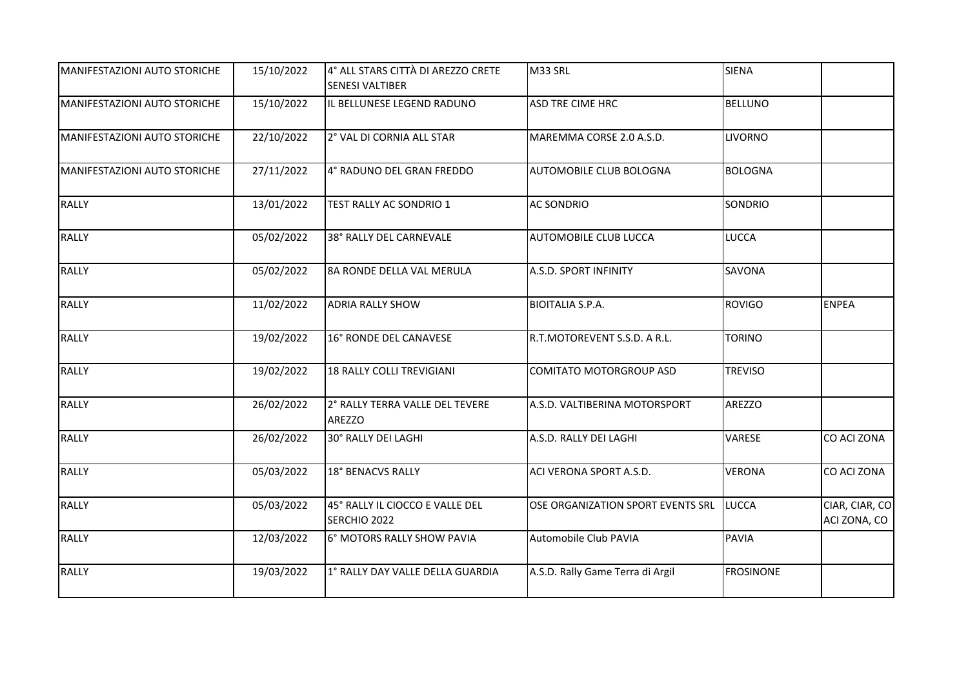| MANIFESTAZIONI AUTO STORICHE | 15/10/2022 | 4° ALL STARS CITTÀ DI AREZZO CRETE<br><b>SENESI VALTIBER</b> | M33 SRL                           | SIENA            |                                |
|------------------------------|------------|--------------------------------------------------------------|-----------------------------------|------------------|--------------------------------|
| MANIFESTAZIONI AUTO STORICHE | 15/10/2022 | IL BELLUNESE LEGEND RADUNO                                   | <b>ASD TRE CIME HRC</b>           | <b>BELLUNO</b>   |                                |
| MANIFESTAZIONI AUTO STORICHE | 22/10/2022 | 2° VAL DI CORNIA ALL STAR                                    | MAREMMA CORSE 2.0 A.S.D.          | <b>LIVORNO</b>   |                                |
| MANIFESTAZIONI AUTO STORICHE | 27/11/2022 | 4° RADUNO DEL GRAN FREDDO                                    | AUTOMOBILE CLUB BOLOGNA           | <b>BOLOGNA</b>   |                                |
| <b>RALLY</b>                 | 13/01/2022 | TEST RALLY AC SONDRIO 1                                      | <b>AC SONDRIO</b>                 | SONDRIO          |                                |
| <b>RALLY</b>                 | 05/02/2022 | 38° RALLY DEL CARNEVALE                                      | AUTOMOBILE CLUB LUCCA             | <b>LUCCA</b>     |                                |
| <b>RALLY</b>                 | 05/02/2022 | 8A RONDE DELLA VAL MERULA                                    | A.S.D. SPORT INFINITY             | <b>SAVONA</b>    |                                |
| <b>RALLY</b>                 | 11/02/2022 | <b>ADRIA RALLY SHOW</b>                                      | <b>BIOITALIA S.P.A.</b>           | ROVIGO           | <b>ENPEA</b>                   |
| <b>RALLY</b>                 | 19/02/2022 | 16° RONDE DEL CANAVESE                                       | R.T.MOTOREVENT S.S.D. A R.L.      | <b>TORINO</b>    |                                |
| <b>RALLY</b>                 | 19/02/2022 | <b>18 RALLY COLLI TREVIGIANI</b>                             | <b>COMITATO MOTORGROUP ASD</b>    | <b>TREVISO</b>   |                                |
| <b>RALLY</b>                 | 26/02/2022 | 2° RALLY TERRA VALLE DEL TEVERE<br>AREZZO                    | A.S.D. VALTIBERINA MOTORSPORT     | <b>AREZZO</b>    |                                |
| <b>RALLY</b>                 | 26/02/2022 | 30° RALLY DEI LAGHI                                          | A.S.D. RALLY DEI LAGHI            | VARESE           | CO ACI ZONA                    |
| <b>RALLY</b>                 | 05/03/2022 | 18° BENACVS RALLY                                            | ACI VERONA SPORT A.S.D.           | <b>VERONA</b>    | CO ACI ZONA                    |
| <b>RALLY</b>                 | 05/03/2022 | 45° RALLY IL CIOCCO E VALLE DEL<br>SERCHIO 2022              | OSE ORGANIZATION SPORT EVENTS SRL | LUCCA            | CIAR, CIAR, CO<br>ACI ZONA, CO |
| <b>RALLY</b>                 | 12/03/2022 | 6° MOTORS RALLY SHOW PAVIA                                   | Automobile Club PAVIA             | PAVIA            |                                |
| <b>RALLY</b>                 | 19/03/2022 | 1° RALLY DAY VALLE DELLA GUARDIA                             | A.S.D. Rally Game Terra di Argil  | <b>FROSINONE</b> |                                |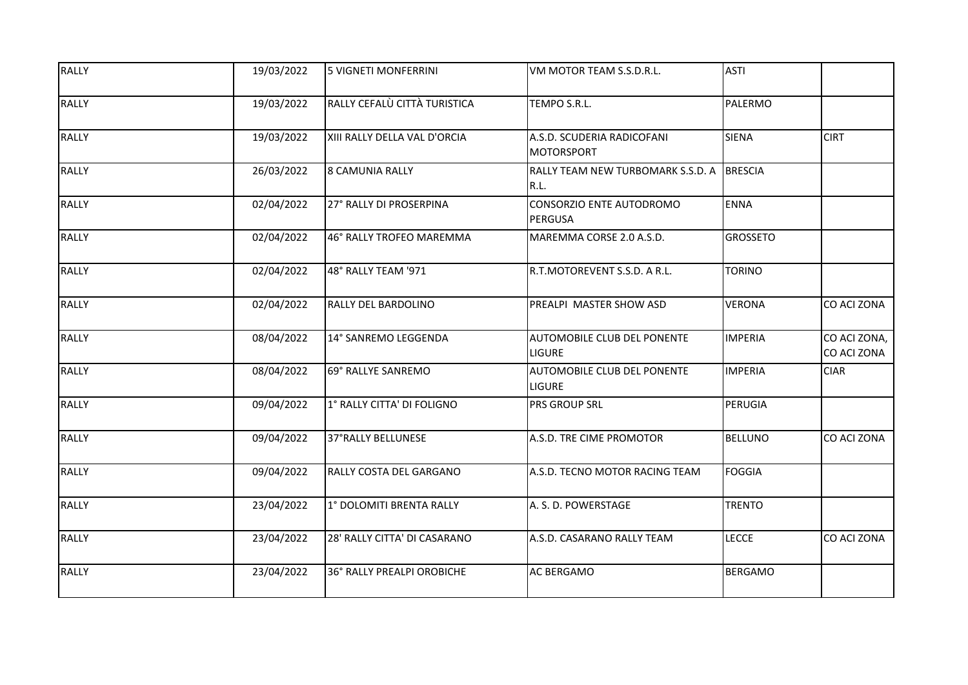| <b>RALLY</b> | 19/03/2022 | <b>5 VIGNETI MONFERRINI</b>  | VM MOTOR TEAM S.S.D.R.L.                        | <b>ASTI</b>     |                             |
|--------------|------------|------------------------------|-------------------------------------------------|-----------------|-----------------------------|
| <b>RALLY</b> | 19/03/2022 | RALLY CEFALÙ CITTÀ TURISTICA | TEMPO S.R.L.                                    | PALERMO         |                             |
| <b>RALLY</b> | 19/03/2022 | XIII RALLY DELLA VAL D'ORCIA | A.S.D. SCUDERIA RADICOFANI<br><b>MOTORSPORT</b> | <b>SIENA</b>    | <b>CIRT</b>                 |
| <b>RALLY</b> | 26/03/2022 | <b>8 CAMUNIA RALLY</b>       | RALLY TEAM NEW TURBOMARK S.S.D. A<br>R.L.       | <b>BRESCIA</b>  |                             |
| <b>RALLY</b> | 02/04/2022 | 27° RALLY DI PROSERPINA      | CONSORZIO ENTE AUTODROMO<br>PERGUSA             | <b>ENNA</b>     |                             |
| <b>RALLY</b> | 02/04/2022 | 46° RALLY TROFEO MAREMMA     | MAREMMA CORSE 2.0 A.S.D.                        | <b>GROSSETO</b> |                             |
| <b>RALLY</b> | 02/04/2022 | 48° RALLY TEAM '971          | R.T.MOTOREVENT S.S.D. A R.L.                    | <b>TORINO</b>   |                             |
| <b>RALLY</b> | 02/04/2022 | RALLY DEL BARDOLINO          | PREALPI MASTER SHOW ASD                         | <b>VERONA</b>   | CO ACI ZONA                 |
| <b>RALLY</b> | 08/04/2022 | 14° SANREMO LEGGENDA         | AUTOMOBILE CLUB DEL PONENTE<br><b>LIGURE</b>    | <b>IMPERIA</b>  | CO ACI ZONA,<br>CO ACI ZONA |
| <b>RALLY</b> | 08/04/2022 | 69° RALLYE SANREMO           | AUTOMOBILE CLUB DEL PONENTE<br><b>LIGURE</b>    | <b>IMPERIA</b>  | <b>CIAR</b>                 |
| <b>RALLY</b> | 09/04/2022 | 1° RALLY CITTA' DI FOLIGNO   | PRS GROUP SRL                                   | <b>PERUGIA</b>  |                             |
| <b>RALLY</b> | 09/04/2022 | 37°RALLY BELLUNESE           | A.S.D. TRE CIME PROMOTOR                        | <b>BELLUNO</b>  | CO ACI ZONA                 |
| <b>RALLY</b> | 09/04/2022 | RALLY COSTA DEL GARGANO      | A.S.D. TECNO MOTOR RACING TEAM                  | <b>FOGGIA</b>   |                             |
| <b>RALLY</b> | 23/04/2022 | 1° DOLOMITI BRENTA RALLY     | A. S. D. POWERSTAGE                             | <b>TRENTO</b>   |                             |
| <b>RALLY</b> | 23/04/2022 | 28' RALLY CITTA' DI CASARANO | A.S.D. CASARANO RALLY TEAM                      | <b>LECCE</b>    | CO ACI ZONA                 |
| <b>RALLY</b> | 23/04/2022 | 36° RALLY PREALPI OROBICHE   | AC BERGAMO                                      | <b>BERGAMO</b>  |                             |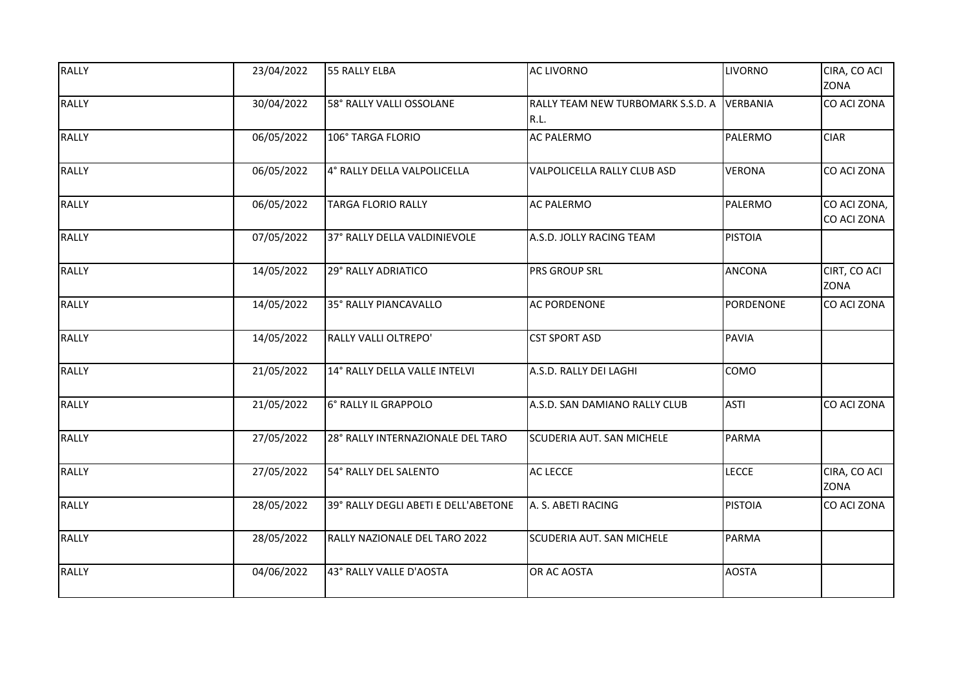| <b>RALLY</b> | 23/04/2022 | 55 RALLY ELBA                        | <b>AC LIVORNO</b>                         | <b>LIVORNO</b> | CIRA, CO ACI<br>ZONA        |
|--------------|------------|--------------------------------------|-------------------------------------------|----------------|-----------------------------|
| <b>RALLY</b> | 30/04/2022 | 58° RALLY VALLI OSSOLANE             | RALLY TEAM NEW TURBOMARK S.S.D. A<br>R.L. | VERBANIA       | CO ACI ZONA                 |
| <b>RALLY</b> | 06/05/2022 | 106° TARGA FLORIO                    | <b>AC PALERMO</b>                         | <b>PALERMO</b> | <b>CIAR</b>                 |
| <b>RALLY</b> | 06/05/2022 | 4° RALLY DELLA VALPOLICELLA          | VALPOLICELLA RALLY CLUB ASD               | <b>VERONA</b>  | CO ACI ZONA                 |
| <b>RALLY</b> | 06/05/2022 | <b>TARGA FLORIO RALLY</b>            | <b>AC PALERMO</b>                         | PALERMO        | CO ACI ZONA,<br>CO ACI ZONA |
| <b>RALLY</b> | 07/05/2022 | 37° RALLY DELLA VALDINIEVOLE         | A.S.D. JOLLY RACING TEAM                  | <b>PISTOIA</b> |                             |
| <b>RALLY</b> | 14/05/2022 | 29° RALLY ADRIATICO                  | <b>PRS GROUP SRL</b>                      | <b>ANCONA</b>  | CIRT, CO ACI<br><b>ZONA</b> |
| <b>RALLY</b> | 14/05/2022 | 35° RALLY PIANCAVALLO                | <b>AC PORDENONE</b>                       | PORDENONE      | CO ACI ZONA                 |
| <b>RALLY</b> | 14/05/2022 | RALLY VALLI OLTREPO'                 | <b>CST SPORT ASD</b>                      | <b>PAVIA</b>   |                             |
| <b>RALLY</b> | 21/05/2022 | 14° RALLY DELLA VALLE INTELVI        | A.S.D. RALLY DEI LAGHI                    | COMO           |                             |
| <b>RALLY</b> | 21/05/2022 | 6° RALLY IL GRAPPOLO                 | A.S.D. SAN DAMIANO RALLY CLUB             | <b>ASTI</b>    | CO ACI ZONA                 |
| <b>RALLY</b> | 27/05/2022 | 28° RALLY INTERNAZIONALE DEL TARO    | SCUDERIA AUT. SAN MICHELE                 | <b>PARMA</b>   |                             |
| <b>RALLY</b> | 27/05/2022 | 54° RALLY DEL SALENTO                | <b>AC LECCE</b>                           | <b>LECCE</b>   | CIRA, CO ACI<br><b>ZONA</b> |
| <b>RALLY</b> | 28/05/2022 | 39° RALLY DEGLI ABETI E DELL'ABETONE | A. S. ABETI RACING                        | <b>PISTOIA</b> | CO ACI ZONA                 |
| <b>RALLY</b> | 28/05/2022 | RALLY NAZIONALE DEL TARO 2022        | SCUDERIA AUT. SAN MICHELE                 | <b>PARMA</b>   |                             |
| <b>RALLY</b> | 04/06/2022 | 43° RALLY VALLE D'AOSTA              | OR AC AOSTA                               | <b>AOSTA</b>   |                             |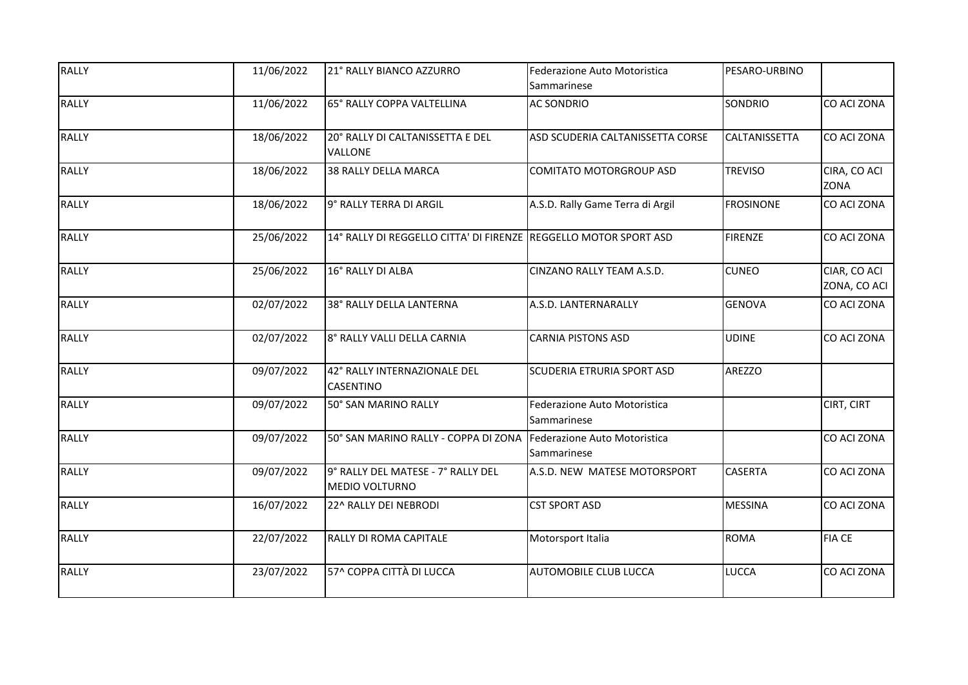| <b>RALLY</b> | 11/06/2022 | 21° RALLY BIANCO AZZURRO                                          | Federazione Auto Motoristica<br>Sammarinese | PESARO-URBINO    |                              |
|--------------|------------|-------------------------------------------------------------------|---------------------------------------------|------------------|------------------------------|
| <b>RALLY</b> | 11/06/2022 | 65° RALLY COPPA VALTELLINA                                        | <b>AC SONDRIO</b>                           | SONDRIO          | CO ACI ZONA                  |
| <b>RALLY</b> | 18/06/2022 | 20° RALLY DI CALTANISSETTA E DEL<br>VALLONE                       | ASD SCUDERIA CALTANISSETTA CORSE            | CALTANISSETTA    | <b>CO ACI ZONA</b>           |
| <b>RALLY</b> | 18/06/2022 | 38 RALLY DELLA MARCA                                              | <b>COMITATO MOTORGROUP ASD</b>              | <b>TREVISO</b>   | CIRA, CO ACI<br>ZONA         |
| <b>RALLY</b> | 18/06/2022 | 9° RALLY TERRA DI ARGIL                                           | A.S.D. Rally Game Terra di Argil            | <b>FROSINONE</b> | CO ACI ZONA                  |
| <b>RALLY</b> | 25/06/2022 | 14° RALLY DI REGGELLO CITTA' DI FIRENZE REGGELLO MOTOR SPORT ASD  |                                             | <b>FIRENZE</b>   | CO ACI ZONA                  |
| <b>RALLY</b> | 25/06/2022 | 16° RALLY DI ALBA                                                 | CINZANO RALLY TEAM A.S.D.                   | <b>CUNEO</b>     | CIAR, CO ACI<br>ZONA, CO ACI |
| <b>RALLY</b> | 02/07/2022 | 38° RALLY DELLA LANTERNA                                          | A.S.D. LANTERNARALLY                        | <b>GENOVA</b>    | CO ACI ZONA                  |
| <b>RALLY</b> | 02/07/2022 | 8° RALLY VALLI DELLA CARNIA                                       | <b>CARNIA PISTONS ASD</b>                   | <b>UDINE</b>     | CO ACI ZONA                  |
| <b>RALLY</b> | 09/07/2022 | 42° RALLY INTERNAZIONALE DEL<br><b>CASENTINO</b>                  | <b>SCUDERIA ETRURIA SPORT ASD</b>           | AREZZO           |                              |
| <b>RALLY</b> | 09/07/2022 | 50° SAN MARINO RALLY                                              | Federazione Auto Motoristica<br>Sammarinese |                  | CIRT, CIRT                   |
| <b>RALLY</b> | 09/07/2022 | 50° SAN MARINO RALLY - COPPA DI ZONA Federazione Auto Motoristica | Sammarinese                                 |                  | CO ACI ZONA                  |
| <b>RALLY</b> | 09/07/2022 | 9° RALLY DEL MATESE - 7° RALLY DEL<br><b>MEDIO VOLTURNO</b>       | A.S.D. NEW MATESE MOTORSPORT                | CASERTA          | CO ACI ZONA                  |
| <b>RALLY</b> | 16/07/2022 | 22^ RALLY DEI NEBRODI                                             | <b>CST SPORT ASD</b>                        | <b>MESSINA</b>   | CO ACI ZONA                  |
| <b>RALLY</b> | 22/07/2022 | RALLY DI ROMA CAPITALE                                            | Motorsport Italia                           | <b>ROMA</b>      | <b>FIA CE</b>                |
| <b>RALLY</b> | 23/07/2022 | 57^ COPPA CITTÀ DI LUCCA                                          | <b>AUTOMOBILE CLUB LUCCA</b>                | LUCCA            | CO ACI ZONA                  |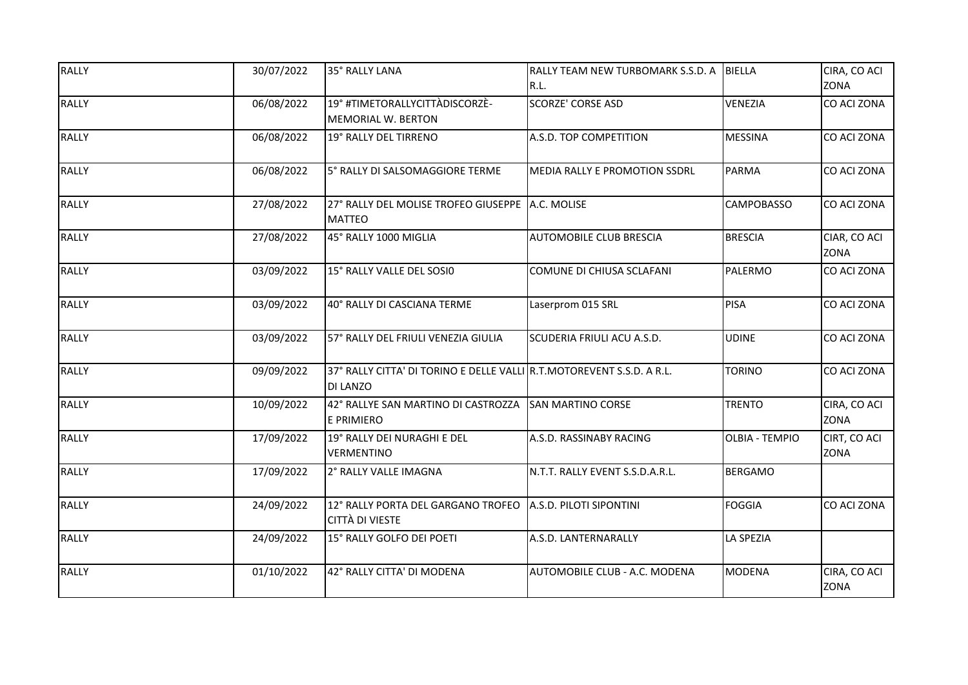| <b>RALLY</b> | 30/07/2022 | 35° RALLY LANA                                                                           | RALLY TEAM NEW TURBOMARK S.S.D. A<br>R.L. | <b>BIELLA</b>         | CIRA, CO ACI<br>ZONA        |
|--------------|------------|------------------------------------------------------------------------------------------|-------------------------------------------|-----------------------|-----------------------------|
| <b>RALLY</b> | 06/08/2022 | 19° #TIMETORALLYCITTÀDISCORZÈ-<br>MEMORIAL W. BERTON                                     | <b>SCORZE' CORSE ASD</b>                  | <b>VENEZIA</b>        | CO ACI ZONA                 |
| <b>RALLY</b> | 06/08/2022 | 19° RALLY DEL TIRRENO                                                                    | A.S.D. TOP COMPETITION                    | <b>MESSINA</b>        | CO ACI ZONA                 |
| <b>RALLY</b> | 06/08/2022 | 5° RALLY DI SALSOMAGGIORE TERME                                                          | MEDIA RALLY E PROMOTION SSDRL             | <b>PARMA</b>          | CO ACI ZONA                 |
| <b>RALLY</b> | 27/08/2022 | 27° RALLY DEL MOLISE TROFEO GIUSEPPE   A.C. MOLISE<br><b>MATTEO</b>                      |                                           | <b>CAMPOBASSO</b>     | CO ACI ZONA                 |
| <b>RALLY</b> | 27/08/2022 | 45° RALLY 1000 MIGLIA                                                                    | AUTOMOBILE CLUB BRESCIA                   | <b>BRESCIA</b>        | CIAR, CO ACI<br><b>ZONA</b> |
| <b>RALLY</b> | 03/09/2022 | 15° RALLY VALLE DEL SOSIO                                                                | COMUNE DI CHIUSA SCLAFANI                 | PALERMO               | CO ACI ZONA                 |
| <b>RALLY</b> | 03/09/2022 | 40° RALLY DI CASCIANA TERME                                                              | Laserprom 015 SRL                         | <b>PISA</b>           | CO ACI ZONA                 |
| <b>RALLY</b> | 03/09/2022 | 57° RALLY DEL FRIULI VENEZIA GIULIA                                                      | SCUDERIA FRIULI ACU A.S.D.                | <b>UDINE</b>          | CO ACI ZONA                 |
| <b>RALLY</b> | 09/09/2022 | 37° RALLY CITTA' DI TORINO E DELLE VALLI R.T.MOTOREVENT S.S.D. A R.L.<br><b>DI LANZO</b> |                                           | <b>TORINO</b>         | CO ACI ZONA                 |
| <b>RALLY</b> | 10/09/2022 | 42° RALLYE SAN MARTINO DI CASTROZZA SAN MARTINO CORSE<br>E PRIMIERO                      |                                           | <b>TRENTO</b>         | CIRA, CO ACI<br><b>ZONA</b> |
| <b>RALLY</b> | 17/09/2022 | 19° RALLY DEI NURAGHI E DEL<br><b>VERMENTINO</b>                                         | A.S.D. RASSINABY RACING                   | <b>OLBIA - TEMPIO</b> | CIRT, CO ACI<br><b>ZONA</b> |
| <b>RALLY</b> | 17/09/2022 | 2° RALLY VALLE IMAGNA                                                                    | N.T.T. RALLY EVENT S.S.D.A.R.L.           | <b>BERGAMO</b>        |                             |
| <b>RALLY</b> | 24/09/2022 | 12° RALLY PORTA DEL GARGANO TROFEO A.S.D. PILOTI SIPONTINI<br><b>CITTÀ DI VIESTE</b>     |                                           | <b>FOGGIA</b>         | CO ACI ZONA                 |
| <b>RALLY</b> | 24/09/2022 | 15° RALLY GOLFO DEI POETI                                                                | A.S.D. LANTERNARALLY                      | <b>LA SPEZIA</b>      |                             |
| <b>RALLY</b> | 01/10/2022 | 42° RALLY CITTA' DI MODENA                                                               | AUTOMOBILE CLUB - A.C. MODENA             | <b>MODENA</b>         | CIRA, CO ACI<br>ZONA        |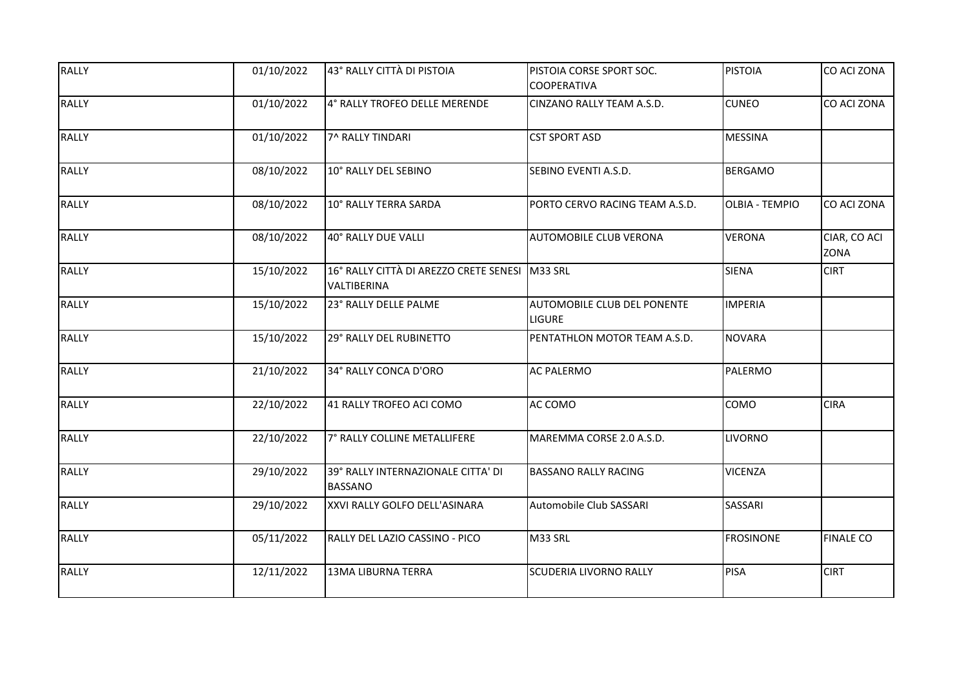| <b>RALLY</b> | 01/10/2022 | 43° RALLY CITTÀ DI PISTOIA                                    | PISTOIA CORSE SPORT SOC.<br><b>COOPERATIVA</b> | <b>PISTOIA</b>        | CO ACI ZONA                 |
|--------------|------------|---------------------------------------------------------------|------------------------------------------------|-----------------------|-----------------------------|
| <b>RALLY</b> | 01/10/2022 | 4° RALLY TROFEO DELLE MERENDE                                 | CINZANO RALLY TEAM A.S.D.                      | <b>CUNEO</b>          | CO ACI ZONA                 |
| <b>RALLY</b> | 01/10/2022 | 7^ RALLY TINDARI                                              | <b>CST SPORT ASD</b>                           | <b>MESSINA</b>        |                             |
| <b>RALLY</b> | 08/10/2022 | 10° RALLY DEL SEBINO                                          | SEBINO EVENTI A.S.D.                           | <b>BERGAMO</b>        |                             |
| <b>RALLY</b> | 08/10/2022 | 10° RALLY TERRA SARDA                                         | PORTO CERVO RACING TEAM A.S.D.                 | <b>OLBIA - TEMPIO</b> | CO ACI ZONA                 |
| <b>RALLY</b> | 08/10/2022 | 40° RALLY DUE VALLI                                           | AUTOMOBILE CLUB VERONA                         | <b>VERONA</b>         | CIAR, CO ACI<br><b>ZONA</b> |
| <b>RALLY</b> | 15/10/2022 | 16° RALLY CITTÀ DI AREZZO CRETE SENESI M33 SRL<br>VALTIBERINA |                                                | <b>SIENA</b>          | <b>CIRT</b>                 |
| <b>RALLY</b> | 15/10/2022 | 23° RALLY DELLE PALME                                         | AUTOMOBILE CLUB DEL PONENTE<br><b>LIGURE</b>   | <b>IMPERIA</b>        |                             |
| <b>RALLY</b> | 15/10/2022 | 29° RALLY DEL RUBINETTO                                       | PENTATHLON MOTOR TEAM A.S.D.                   | <b>NOVARA</b>         |                             |
| <b>RALLY</b> | 21/10/2022 | 34° RALLY CONCA D'ORO                                         | <b>AC PALERMO</b>                              | PALERMO               |                             |
| <b>RALLY</b> | 22/10/2022 | 41 RALLY TROFEO ACI COMO                                      | AC COMO                                        | COMO                  | <b>CIRA</b>                 |
| <b>RALLY</b> | 22/10/2022 | 7° RALLY COLLINE METALLIFERE                                  | MAREMMA CORSE 2.0 A.S.D.                       | <b>LIVORNO</b>        |                             |
| <b>RALLY</b> | 29/10/2022 | 39° RALLY INTERNAZIONALE CITTA' DI<br><b>BASSANO</b>          | <b>BASSANO RALLY RACING</b>                    | <b>VICENZA</b>        |                             |
| <b>RALLY</b> | 29/10/2022 | XXVI RALLY GOLFO DELL'ASINARA                                 | Automobile Club SASSARI                        | SASSARI               |                             |
| <b>RALLY</b> | 05/11/2022 | RALLY DEL LAZIO CASSINO - PICO                                | M33 SRL                                        | <b>FROSINONE</b>      | <b>FINALE CO</b>            |
| <b>RALLY</b> | 12/11/2022 | <b>13MA LIBURNA TERRA</b>                                     | <b>SCUDERIA LIVORNO RALLY</b>                  | <b>PISA</b>           | <b>CIRT</b>                 |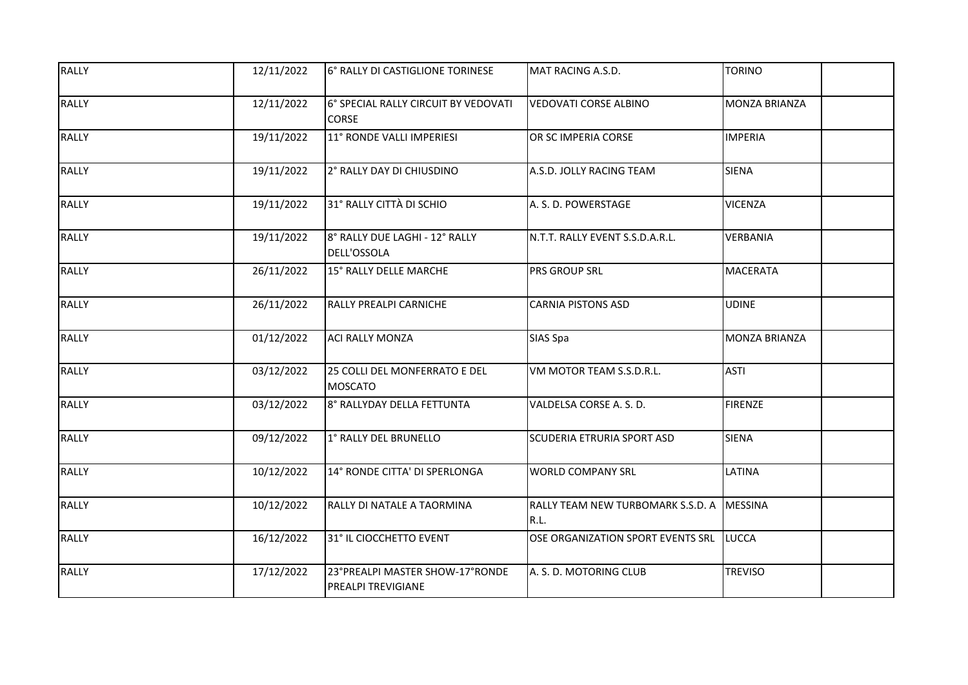| <b>RALLY</b> | 12/11/2022 | 6° RALLY DI CASTIGLIONE TORINESE                      | MAT RACING A.S.D.                         | <b>TORINO</b>        |
|--------------|------------|-------------------------------------------------------|-------------------------------------------|----------------------|
| <b>RALLY</b> | 12/11/2022 | 6° SPECIAL RALLY CIRCUIT BY VEDOVATI<br>CORSE         | <b>VEDOVATI CORSE ALBINO</b>              | <b>MONZA BRIANZA</b> |
| <b>RALLY</b> | 19/11/2022 | 11° RONDE VALLI IMPERIESI                             | OR SC IMPERIA CORSE                       | <b>IMPERIA</b>       |
| <b>RALLY</b> | 19/11/2022 | 2° RALLY DAY DI CHIUSDINO                             | A.S.D. JOLLY RACING TEAM                  | <b>SIENA</b>         |
| <b>RALLY</b> | 19/11/2022 | 31° RALLY CITTÀ DI SCHIO                              | A. S. D. POWERSTAGE                       | <b>VICENZA</b>       |
| <b>RALLY</b> | 19/11/2022 | 8° RALLY DUE LAGHI - 12° RALLY<br>DELL'OSSOLA         | N.T.T. RALLY EVENT S.S.D.A.R.L.           | VERBANIA             |
| <b>RALLY</b> | 26/11/2022 | 15° RALLY DELLE MARCHE                                | PRS GROUP SRL                             | <b>MACERATA</b>      |
| <b>RALLY</b> | 26/11/2022 | RALLY PREALPI CARNICHE                                | <b>CARNIA PISTONS ASD</b>                 | <b>UDINE</b>         |
| <b>RALLY</b> | 01/12/2022 | <b>ACI RALLY MONZA</b>                                | <b>SIAS Spa</b>                           | <b>MONZA BRIANZA</b> |
| <b>RALLY</b> | 03/12/2022 | 25 COLLI DEL MONFERRATO E DEL<br><b>MOSCATO</b>       | VM MOTOR TEAM S.S.D.R.L.                  | <b>ASTI</b>          |
| <b>RALLY</b> | 03/12/2022 | 8° RALLYDAY DELLA FETTUNTA                            | VALDELSA CORSE A. S. D.                   | <b>FIRENZE</b>       |
| <b>RALLY</b> | 09/12/2022 | 1° RALLY DEL BRUNELLO                                 | SCUDERIA ETRURIA SPORT ASD                | <b>SIENA</b>         |
| <b>RALLY</b> | 10/12/2022 | 14° RONDE CITTA' DI SPERLONGA                         | <b>WORLD COMPANY SRL</b>                  | LATINA               |
| <b>RALLY</b> | 10/12/2022 | RALLY DI NATALE A TAORMINA                            | RALLY TEAM NEW TURBOMARK S.S.D. A<br>R.L. | MESSINA              |
| <b>RALLY</b> | 16/12/2022 | 31° IL CIOCCHETTO EVENT                               | OSE ORGANIZATION SPORT EVENTS SRL         | LUCCA                |
| <b>RALLY</b> | 17/12/2022 | 23°PREALPI MASTER SHOW-17°RONDE<br>PREALPI TREVIGIANE | A. S. D. MOTORING CLUB                    | <b>TREVISO</b>       |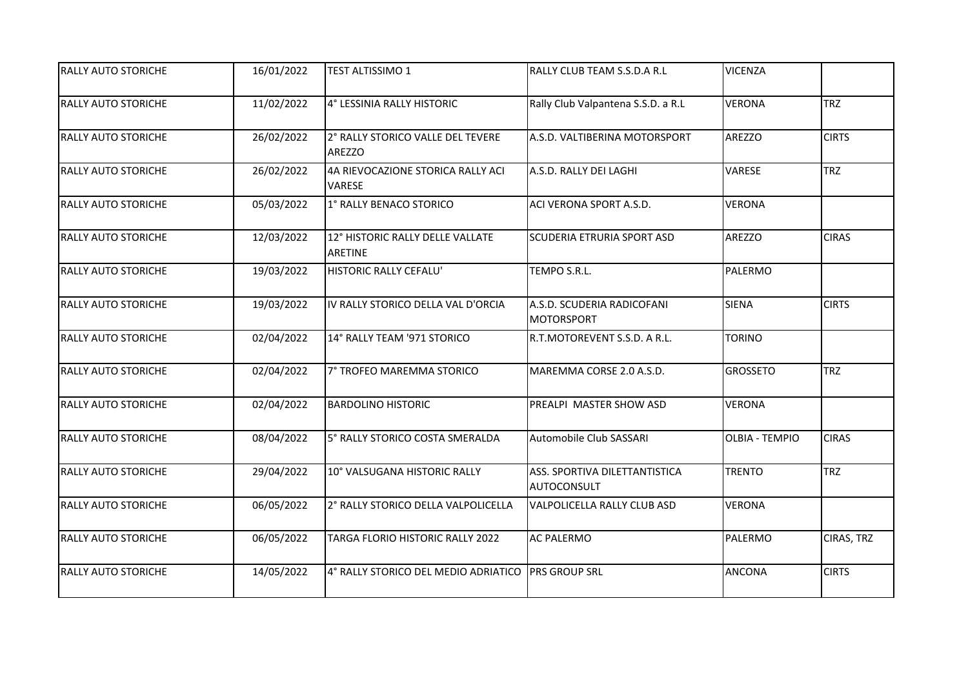| <b>RALLY AUTO STORICHE</b> | 16/01/2022 | TEST ALTISSIMO 1                                   | RALLY CLUB TEAM S.S.D.A R.L                     | <b>VICENZA</b>        |              |
|----------------------------|------------|----------------------------------------------------|-------------------------------------------------|-----------------------|--------------|
| <b>RALLY AUTO STORICHE</b> | 11/02/2022 | 4° LESSINIA RALLY HISTORIC                         | Rally Club Valpantena S.S.D. a R.L              | <b>VERONA</b>         | <b>TRZ</b>   |
| <b>RALLY AUTO STORICHE</b> | 26/02/2022 | 2° RALLY STORICO VALLE DEL TEVERE<br><b>AREZZO</b> | A.S.D. VALTIBERINA MOTORSPORT                   | AREZZO                | <b>CIRTS</b> |
| <b>RALLY AUTO STORICHE</b> | 26/02/2022 | 4A RIEVOCAZIONE STORICA RALLY ACI<br><b>VARESE</b> | A.S.D. RALLY DEI LAGHI                          | VARESE                | <b>TRZ</b>   |
| <b>RALLY AUTO STORICHE</b> | 05/03/2022 | 1° RALLY BENACO STORICO                            | ACI VERONA SPORT A.S.D.                         | <b>VERONA</b>         |              |
| <b>RALLY AUTO STORICHE</b> | 12/03/2022 | 12° HISTORIC RALLY DELLE VALLATE<br><b>ARETINE</b> | <b>SCUDERIA ETRURIA SPORT ASD</b>               | <b>AREZZO</b>         | <b>CIRAS</b> |
| <b>RALLY AUTO STORICHE</b> | 19/03/2022 | <b>HISTORIC RALLY CEFALU'</b>                      | TEMPO S.R.L.                                    | PALERMO               |              |
| <b>RALLY AUTO STORICHE</b> | 19/03/2022 | IV RALLY STORICO DELLA VAL D'ORCIA                 | A.S.D. SCUDERIA RADICOFANI<br><b>MOTORSPORT</b> | <b>SIENA</b>          | <b>CIRTS</b> |
| <b>RALLY AUTO STORICHE</b> | 02/04/2022 | 14° RALLY TEAM '971 STORICO                        | R.T.MOTOREVENT S.S.D. A R.L.                    | <b>TORINO</b>         |              |
| <b>RALLY AUTO STORICHE</b> | 02/04/2022 | 7° TROFEO MAREMMA STORICO                          | MAREMMA CORSE 2.0 A.S.D.                        | <b>GROSSETO</b>       | <b>TRZ</b>   |
| <b>RALLY AUTO STORICHE</b> | 02/04/2022 | <b>BARDOLINO HISTORIC</b>                          | PREALPI MASTER SHOW ASD                         | <b>VERONA</b>         |              |
| <b>RALLY AUTO STORICHE</b> | 08/04/2022 | 5° RALLY STORICO COSTA SMERALDA                    | Automobile Club SASSARI                         | <b>OLBIA - TEMPIO</b> | <b>CIRAS</b> |
| <b>RALLY AUTO STORICHE</b> | 29/04/2022 | 10° VALSUGANA HISTORIC RALLY                       | ASS. SPORTIVA DILETTANTISTICA<br>AUTOCONSULT    | <b>TRENTO</b>         | <b>TRZ</b>   |
| <b>RALLY AUTO STORICHE</b> | 06/05/2022 | 2° RALLY STORICO DELLA VALPOLICELLA                | VALPOLICELLA RALLY CLUB ASD                     | <b>VERONA</b>         |              |
| <b>RALLY AUTO STORICHE</b> | 06/05/2022 | TARGA FLORIO HISTORIC RALLY 2022                   | <b>AC PALERMO</b>                               | PALERMO               | CIRAS, TRZ   |
| <b>RALLY AUTO STORICHE</b> | 14/05/2022 | 4° RALLY STORICO DEL MEDIO ADRIATICO PRS GROUP SRL |                                                 | <b>ANCONA</b>         | <b>CIRTS</b> |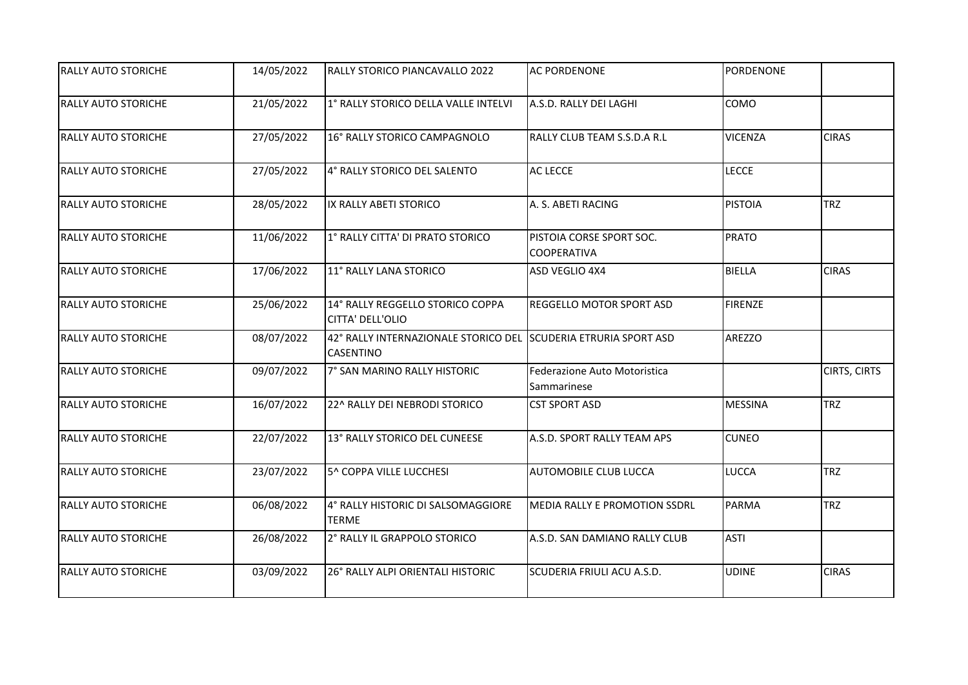| <b>RALLY AUTO STORICHE</b> | 14/05/2022 | RALLY STORICO PIANCAVALLO 2022                                                      | <b>AC PORDENONE</b>                            | PORDENONE      |              |
|----------------------------|------------|-------------------------------------------------------------------------------------|------------------------------------------------|----------------|--------------|
| <b>RALLY AUTO STORICHE</b> | 21/05/2022 | 1° RALLY STORICO DELLA VALLE INTELVI                                                | A.S.D. RALLY DEI LAGHI                         | COMO           |              |
| <b>RALLY AUTO STORICHE</b> | 27/05/2022 | 16° RALLY STORICO CAMPAGNOLO                                                        | RALLY CLUB TEAM S.S.D.A R.L                    | <b>VICENZA</b> | <b>CIRAS</b> |
| <b>RALLY AUTO STORICHE</b> | 27/05/2022 | 4° RALLY STORICO DEL SALENTO                                                        | AC LECCE                                       | <b>LECCE</b>   |              |
| <b>RALLY AUTO STORICHE</b> | 28/05/2022 | IX RALLY ABETI STORICO                                                              | A. S. ABETI RACING                             | <b>PISTOIA</b> | <b>TRZ</b>   |
| <b>RALLY AUTO STORICHE</b> | 11/06/2022 | 1° RALLY CITTA' DI PRATO STORICO                                                    | PISTOIA CORSE SPORT SOC.<br><b>COOPERATIVA</b> | <b>PRATO</b>   |              |
| <b>RALLY AUTO STORICHE</b> | 17/06/2022 | 11° RALLY LANA STORICO                                                              | ASD VEGLIO 4X4                                 | <b>BIELLA</b>  | <b>CIRAS</b> |
| <b>RALLY AUTO STORICHE</b> | 25/06/2022 | 14° RALLY REGGELLO STORICO COPPA<br>CITTA' DELL'OLIO                                | REGGELLO MOTOR SPORT ASD                       | <b>FIRENZE</b> |              |
| <b>RALLY AUTO STORICHE</b> | 08/07/2022 | 42° RALLY INTERNAZIONALE STORICO DEL SCUDERIA ETRURIA SPORT ASD<br><b>CASENTINO</b> |                                                | AREZZO         |              |
| <b>RALLY AUTO STORICHE</b> | 09/07/2022 | 7° SAN MARINO RALLY HISTORIC                                                        | Federazione Auto Motoristica<br>Sammarinese    |                | CIRTS, CIRTS |
| <b>RALLY AUTO STORICHE</b> | 16/07/2022 | 22^ RALLY DEI NEBRODI STORICO                                                       | <b>CST SPORT ASD</b>                           | <b>MESSINA</b> | <b>TRZ</b>   |
| <b>RALLY AUTO STORICHE</b> | 22/07/2022 | 13° RALLY STORICO DEL CUNEESE                                                       | A.S.D. SPORT RALLY TEAM APS                    | <b>CUNEO</b>   |              |
| <b>RALLY AUTO STORICHE</b> | 23/07/2022 | 5^ COPPA VILLE LUCCHESI                                                             | AUTOMOBILE CLUB LUCCA                          | <b>LUCCA</b>   | TRZ          |
| <b>RALLY AUTO STORICHE</b> | 06/08/2022 | 4° RALLY HISTORIC DI SALSOMAGGIORE<br><b>TERME</b>                                  | <b>MEDIA RALLY E PROMOTION SSDRL</b>           | PARMA          | <b>TRZ</b>   |
| <b>RALLY AUTO STORICHE</b> | 26/08/2022 | 2° RALLY IL GRAPPOLO STORICO                                                        | A.S.D. SAN DAMIANO RALLY CLUB                  | <b>ASTI</b>    |              |
| <b>RALLY AUTO STORICHE</b> | 03/09/2022 | 26° RALLY ALPI ORIENTALI HISTORIC                                                   | SCUDERIA FRIULI ACU A.S.D.                     | <b>UDINE</b>   | <b>CIRAS</b> |
|                            |            |                                                                                     |                                                |                |              |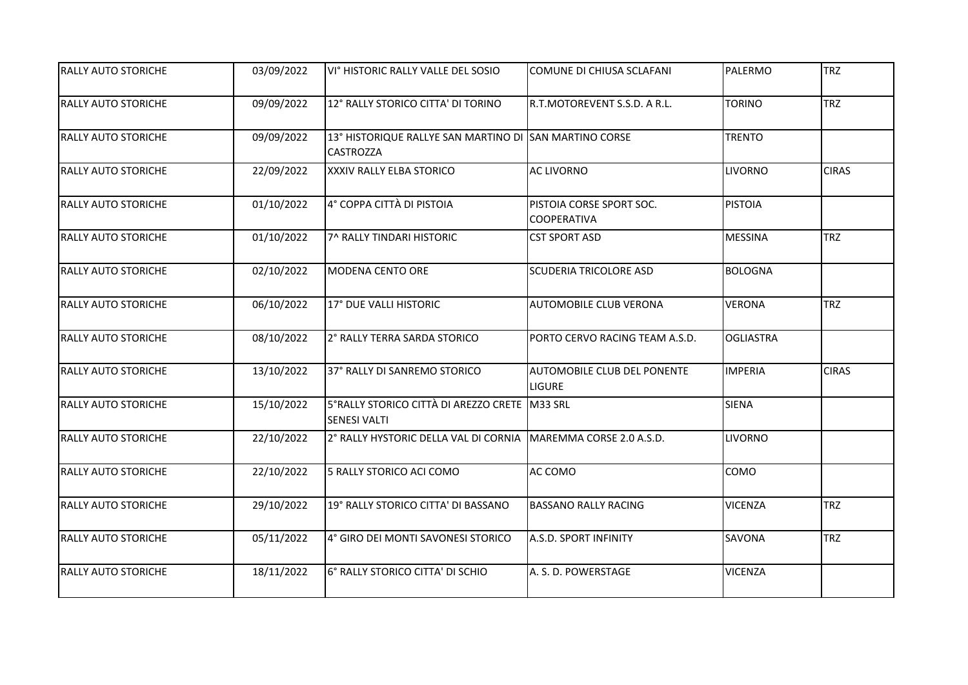| <b>RALLY AUTO STORICHE</b> | 03/09/2022 | VI° HISTORIC RALLY VALLE DEL SOSIO                                         | COMUNE DI CHIUSA SCLAFANI                      | PALERMO          | <b>TRZ</b>   |
|----------------------------|------------|----------------------------------------------------------------------------|------------------------------------------------|------------------|--------------|
| <b>RALLY AUTO STORICHE</b> | 09/09/2022 | 12° RALLY STORICO CITTA' DI TORINO                                         | R.T.MOTOREVENT S.S.D. A R.L.                   | <b>TORINO</b>    | <b>TRZ</b>   |
|                            |            |                                                                            |                                                |                  |              |
| <b>RALLY AUTO STORICHE</b> | 09/09/2022 | 13° HISTORIQUE RALLYE SAN MARTINO DI SAN MARTINO CORSE<br><b>CASTROZZA</b> |                                                | <b>TRENTO</b>    |              |
| <b>RALLY AUTO STORICHE</b> | 22/09/2022 | XXXIV RALLY ELBA STORICO                                                   | <b>AC LIVORNO</b>                              | <b>LIVORNO</b>   | <b>CIRAS</b> |
| <b>RALLY AUTO STORICHE</b> | 01/10/2022 | 4° COPPA CITTÀ DI PISTOIA                                                  | PISTOIA CORSE SPORT SOC.<br><b>COOPERATIVA</b> | <b>PISTOIA</b>   |              |
| <b>RALLY AUTO STORICHE</b> | 01/10/2022 | 7^ RALLY TINDARI HISTORIC                                                  | <b>CST SPORT ASD</b>                           | <b>MESSINA</b>   | <b>TRZ</b>   |
| <b>RALLY AUTO STORICHE</b> | 02/10/2022 | <b>MODENA CENTO ORE</b>                                                    | <b>SCUDERIA TRICOLORE ASD</b>                  | <b>BOLOGNA</b>   |              |
| <b>RALLY AUTO STORICHE</b> | 06/10/2022 | 17° DUE VALLI HISTORIC                                                     | <b>AUTOMOBILE CLUB VERONA</b>                  | <b>VERONA</b>    | <b>TRZ</b>   |
| <b>RALLY AUTO STORICHE</b> | 08/10/2022 | 2° RALLY TERRA SARDA STORICO                                               | PORTO CERVO RACING TEAM A.S.D.                 | <b>OGLIASTRA</b> |              |
| <b>RALLY AUTO STORICHE</b> | 13/10/2022 | 37° RALLY DI SANREMO STORICO                                               | AUTOMOBILE CLUB DEL PONENTE<br><b>LIGURE</b>   | <b>IMPERIA</b>   | <b>CIRAS</b> |
| <b>RALLY AUTO STORICHE</b> | 15/10/2022 | 5°RALLY STORICO CITTÀ DI AREZZO CRETE M33 SRL<br><b>SENESI VALTI</b>       |                                                | <b>SIENA</b>     |              |
| RALLY AUTO STORICHE        | 22/10/2022 | 2° RALLY HYSTORIC DELLA VAL DI CORNIA MAREMMA CORSE 2.0 A.S.D.             |                                                | <b>LIVORNO</b>   |              |
| <b>RALLY AUTO STORICHE</b> | 22/10/2022 | 5 RALLY STORICO ACI COMO                                                   | AC COMO                                        | COMO             |              |
| <b>RALLY AUTO STORICHE</b> | 29/10/2022 | 19° RALLY STORICO CITTA' DI BASSANO                                        | <b>BASSANO RALLY RACING</b>                    | <b>VICENZA</b>   | <b>TRZ</b>   |
| <b>RALLY AUTO STORICHE</b> | 05/11/2022 | 4° GIRO DEI MONTI SAVONESI STORICO                                         | A.S.D. SPORT INFINITY                          | SAVONA           | <b>TRZ</b>   |
| <b>RALLY AUTO STORICHE</b> | 18/11/2022 | 6° RALLY STORICO CITTA' DI SCHIO                                           | A. S. D. POWERSTAGE                            | <b>VICENZA</b>   |              |
|                            |            |                                                                            |                                                |                  |              |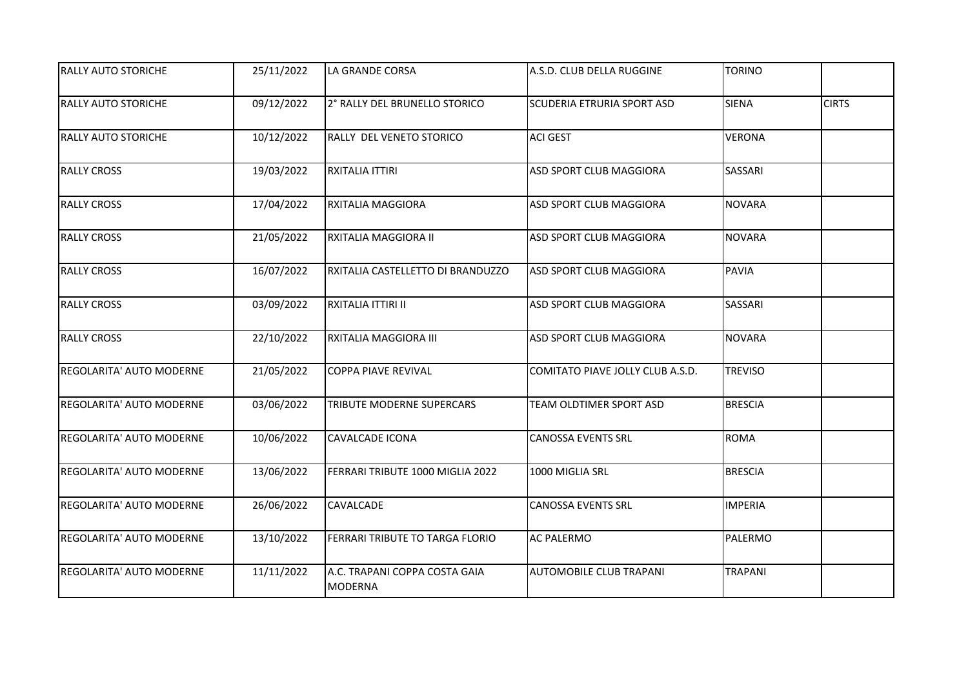| <b>RALLY AUTO STORICHE</b>      | 25/11/2022 | LA GRANDE CORSA                                 | A.S.D. CLUB DELLA RUGGINE        | <b>TORINO</b>  |              |
|---------------------------------|------------|-------------------------------------------------|----------------------------------|----------------|--------------|
| <b>RALLY AUTO STORICHE</b>      | 09/12/2022 | 2° RALLY DEL BRUNELLO STORICO                   | SCUDERIA ETRURIA SPORT ASD       | <b>SIENA</b>   | <b>CIRTS</b> |
| <b>RALLY AUTO STORICHE</b>      | 10/12/2022 | RALLY DEL VENETO STORICO                        | <b>ACI GEST</b>                  | <b>VERONA</b>  |              |
| <b>RALLY CROSS</b>              | 19/03/2022 | RXITALIA ITTIRI                                 | ASD SPORT CLUB MAGGIORA          | SASSARI        |              |
| <b>RALLY CROSS</b>              | 17/04/2022 | RXITALIA MAGGIORA                               | ASD SPORT CLUB MAGGIORA          | <b>NOVARA</b>  |              |
| <b>RALLY CROSS</b>              | 21/05/2022 | RXITALIA MAGGIORA II                            | ASD SPORT CLUB MAGGIORA          | <b>NOVARA</b>  |              |
| <b>RALLY CROSS</b>              | 16/07/2022 | RXITALIA CASTELLETTO DI BRANDUZZO               | ASD SPORT CLUB MAGGIORA          | <b>PAVIA</b>   |              |
| <b>RALLY CROSS</b>              | 03/09/2022 | RXITALIA ITTIRI II                              | ASD SPORT CLUB MAGGIORA          | SASSARI        |              |
| <b>RALLY CROSS</b>              | 22/10/2022 | RXITALIA MAGGIORA III                           | ASD SPORT CLUB MAGGIORA          | <b>NOVARA</b>  |              |
| <b>REGOLARITA' AUTO MODERNE</b> | 21/05/2022 | COPPA PIAVE REVIVAL                             | COMITATO PIAVE JOLLY CLUB A.S.D. | <b>TREVISO</b> |              |
| <b>REGOLARITA' AUTO MODERNE</b> | 03/06/2022 | <b>TRIBUTE MODERNE SUPERCARS</b>                | TEAM OLDTIMER SPORT ASD          | <b>BRESCIA</b> |              |
| <b>REGOLARITA' AUTO MODERNE</b> | 10/06/2022 | <b>CAVALCADE ICONA</b>                          | <b>CANOSSA EVENTS SRL</b>        | <b>ROMA</b>    |              |
| <b>REGOLARITA' AUTO MODERNE</b> | 13/06/2022 | FERRARI TRIBUTE 1000 MIGLIA 2022                | 1000 MIGLIA SRL                  | <b>BRESCIA</b> |              |
| <b>REGOLARITA' AUTO MODERNE</b> | 26/06/2022 | <b>CAVALCADE</b>                                | <b>CANOSSA EVENTS SRL</b>        | <b>IMPERIA</b> |              |
| REGOLARITA' AUTO MODERNE        | 13/10/2022 | FERRARI TRIBUTE TO TARGA FLORIO                 | <b>AC PALERMO</b>                | PALERMO        |              |
| REGOLARITA' AUTO MODERNE        | 11/11/2022 | A.C. TRAPANI COPPA COSTA GAIA<br><b>MODERNA</b> | AUTOMOBILE CLUB TRAPANI          | <b>TRAPANI</b> |              |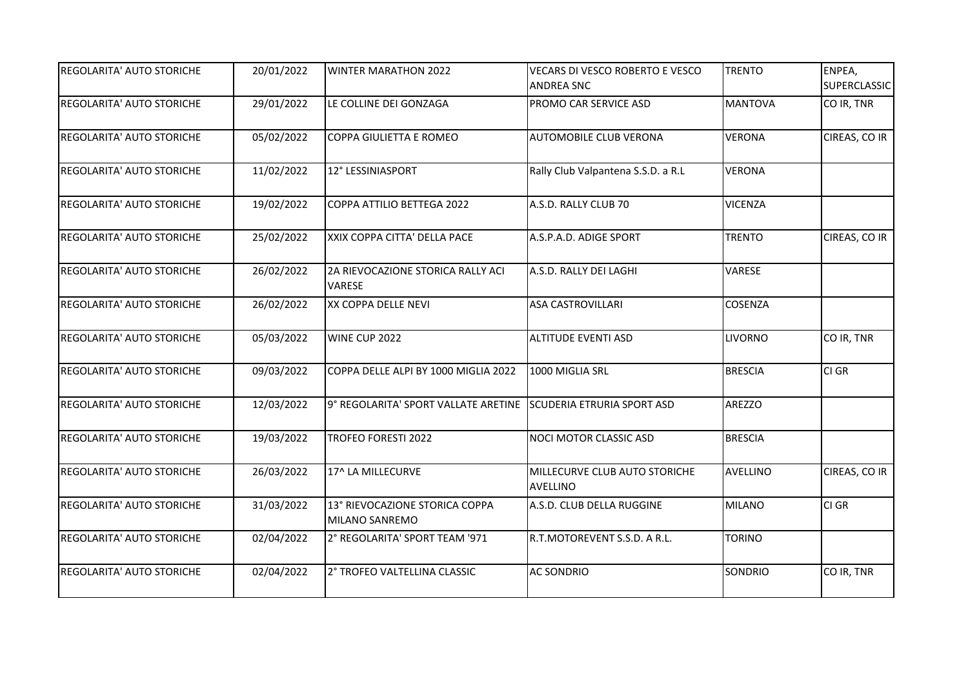| <b>REGOLARITA' AUTO STORICHE</b> | 20/01/2022 | <b>WINTER MARATHON 2022</b>                                     | VECARS DI VESCO ROBERTO E VESCO<br><b>ANDREA SNC</b> | <b>TRENTO</b>   | ENPEA,<br><b>SUPERCLASSIC</b> |
|----------------------------------|------------|-----------------------------------------------------------------|------------------------------------------------------|-----------------|-------------------------------|
| <b>REGOLARITA' AUTO STORICHE</b> | 29/01/2022 | LE COLLINE DEI GONZAGA                                          | PROMO CAR SERVICE ASD                                | <b>MANTOVA</b>  | CO IR, TNR                    |
| <b>REGOLARITA' AUTO STORICHE</b> | 05/02/2022 | COPPA GIULIETTA E ROMEO                                         | <b>AUTOMOBILE CLUB VERONA</b>                        | <b>VERONA</b>   | CIREAS, CO IR                 |
| <b>REGOLARITA' AUTO STORICHE</b> | 11/02/2022 | 12° LESSINIASPORT                                               | Rally Club Valpantena S.S.D. a R.L                   | <b>VERONA</b>   |                               |
| <b>REGOLARITA' AUTO STORICHE</b> | 19/02/2022 | COPPA ATTILIO BETTEGA 2022                                      | A.S.D. RALLY CLUB 70                                 | <b>VICENZA</b>  |                               |
| <b>REGOLARITA' AUTO STORICHE</b> | 25/02/2022 | XXIX COPPA CITTA' DELLA PACE                                    | A.S.P.A.D. ADIGE SPORT                               | <b>TRENTO</b>   | CIREAS, CO IR                 |
| <b>REGOLARITA' AUTO STORICHE</b> | 26/02/2022 | 2A RIEVOCAZIONE STORICA RALLY ACI<br>VARESE                     | A.S.D. RALLY DEI LAGHI                               | VARESE          |                               |
| <b>REGOLARITA' AUTO STORICHE</b> | 26/02/2022 | XX COPPA DELLE NEVI                                             | <b>ASA CASTROVILLARI</b>                             | <b>COSENZA</b>  |                               |
| <b>REGOLARITA' AUTO STORICHE</b> | 05/03/2022 | WINE CUP 2022                                                   | <b>ALTITUDE EVENTI ASD</b>                           | <b>LIVORNO</b>  | CO IR, TNR                    |
| <b>REGOLARITA' AUTO STORICHE</b> | 09/03/2022 | COPPA DELLE ALPI BY 1000 MIGLIA 2022                            | 1000 MIGLIA SRL                                      | <b>BRESCIA</b>  | CI GR                         |
| <b>REGOLARITA' AUTO STORICHE</b> | 12/03/2022 | 9° REGOLARITA' SPORT VALLATE ARETINE SCUDERIA ETRURIA SPORT ASD |                                                      | <b>AREZZO</b>   |                               |
| <b>REGOLARITA' AUTO STORICHE</b> | 19/03/2022 | <b>TROFEO FORESTI 2022</b>                                      | NOCI MOTOR CLASSIC ASD                               | <b>BRESCIA</b>  |                               |
| <b>REGOLARITA' AUTO STORICHE</b> | 26/03/2022 | 17^ LA MILLECURVE                                               | MILLECURVE CLUB AUTO STORICHE<br><b>AVELLINO</b>     | <b>AVELLINO</b> | CIREAS, CO IR                 |
| <b>REGOLARITA' AUTO STORICHE</b> | 31/03/2022 | 13° RIEVOCAZIONE STORICA COPPA<br>MILANO SANREMO                | A.S.D. CLUB DELLA RUGGINE                            | <b>MILANO</b>   | CI GR                         |
| <b>REGOLARITA' AUTO STORICHE</b> | 02/04/2022 | 2° REGOLARITA' SPORT TEAM '971                                  | R.T.MOTOREVENT S.S.D. A R.L.                         | <b>TORINO</b>   |                               |
| <b>REGOLARITA' AUTO STORICHE</b> | 02/04/2022 | 2° TROFEO VALTELLINA CLASSIC                                    | <b>AC SONDRIO</b>                                    | SONDRIO         | CO IR, TNR                    |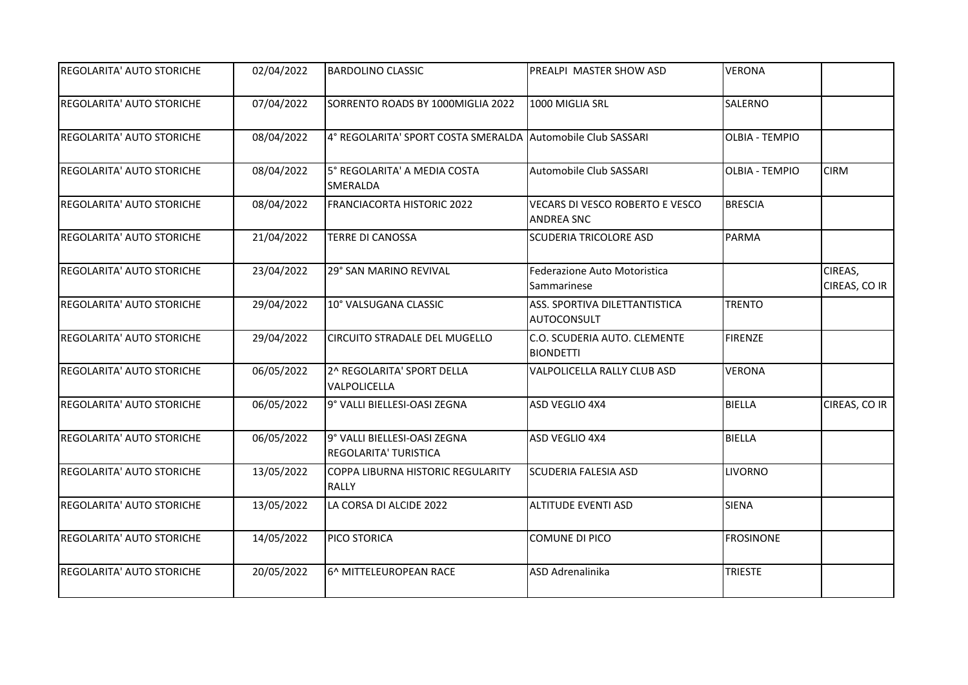| <b>REGOLARITA' AUTO STORICHE</b> | 02/04/2022 | <b>BARDOLINO CLASSIC</b>                                    | PREALPI MASTER SHOW ASD                              | <b>VERONA</b>         |                          |
|----------------------------------|------------|-------------------------------------------------------------|------------------------------------------------------|-----------------------|--------------------------|
| <b>REGOLARITA' AUTO STORICHE</b> | 07/04/2022 | SORRENTO ROADS BY 1000MIGLIA 2022                           | 1000 MIGLIA SRL                                      | <b>SALERNO</b>        |                          |
| <b>REGOLARITA' AUTO STORICHE</b> | 08/04/2022 | 4° REGOLARITA' SPORT COSTA SMERALDA Automobile Club SASSARI |                                                      | <b>OLBIA - TEMPIO</b> |                          |
| <b>REGOLARITA' AUTO STORICHE</b> | 08/04/2022 | 5° REGOLARITA' A MEDIA COSTA<br>SMERALDA                    | Automobile Club SASSARI                              | <b>OLBIA - TEMPIO</b> | <b>CIRM</b>              |
| <b>REGOLARITA' AUTO STORICHE</b> | 08/04/2022 | FRANCIACORTA HISTORIC 2022                                  | VECARS DI VESCO ROBERTO E VESCO<br><b>ANDREA SNC</b> | <b>BRESCIA</b>        |                          |
| <b>REGOLARITA' AUTO STORICHE</b> | 21/04/2022 | <b>TERRE DI CANOSSA</b>                                     | <b>SCUDERIA TRICOLORE ASD</b>                        | <b>PARMA</b>          |                          |
| <b>REGOLARITA' AUTO STORICHE</b> | 23/04/2022 | 29° SAN MARINO REVIVAL                                      | Federazione Auto Motoristica<br>Sammarinese          |                       | CIREAS,<br>CIREAS, CO IR |
| <b>REGOLARITA' AUTO STORICHE</b> | 29/04/2022 | 10° VALSUGANA CLASSIC                                       | ASS. SPORTIVA DILETTANTISTICA<br><b>AUTOCONSULT</b>  | <b>TRENTO</b>         |                          |
| <b>REGOLARITA' AUTO STORICHE</b> | 29/04/2022 | <b>CIRCUITO STRADALE DEL MUGELLO</b>                        | C.O. SCUDERIA AUTO. CLEMENTE<br><b>BIONDETTI</b>     | <b>FIRENZE</b>        |                          |
| <b>REGOLARITA' AUTO STORICHE</b> | 06/05/2022 | 2^ REGOLARITA' SPORT DELLA<br>VALPOLICELLA                  | VALPOLICELLA RALLY CLUB ASD                          | <b>VERONA</b>         |                          |
| <b>REGOLARITA' AUTO STORICHE</b> | 06/05/2022 | 9° VALLI BIELLESI-OASI ZEGNA                                | ASD VEGLIO 4X4                                       | BIELLA                | CIREAS, CO IR            |
| <b>REGOLARITA' AUTO STORICHE</b> | 06/05/2022 | 9° VALLI BIELLESI-OASI ZEGNA<br>REGOLARITA' TURISTICA       | ASD VEGLIO 4X4                                       | BIELLA                |                          |
| REGOLARITA' AUTO STORICHE        | 13/05/2022 | COPPA LIBURNA HISTORIC REGULARITY<br><b>RALLY</b>           | <b>SCUDERIA FALESIA ASD</b>                          | <b>LIVORNO</b>        |                          |
| <b>REGOLARITA' AUTO STORICHE</b> | 13/05/2022 | LA CORSA DI ALCIDE 2022                                     | <b>ALTITUDE EVENTI ASD</b>                           | <b>SIENA</b>          |                          |
| <b>REGOLARITA' AUTO STORICHE</b> | 14/05/2022 | PICO STORICA                                                | <b>COMUNE DI PICO</b>                                | <b>FROSINONE</b>      |                          |
| REGOLARITA' AUTO STORICHE        | 20/05/2022 | 6^ MITTELEUROPEAN RACE                                      | ASD Adrenalinika                                     | <b>TRIESTE</b>        |                          |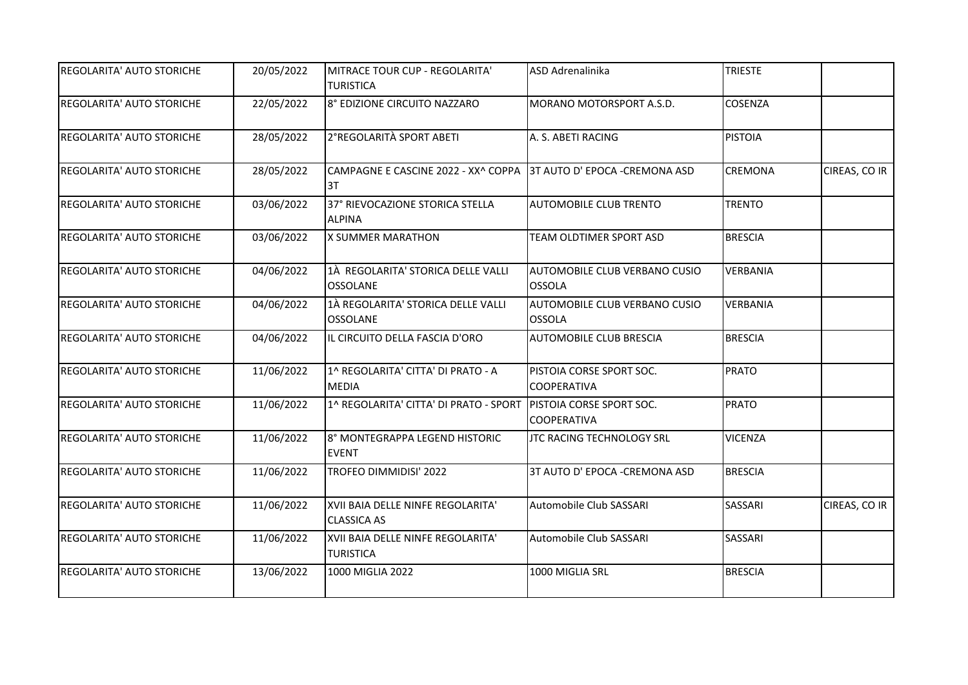| <b>REGOLARITA' AUTO STORICHE</b> | 20/05/2022 | MITRACE TOUR CUP - REGOLARITA'<br><b>TURISTICA</b>                      | ASD Adrenalinika                               | <b>TRIESTE</b>  |               |
|----------------------------------|------------|-------------------------------------------------------------------------|------------------------------------------------|-----------------|---------------|
|                                  |            |                                                                         |                                                |                 |               |
| <b>REGOLARITA' AUTO STORICHE</b> | 22/05/2022 | 8° EDIZIONE CIRCUITO NAZZARO                                            | MORANO MOTORSPORT A.S.D.                       | COSENZA         |               |
| <b>REGOLARITA' AUTO STORICHE</b> | 28/05/2022 | 2°REGOLARITÀ SPORT ABETI                                                | A. S. ABETI RACING                             | <b>PISTOIA</b>  |               |
| <b>REGOLARITA' AUTO STORICHE</b> | 28/05/2022 | CAMPAGNE E CASCINE 2022 - XX^ COPPA 3T AUTO D' EPOCA -CREMONA ASD<br>3T |                                                | <b>CREMONA</b>  | CIREAS, CO IR |
| <b>REGOLARITA' AUTO STORICHE</b> | 03/06/2022 | 37° RIEVOCAZIONE STORICA STELLA<br><b>ALPINA</b>                        | <b>AUTOMOBILE CLUB TRENTO</b>                  | <b>TRENTO</b>   |               |
| <b>REGOLARITA' AUTO STORICHE</b> | 03/06/2022 | X SUMMER MARATHON                                                       | TEAM OLDTIMER SPORT ASD                        | <b>BRESCIA</b>  |               |
| REGOLARITA' AUTO STORICHE        | 04/06/2022 | 1À REGOLARITA' STORICA DELLE VALLI<br><b>OSSOLANE</b>                   | AUTOMOBILE CLUB VERBANO CUSIO<br><b>OSSOLA</b> | VERBANIA        |               |
| REGOLARITA' AUTO STORICHE        | 04/06/2022 | 1À REGOLARITA' STORICA DELLE VALLI<br><b>OSSOLANE</b>                   | AUTOMOBILE CLUB VERBANO CUSIO<br><b>OSSOLA</b> | <b>VERBANIA</b> |               |
| <b>REGOLARITA' AUTO STORICHE</b> | 04/06/2022 | IL CIRCUITO DELLA FASCIA D'ORO                                          | AUTOMOBILE CLUB BRESCIA                        | <b>BRESCIA</b>  |               |
| <b>REGOLARITA' AUTO STORICHE</b> | 11/06/2022 | 1^ REGOLARITA' CITTA' DI PRATO - A<br><b>MEDIA</b>                      | PISTOIA CORSE SPORT SOC.<br><b>COOPERATIVA</b> | <b>PRATO</b>    |               |
| <b>REGOLARITA' AUTO STORICHE</b> | 11/06/2022 | 1^ REGOLARITA' CITTA' DI PRATO - SPORT PISTOIA CORSE SPORT SOC.         | <b>COOPERATIVA</b>                             | <b>PRATO</b>    |               |
| REGOLARITA' AUTO STORICHE        | 11/06/2022 | 8° MONTEGRAPPA LEGEND HISTORIC<br><b>EVENT</b>                          | JTC RACING TECHNOLOGY SRL                      | <b>VICENZA</b>  |               |
| REGOLARITA' AUTO STORICHE        | 11/06/2022 | TROFEO DIMMIDISI' 2022                                                  | 3T AUTO D' EPOCA - CREMONA ASD                 | <b>BRESCIA</b>  |               |
| REGOLARITA' AUTO STORICHE        | 11/06/2022 | XVII BAIA DELLE NINFE REGOLARITA'<br><b>CLASSICA AS</b>                 | Automobile Club SASSARI                        | <b>SASSARI</b>  | CIREAS, CO IR |
| <b>REGOLARITA' AUTO STORICHE</b> | 11/06/2022 | XVII BAIA DELLE NINFE REGOLARITA'<br><b>TURISTICA</b>                   | Automobile Club SASSARI                        | SASSARI         |               |
| REGOLARITA' AUTO STORICHE        | 13/06/2022 | 1000 MIGLIA 2022                                                        | 1000 MIGLIA SRL                                | <b>BRESCIA</b>  |               |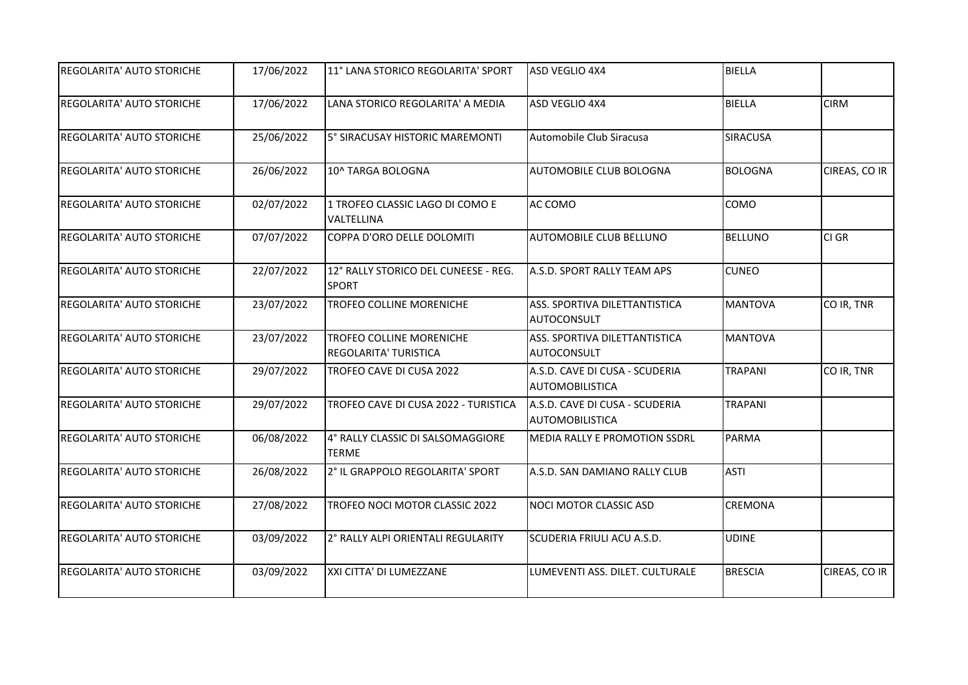| <b>REGOLARITA' AUTO STORICHE</b> | 17/06/2022 | 11° LANA STORICO REGOLARITA' SPORT                   | ASD VEGLIO 4X4                                           | <b>BIELLA</b>   |               |
|----------------------------------|------------|------------------------------------------------------|----------------------------------------------------------|-----------------|---------------|
| <b>REGOLARITA' AUTO STORICHE</b> | 17/06/2022 | LANA STORICO REGOLARITA' A MEDIA                     | ASD VEGLIO 4X4                                           | <b>BIELLA</b>   | <b>CIRM</b>   |
| <b>REGOLARITA' AUTO STORICHE</b> | 25/06/2022 | 5° SIRACUSAY HISTORIC MAREMONTI                      | Automobile Club Siracusa                                 | <b>SIRACUSA</b> |               |
| REGOLARITA' AUTO STORICHE        | 26/06/2022 | 10^ TARGA BOLOGNA                                    | AUTOMOBILE CLUB BOLOGNA                                  | <b>BOLOGNA</b>  | CIREAS, CO IR |
| REGOLARITA' AUTO STORICHE        | 02/07/2022 | 1 TROFEO CLASSIC LAGO DI COMO E<br>VALTELLINA        | AC COMO                                                  | COMO            |               |
| <b>REGOLARITA' AUTO STORICHE</b> | 07/07/2022 | COPPA D'ORO DELLE DOLOMITI                           | AUTOMOBILE CLUB BELLUNO                                  | <b>BELLUNO</b>  | CI GR         |
| REGOLARITA' AUTO STORICHE        | 22/07/2022 | 12° RALLY STORICO DEL CUNEESE - REG.<br><b>SPORT</b> | A.S.D. SPORT RALLY TEAM APS                              | <b>CUNEO</b>    |               |
| REGOLARITA' AUTO STORICHE        | 23/07/2022 | TROFEO COLLINE MORENICHE                             | ASS. SPORTIVA DILETTANTISTICA<br><b>AUTOCONSULT</b>      | <b>MANTOVA</b>  | CO IR, TNR    |
| <b>REGOLARITA' AUTO STORICHE</b> | 23/07/2022 | TROFEO COLLINE MORENICHE<br>REGOLARITA' TURISTICA    | ASS. SPORTIVA DILETTANTISTICA<br>AUTOCONSULT             | <b>MANTOVA</b>  |               |
| REGOLARITA' AUTO STORICHE        | 29/07/2022 | TROFEO CAVE DI CUSA 2022                             | A.S.D. CAVE DI CUSA - SCUDERIA<br><b>AUTOMOBILISTICA</b> | TRAPANI         | CO IR, TNR    |
| <b>REGOLARITA' AUTO STORICHE</b> | 29/07/2022 | TROFEO CAVE DI CUSA 2022 - TURISTICA                 | A.S.D. CAVE DI CUSA - SCUDERIA<br><b>AUTOMOBILISTICA</b> | <b>TRAPANI</b>  |               |
| <b>REGOLARITA' AUTO STORICHE</b> | 06/08/2022 | 4° RALLY CLASSIC DI SALSOMAGGIORE<br><b>TERME</b>    | MEDIA RALLY E PROMOTION SSDRL                            | <b>PARMA</b>    |               |
| REGOLARITA' AUTO STORICHE        | 26/08/2022 | 2° IL GRAPPOLO REGOLARITA' SPORT                     | A.S.D. SAN DAMIANO RALLY CLUB                            | <b>ASTI</b>     |               |
| <b>REGOLARITA' AUTO STORICHE</b> | 27/08/2022 | TROFEO NOCI MOTOR CLASSIC 2022                       | NOCI MOTOR CLASSIC ASD                                   | <b>CREMONA</b>  |               |
| REGOLARITA' AUTO STORICHE        | 03/09/2022 | 2° RALLY ALPI ORIENTALI REGULARITY                   | SCUDERIA FRIULI ACU A.S.D.                               | <b>UDINE</b>    |               |
| REGOLARITA' AUTO STORICHE        | 03/09/2022 | XXI CITTA' DI LUMEZZANE                              | LUMEVENTI ASS. DILET. CULTURALE                          | <b>BRESCIA</b>  | CIREAS, CO IR |
|                                  |            |                                                      |                                                          |                 |               |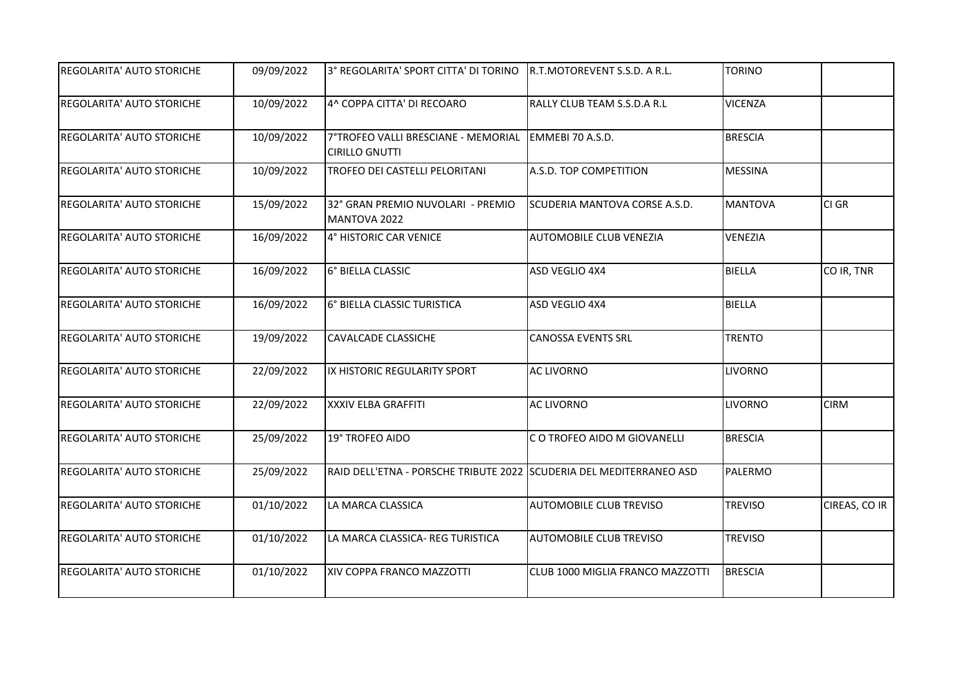| <b>REGOLARITA' AUTO STORICHE</b> | 09/09/2022 | 3° REGOLARITA' SPORT CITTA' DI TORINO                               | R.T.MOTOREVENT S.S.D. A R.L.     | <b>TORINO</b>  |               |
|----------------------------------|------------|---------------------------------------------------------------------|----------------------------------|----------------|---------------|
| <b>REGOLARITA' AUTO STORICHE</b> | 10/09/2022 | 4^ COPPA CITTA' DI RECOARO                                          | RALLY CLUB TEAM S.S.D.A R.L      | <b>VICENZA</b> |               |
| <b>REGOLARITA' AUTO STORICHE</b> | 10/09/2022 | 7°TROFEO VALLI BRESCIANE - MEMORIAL<br><b>CIRILLO GNUTTI</b>        | EMMEBI 70 A.S.D.                 | <b>BRESCIA</b> |               |
| <b>REGOLARITA' AUTO STORICHE</b> | 10/09/2022 | TROFEO DEI CASTELLI PELORITANI                                      | A.S.D. TOP COMPETITION           | <b>MESSINA</b> |               |
| <b>REGOLARITA' AUTO STORICHE</b> | 15/09/2022 | 32° GRAN PREMIO NUVOLARI - PREMIO<br>MANTOVA 2022                   | SCUDERIA MANTOVA CORSE A.S.D.    | <b>MANTOVA</b> | CI GR         |
| <b>REGOLARITA' AUTO STORICHE</b> | 16/09/2022 | 4° HISTORIC CAR VENICE                                              | AUTOMOBILE CLUB VENEZIA          | <b>VENEZIA</b> |               |
| <b>REGOLARITA' AUTO STORICHE</b> | 16/09/2022 | 6° BIELLA CLASSIC                                                   | ASD VEGLIO 4X4                   | <b>BIELLA</b>  | CO IR, TNR    |
| <b>REGOLARITA' AUTO STORICHE</b> | 16/09/2022 | 6° BIELLA CLASSIC TURISTICA                                         | ASD VEGLIO 4X4                   | BIELLA         |               |
| <b>REGOLARITA' AUTO STORICHE</b> | 19/09/2022 | <b>CAVALCADE CLASSICHE</b>                                          | <b>CANOSSA EVENTS SRL</b>        | <b>TRENTO</b>  |               |
| <b>REGOLARITA' AUTO STORICHE</b> | 22/09/2022 | IX HISTORIC REGULARITY SPORT                                        | <b>AC LIVORNO</b>                | <b>LIVORNO</b> |               |
| <b>REGOLARITA' AUTO STORICHE</b> | 22/09/2022 | <b>XXXIV ELBA GRAFFITI</b>                                          | <b>AC LIVORNO</b>                | <b>LIVORNO</b> | <b>CIRM</b>   |
| <b>REGOLARITA' AUTO STORICHE</b> | 25/09/2022 | 19° TROFEO AIDO                                                     | C O TROFEO AIDO M GIOVANELLI     | <b>BRESCIA</b> |               |
| REGOLARITA' AUTO STORICHE        | 25/09/2022 | RAID DELL'ETNA - PORSCHE TRIBUTE 2022 SCUDERIA DEL MEDITERRANEO ASD |                                  | PALERMO        |               |
| <b>REGOLARITA' AUTO STORICHE</b> | 01/10/2022 | LA MARCA CLASSICA                                                   | <b>AUTOMOBILE CLUB TREVISO</b>   | <b>TREVISO</b> | CIREAS, CO IR |
| <b>REGOLARITA' AUTO STORICHE</b> | 01/10/2022 | LA MARCA CLASSICA- REG TURISTICA                                    | <b>AUTOMOBILE CLUB TREVISO</b>   | <b>TREVISO</b> |               |
| REGOLARITA' AUTO STORICHE        | 01/10/2022 | XIV COPPA FRANCO MAZZOTTI                                           | CLUB 1000 MIGLIA FRANCO MAZZOTTI | <b>BRESCIA</b> |               |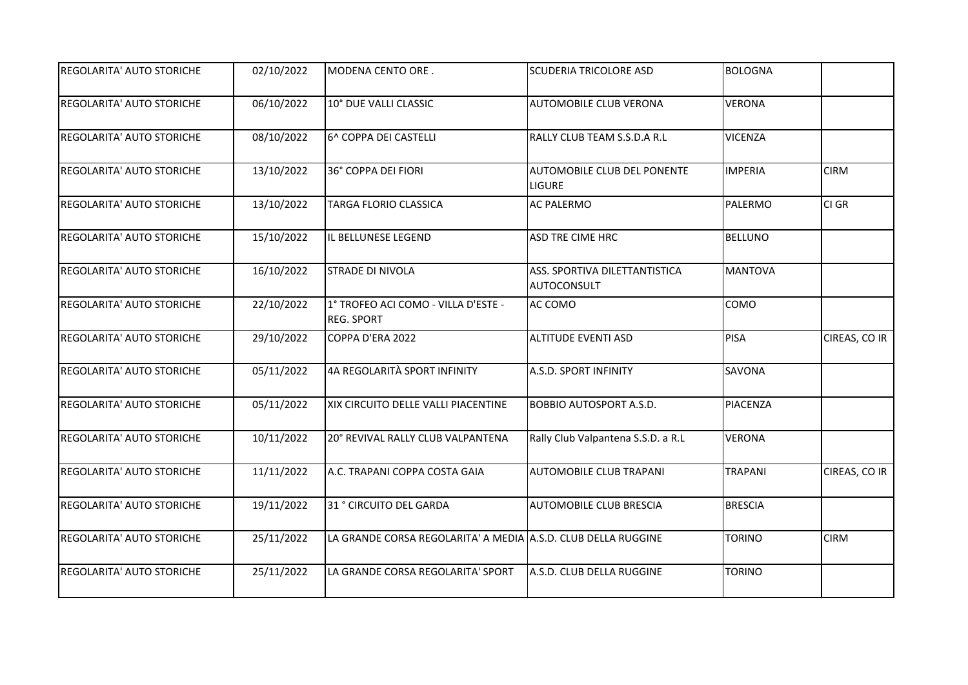| REGOLARITA' AUTO STORICHE        | 02/10/2022 | MODENA CENTO ORE.                                             | <b>SCUDERIA TRICOLORE ASD</b>                       | BOLOGNA        |               |
|----------------------------------|------------|---------------------------------------------------------------|-----------------------------------------------------|----------------|---------------|
| <b>REGOLARITA' AUTO STORICHE</b> | 06/10/2022 | 10° DUE VALLI CLASSIC                                         | AUTOMOBILE CLUB VERONA                              | <b>VERONA</b>  |               |
| <b>REGOLARITA' AUTO STORICHE</b> | 08/10/2022 | 6^ COPPA DEI CASTELLI                                         | RALLY CLUB TEAM S.S.D.A R.L                         | <b>VICENZA</b> |               |
| REGOLARITA' AUTO STORICHE        | 13/10/2022 | 36° COPPA DEI FIORI                                           | AUTOMOBILE CLUB DEL PONENTE<br><b>LIGURE</b>        | <b>IMPERIA</b> | <b>CIRM</b>   |
| REGOLARITA' AUTO STORICHE        | 13/10/2022 | TARGA FLORIO CLASSICA                                         | <b>AC PALERMO</b>                                   | PALERMO        | CI GR         |
| <b>REGOLARITA' AUTO STORICHE</b> | 15/10/2022 | IL BELLUNESE LEGEND                                           | <b>ASD TRE CIME HRC</b>                             | <b>BELLUNO</b> |               |
| REGOLARITA' AUTO STORICHE        | 16/10/2022 | STRADE DI NIVOLA                                              | ASS. SPORTIVA DILETTANTISTICA<br><b>AUTOCONSULT</b> | <b>MANTOVA</b> |               |
| <b>REGOLARITA' AUTO STORICHE</b> | 22/10/2022 | 1° TROFEO ACI COMO - VILLA D'ESTE -<br><b>REG. SPORT</b>      | AC COMO                                             | COMO           |               |
| REGOLARITA' AUTO STORICHE        | 29/10/2022 | COPPA D'ERA 2022                                              | <b>ALTITUDE EVENTI ASD</b>                          | PISA           | CIREAS, CO IR |
| REGOLARITA' AUTO STORICHE        | 05/11/2022 | 4A REGOLARITÀ SPORT INFINITY                                  | A.S.D. SPORT INFINITY                               | SAVONA         |               |
| <b>REGOLARITA' AUTO STORICHE</b> | 05/11/2022 | XIX CIRCUITO DELLE VALLI PIACENTINE                           | <b>BOBBIO AUTOSPORT A.S.D.</b>                      | PIACENZA       |               |
| REGOLARITA' AUTO STORICHE        | 10/11/2022 | 20° REVIVAL RALLY CLUB VALPANTENA                             | Rally Club Valpantena S.S.D. a R.L                  | <b>VERONA</b>  |               |
| <b>REGOLARITA' AUTO STORICHE</b> | 11/11/2022 | A.C. TRAPANI COPPA COSTA GAIA                                 | <b>AUTOMOBILE CLUB TRAPANI</b>                      | <b>TRAPANI</b> | CIREAS, CO IR |
| REGOLARITA' AUTO STORICHE        | 19/11/2022 | 31 ° CIRCUITO DEL GARDA                                       | <b>AUTOMOBILE CLUB BRESCIA</b>                      | <b>BRESCIA</b> |               |
| REGOLARITA' AUTO STORICHE        | 25/11/2022 | LA GRANDE CORSA REGOLARITA' A MEDIA A.S.D. CLUB DELLA RUGGINE |                                                     | <b>TORINO</b>  | <b>CIRM</b>   |
| <b>REGOLARITA' AUTO STORICHE</b> | 25/11/2022 | LA GRANDE CORSA REGOLARITA' SPORT                             | A.S.D. CLUB DELLA RUGGINE                           | <b>TORINO</b>  |               |
|                                  |            |                                                               |                                                     |                |               |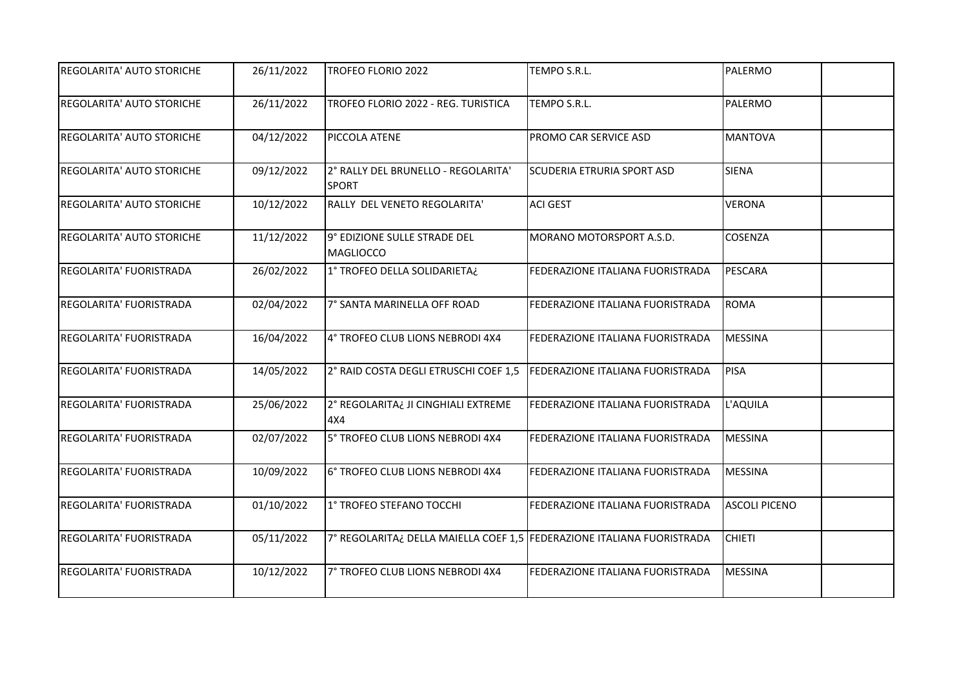| <b>REGOLARITA' AUTO STORICHE</b> | 26/11/2022 | TROFEO FLORIO 2022                                                     | TEMPO S.R.L.                            | PALERMO              |
|----------------------------------|------------|------------------------------------------------------------------------|-----------------------------------------|----------------------|
| <b>REGOLARITA' AUTO STORICHE</b> | 26/11/2022 | TROFEO FLORIO 2022 - REG. TURISTICA                                    | TEMPO S.R.L.                            | <b>PALERMO</b>       |
| REGOLARITA' AUTO STORICHE        | 04/12/2022 | PICCOLA ATENE                                                          | PROMO CAR SERVICE ASD                   | <b>MANTOVA</b>       |
| <b>REGOLARITA' AUTO STORICHE</b> | 09/12/2022 | 2° RALLY DEL BRUNELLO - REGOLARITA'<br><b>SPORT</b>                    | <b>SCUDERIA ETRURIA SPORT ASD</b>       | <b>SIENA</b>         |
| <b>REGOLARITA' AUTO STORICHE</b> | 10/12/2022 | RALLY DEL VENETO REGOLARITA'                                           | <b>ACI GEST</b>                         | <b>VERONA</b>        |
| <b>REGOLARITA' AUTO STORICHE</b> | 11/12/2022 | 9° EDIZIONE SULLE STRADE DEL<br><b>MAGLIOCCO</b>                       | MORANO MOTORSPORT A.S.D.                | <b>COSENZA</b>       |
| REGOLARITA' FUORISTRADA          | 26/02/2022 | 1° TROFEO DELLA SOLIDARIETA¿                                           | FEDERAZIONE ITALIANA FUORISTRADA        | PESCARA              |
| REGOLARITA' FUORISTRADA          | 02/04/2022 | 7° SANTA MARINELLA OFF ROAD                                            | FEDERAZIONE ITALIANA FUORISTRADA        | ROMA                 |
| REGOLARITA' FUORISTRADA          | 16/04/2022 | 4° TROFEO CLUB LIONS NEBRODI 4X4                                       | FEDERAZIONE ITALIANA FUORISTRADA        | MESSINA              |
| REGOLARITA' FUORISTRADA          | 14/05/2022 | 2° RAID COSTA DEGLI ETRUSCHI COEF 1,5 FEDERAZIONE ITALIANA FUORISTRADA |                                         | PISA                 |
| REGOLARITA' FUORISTRADA          | 25/06/2022 | 2° REGOLARITA¿ JI CINGHIALI EXTREME<br>4X4                             | <b>FEDERAZIONE ITALIANA FUORISTRADA</b> | L'AQUILA             |
| REGOLARITA' FUORISTRADA          | 02/07/2022 | 5° TROFEO CLUB LIONS NEBRODI 4X4                                       | FEDERAZIONE ITALIANA FUORISTRADA        | MESSINA              |
| REGOLARITA' FUORISTRADA          | 10/09/2022 | 6° TROFEO CLUB LIONS NEBRODI 4X4                                       | FEDERAZIONE ITALIANA FUORISTRADA        | <b>MESSINA</b>       |
| REGOLARITA' FUORISTRADA          | 01/10/2022 | 1° TROFEO STEFANO TOCCHI                                               | FEDERAZIONE ITALIANA FUORISTRADA        | <b>ASCOLI PICENO</b> |
| REGOLARITA' FUORISTRADA          | 05/11/2022 | 7° REGOLARITA¿ DELLA MAIELLA COEF 1,5 FEDERAZIONE ITALIANA FUORISTRADA |                                         | <b>CHIETI</b>        |
| REGOLARITA' FUORISTRADA          | 10/12/2022 | 7° TROFEO CLUB LIONS NEBRODI 4X4                                       | FEDERAZIONE ITALIANA FUORISTRADA        | <b>MESSINA</b>       |
|                                  |            |                                                                        |                                         |                      |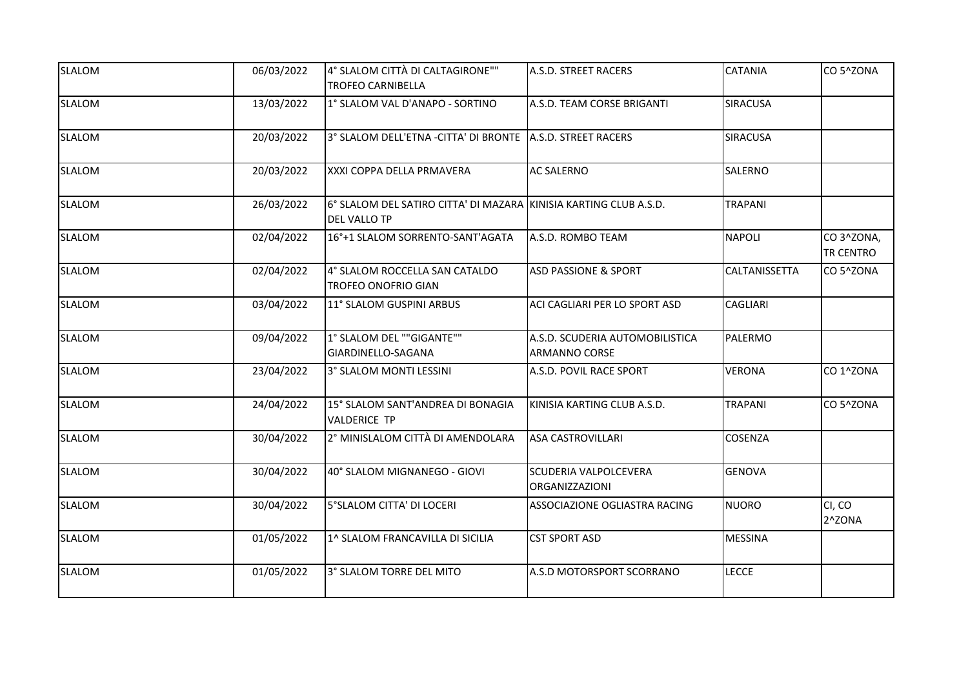| <b>SLALOM</b> | 06/03/2022 | 4° SLALOM CITTÀ DI CALTAGIRONE""<br><b>TROFEO CARNIBELLA</b>                             | A.S.D. STREET RACERS                                    | <b>CATANIA</b>  | CO 5^ZONA                     |
|---------------|------------|------------------------------------------------------------------------------------------|---------------------------------------------------------|-----------------|-------------------------------|
|               |            |                                                                                          |                                                         |                 |                               |
| <b>SLALOM</b> | 13/03/2022 | 1° SLALOM VAL D'ANAPO - SORTINO                                                          | A.S.D. TEAM CORSE BRIGANTI                              | <b>SIRACUSA</b> |                               |
| <b>SLALOM</b> | 20/03/2022 | 3° SLALOM DELL'ETNA -CITTA' DI BRONTE A.S.D. STREET RACERS                               |                                                         | <b>SIRACUSA</b> |                               |
| <b>SLALOM</b> | 20/03/2022 | XXXI COPPA DELLA PRMAVERA                                                                | <b>AC SALERNO</b>                                       | SALERNO         |                               |
| <b>SLALOM</b> | 26/03/2022 | 6° SLALOM DEL SATIRO CITTA' DI MAZARA KINISIA KARTING CLUB A.S.D.<br><b>DEL VALLO TP</b> |                                                         | <b>TRAPANI</b>  |                               |
| <b>SLALOM</b> | 02/04/2022 | 16°+1 SLALOM SORRENTO-SANT'AGATA                                                         | A.S.D. ROMBO TEAM                                       | <b>NAPOLI</b>   | CO3^ZONA,<br><b>TR CENTRO</b> |
| <b>SLALOM</b> | 02/04/2022 | 4° SLALOM ROCCELLA SAN CATALDO<br><b>TROFEO ONOFRIO GIAN</b>                             | <b>ASD PASSIONE &amp; SPORT</b>                         | CALTANISSETTA   | CO 5^ZONA                     |
| <b>SLALOM</b> | 03/04/2022 | 11° SLALOM GUSPINI ARBUS                                                                 | ACI CAGLIARI PER LO SPORT ASD                           | <b>CAGLIARI</b> |                               |
| <b>SLALOM</b> | 09/04/2022 | 1° SLALOM DEL ""GIGANTE""<br>GIARDINELLO-SAGANA                                          | A.S.D. SCUDERIA AUTOMOBILISTICA<br><b>ARMANNO CORSE</b> | PALERMO         |                               |
| <b>SLALOM</b> | 23/04/2022 | 3° SLALOM MONTI LESSINI                                                                  | A.S.D. POVIL RACE SPORT                                 | <b>VERONA</b>   | CO 1^ZONA                     |
| <b>SLALOM</b> | 24/04/2022 | 15° SLALOM SANT'ANDREA DI BONAGIA<br><b>VALDERICE TP</b>                                 | KINISIA KARTING CLUB A.S.D.                             | <b>TRAPANI</b>  | CO 5^ZONA                     |
| <b>SLALOM</b> | 30/04/2022 | 2° MINISLALOM CITTÀ DI AMENDOLARA                                                        | <b>ASA CASTROVILLARI</b>                                | <b>COSENZA</b>  |                               |
| <b>SLALOM</b> | 30/04/2022 | 40° SLALOM MIGNANEGO - GIOVI                                                             | <b>SCUDERIA VALPOLCEVERA</b><br><b>ORGANIZZAZIONI</b>   | <b>GENOVA</b>   |                               |
| <b>SLALOM</b> | 30/04/2022 | 5°SLALOM CITTA' DI LOCERI                                                                | <b>ASSOCIAZIONE OGLIASTRA RACING</b>                    | NUORO           | CI, CO<br>2^ZONA              |
| <b>SLALOM</b> | 01/05/2022 | 1^ SLALOM FRANCAVILLA DI SICILIA                                                         | <b>CST SPORT ASD</b>                                    | MESSINA         |                               |
| <b>SLALOM</b> | 01/05/2022 | 3° SLALOM TORRE DEL MITO                                                                 | A.S.D MOTORSPORT SCORRANO                               | <b>LECCE</b>    |                               |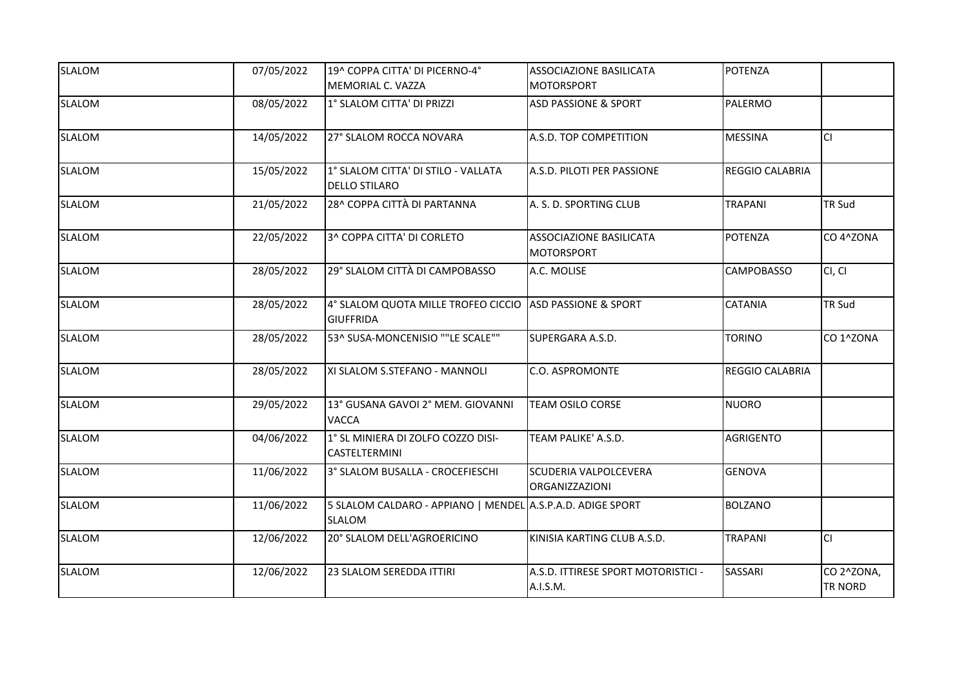| <b>SLALOM</b> | 07/05/2022 | 19^ COPPA CITTA' DI PICERNO-4°                                               | <b>ASSOCIAZIONE BASILICATA</b>                        | <b>POTENZA</b>         |                              |
|---------------|------------|------------------------------------------------------------------------------|-------------------------------------------------------|------------------------|------------------------------|
|               |            | MEMORIAL C. VAZZA                                                            | <b>MOTORSPORT</b>                                     |                        |                              |
| <b>SLALOM</b> | 08/05/2022 | 1° SLALOM CITTA' DI PRIZZI                                                   | <b>ASD PASSIONE &amp; SPORT</b>                       | PALERMO                |                              |
| <b>SLALOM</b> | 14/05/2022 | 27° SLALOM ROCCA NOVARA                                                      | A.S.D. TOP COMPETITION                                | <b>MESSINA</b>         | lcı                          |
| <b>SLALOM</b> | 15/05/2022 | 1° SLALOM CITTA' DI STILO - VALLATA<br><b>DELLO STILARO</b>                  | A.S.D. PILOTI PER PASSIONE                            | <b>REGGIO CALABRIA</b> |                              |
| <b>SLALOM</b> | 21/05/2022 | 28^ COPPA CITTÀ DI PARTANNA                                                  | A. S. D. SPORTING CLUB                                | <b>TRAPANI</b>         | <b>TR Sud</b>                |
| <b>SLALOM</b> | 22/05/2022 | 3^ COPPA CITTA' DI CORLETO                                                   | <b>ASSOCIAZIONE BASILICATA</b><br><b>MOTORSPORT</b>   | POTENZA                | CO 4^ZONA                    |
| <b>SLALOM</b> | 28/05/2022 | 29° SLALOM CITTÀ DI CAMPOBASSO                                               | A.C. MOLISE                                           | CAMPOBASSO             | CI, CI                       |
| <b>SLALOM</b> | 28/05/2022 | 4° SLALOM QUOTA MILLE TROFEO CICCIO ASD PASSIONE & SPORT<br><b>GIUFFRIDA</b> |                                                       | <b>CATANIA</b>         | <b>TR Sud</b>                |
| <b>SLALOM</b> | 28/05/2022 | 53^ SUSA-MONCENISIO ""LE SCALE""                                             | SUPERGARA A.S.D.                                      | <b>TORINO</b>          | CO 1^ZONA                    |
| <b>SLALOM</b> | 28/05/2022 | XI SLALOM S.STEFANO - MANNOLI                                                | <b>C.O. ASPROMONTE</b>                                | <b>REGGIO CALABRIA</b> |                              |
| <b>SLALOM</b> | 29/05/2022 | 13° GUSANA GAVOI 2° MEM. GIOVANNI<br><b>VACCA</b>                            | <b>TEAM OSILO CORSE</b>                               | <b>NUORO</b>           |                              |
| <b>SLALOM</b> | 04/06/2022 | 1° SL MINIERA DI ZOLFO COZZO DISI-<br><b>CASTELTERMINI</b>                   | TEAM PALIKE' A.S.D.                                   | <b>AGRIGENTO</b>       |                              |
| <b>SLALOM</b> | 11/06/2022 | 3° SLALOM BUSALLA - CROCEFIESCHI                                             | <b>SCUDERIA VALPOLCEVERA</b><br><b>ORGANIZZAZIONI</b> | <b>GENOVA</b>          |                              |
| <b>SLALOM</b> | 11/06/2022 | 5 SLALOM CALDARO - APPIANO   MENDEL A.S.P.A.D. ADIGE SPORT<br>SLALOM         |                                                       | <b>BOLZANO</b>         |                              |
| <b>SLALOM</b> | 12/06/2022 | 20° SLALOM DELL'AGROERICINO                                                  | KINISIA KARTING CLUB A.S.D.                           | <b>TRAPANI</b>         | lcı                          |
| <b>SLALOM</b> | 12/06/2022 | 23 SLALOM SEREDDA ITTIRI                                                     | A.S.D. ITTIRESE SPORT MOTORISTICI -<br>A.I.S.M.       | SASSARI                | CO 2^ZONA,<br><b>TR NORD</b> |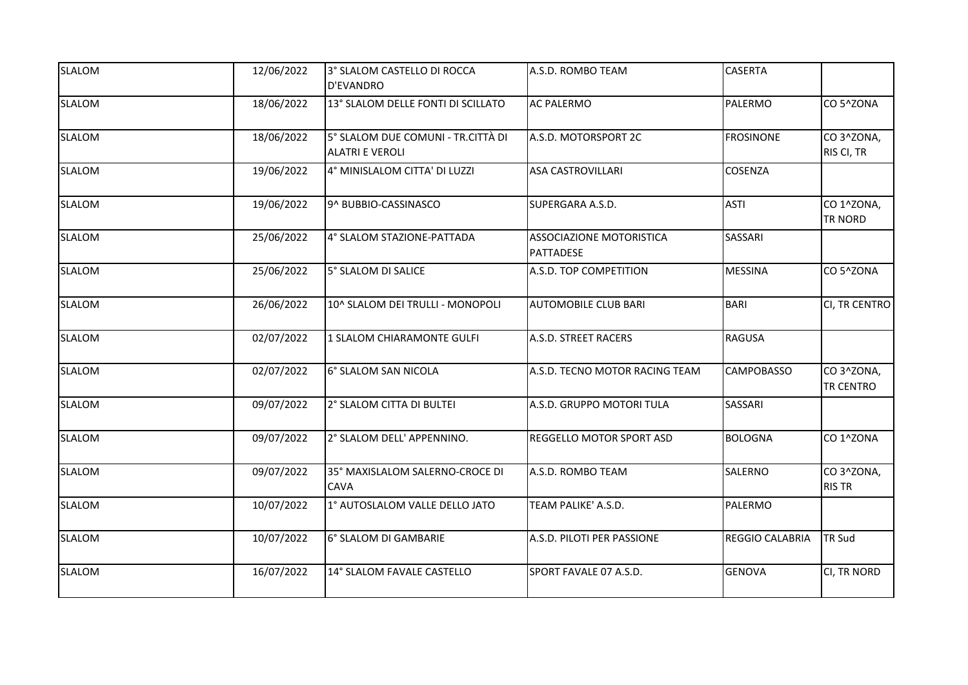| <b>SLALOM</b> | 12/06/2022 | 3° SLALOM CASTELLO DI ROCCA<br><b>D'EVANDRO</b>              | A.S.D. ROMBO TEAM                            | <b>CASERTA</b>    |                               |
|---------------|------------|--------------------------------------------------------------|----------------------------------------------|-------------------|-------------------------------|
| <b>SLALOM</b> | 18/06/2022 | 13° SLALOM DELLE FONTI DI SCILLATO                           | <b>AC PALERMO</b>                            | PALERMO           | CO 5^ZONA                     |
| <b>SLALOM</b> | 18/06/2022 | 5° SLALOM DUE COMUNI - TR.CITTÀ DI<br><b>ALATRI E VEROLI</b> | A.S.D. MOTORSPORT 2C                         | <b>FROSINONE</b>  | CO3^ZONA,<br>RIS CI, TR       |
| <b>SLALOM</b> | 19/06/2022 | 4° MINISLALOM CITTA' DI LUZZI                                | <b>ASA CASTROVILLARI</b>                     | <b>COSENZA</b>    |                               |
| <b>SLALOM</b> | 19/06/2022 | 9^ BUBBIO-CASSINASCO                                         | SUPERGARA A.S.D.                             | <b>ASTI</b>       | CO 1^ZONA,<br><b>TR NORD</b>  |
| <b>SLALOM</b> | 25/06/2022 | 4° SLALOM STAZIONE-PATTADA                                   | <b>ASSOCIAZIONE MOTORISTICA</b><br>PATTADESE | <b>SASSARI</b>    |                               |
| <b>SLALOM</b> | 25/06/2022 | 5° SLALOM DI SALICE                                          | A.S.D. TOP COMPETITION                       | <b>MESSINA</b>    | CO 5^ZONA                     |
| <b>SLALOM</b> | 26/06/2022 | 10^ SLALOM DEI TRULLI - MONOPOLI                             | <b>AUTOMOBILE CLUB BARI</b>                  | BARI              | CI, TR CENTRO                 |
| <b>SLALOM</b> | 02/07/2022 | 1 SLALOM CHIARAMONTE GULFI                                   | A.S.D. STREET RACERS                         | RAGUSA            |                               |
| <b>SLALOM</b> | 02/07/2022 | 6° SLALOM SAN NICOLA                                         | A.S.D. TECNO MOTOR RACING TEAM               | <b>CAMPOBASSO</b> | CO3^ZONA,<br><b>TR CENTRO</b> |
| <b>SLALOM</b> | 09/07/2022 | 2° SLALOM CITTA DI BULTEI                                    | A.S.D. GRUPPO MOTORI TULA                    | SASSARI           |                               |
| <b>SLALOM</b> | 09/07/2022 | 2° SLALOM DELL' APPENNINO.                                   | <b>REGGELLO MOTOR SPORT ASD</b>              | <b>BOLOGNA</b>    | CO 1^ZONA                     |
| SLALOM        | 09/07/2022 | 35° MAXISLALOM SALERNO-CROCE DI<br><b>CAVA</b>               | A.S.D. ROMBO TEAM                            | SALERNO           | CO3^ZONA,<br><b>RIS TR</b>    |
| <b>SLALOM</b> | 10/07/2022 | 1° AUTOSLALOM VALLE DELLO JATO                               | TEAM PALIKE' A.S.D.                          | PALERMO           |                               |
| <b>SLALOM</b> | 10/07/2022 | 6° SLALOM DI GAMBARIE                                        | A.S.D. PILOTI PER PASSIONE                   | REGGIO CALABRIA   | <b>TR Sud</b>                 |
| <b>SLALOM</b> | 16/07/2022 | 14° SLALOM FAVALE CASTELLO                                   | SPORT FAVALE 07 A.S.D.                       | <b>GENOVA</b>     | CI, TR NORD                   |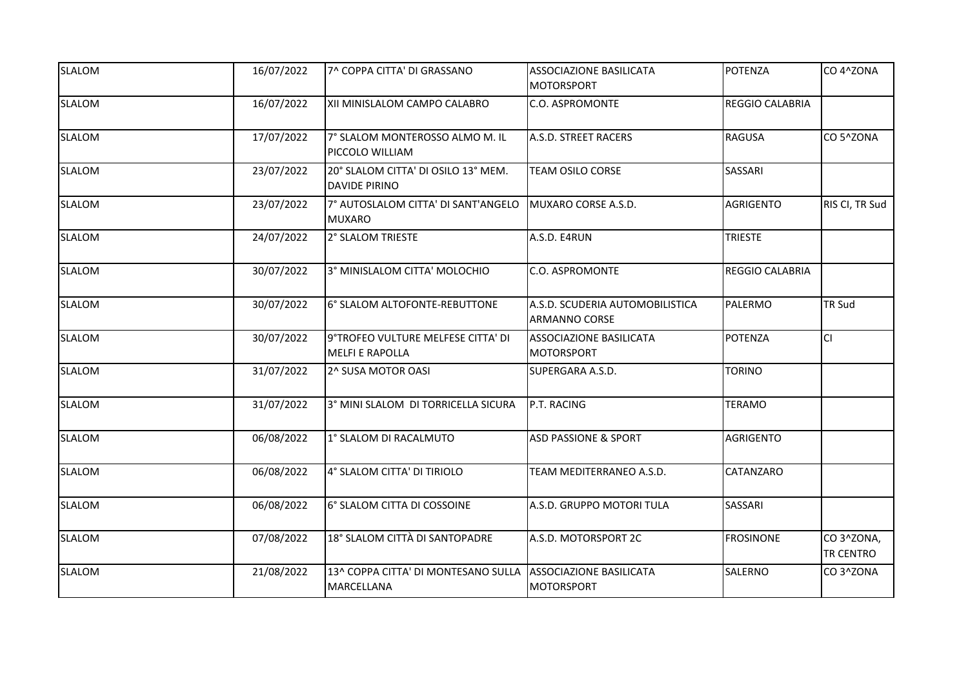| <b>SLALOM</b> | 16/07/2022 | 7^ COPPA CITTA' DI GRASSANO                                                      | <b>ASSOCIAZIONE BASILICATA</b><br><b>MOTORSPORT</b>     | <b>POTENZA</b>         | CO 4^ZONA              |
|---------------|------------|----------------------------------------------------------------------------------|---------------------------------------------------------|------------------------|------------------------|
| <b>SLALOM</b> | 16/07/2022 | XII MINISLALOM CAMPO CALABRO                                                     | <b>C.O. ASPROMONTE</b>                                  | <b>REGGIO CALABRIA</b> |                        |
| <b>SLALOM</b> | 17/07/2022 | 7° SLALOM MONTEROSSO ALMO M. IL<br>PICCOLO WILLIAM                               | A.S.D. STREET RACERS                                    | <b>RAGUSA</b>          | CO 5^ZONA              |
| <b>SLALOM</b> | 23/07/2022 | 20° SLALOM CITTA' DI OSILO 13° MEM.<br><b>DAVIDE PIRINO</b>                      | TEAM OSILO CORSE                                        | SASSARI                |                        |
| <b>SLALOM</b> | 23/07/2022 | 7° AUTOSLALOM CITTA' DI SANT'ANGELO<br><b>MUXARO</b>                             | MUXARO CORSE A.S.D.                                     | <b>AGRIGENTO</b>       | RIS CI, TR Sud         |
| <b>SLALOM</b> | 24/07/2022 | 2° SLALOM TRIESTE                                                                | A.S.D. E4RUN                                            | <b>TRIESTE</b>         |                        |
| <b>SLALOM</b> | 30/07/2022 | 3° MINISLALOM CITTA' MOLOCHIO                                                    | <b>C.O. ASPROMONTE</b>                                  | REGGIO CALABRIA        |                        |
| <b>SLALOM</b> | 30/07/2022 | 6° SLALOM ALTOFONTE-REBUTTONE                                                    | A.S.D. SCUDERIA AUTOMOBILISTICA<br><b>ARMANNO CORSE</b> | PALERMO                | <b>TR Sud</b>          |
| <b>SLALOM</b> | 30/07/2022 | 9°TROFEO VULTURE MELFESE CITTA' DI<br><b>MELFI E RAPOLLA</b>                     | <b>ASSOCIAZIONE BASILICATA</b><br>MOTORSPORT            | POTENZA                | lcı                    |
| <b>SLALOM</b> | 31/07/2022 | 2^ SUSA MOTOR OASI                                                               | SUPERGARA A.S.D.                                        | TORINO                 |                        |
| <b>SLALOM</b> | 31/07/2022 | 3° MINI SLALOM DI TORRICELLA SICURA                                              | P.T. RACING                                             | <b>TERAMO</b>          |                        |
| <b>SLALOM</b> | 06/08/2022 | 1° SLALOM DI RACALMUTO                                                           | <b>ASD PASSIONE &amp; SPORT</b>                         | <b>AGRIGENTO</b>       |                        |
| <b>SLALOM</b> | 06/08/2022 | 4° SLALOM CITTA' DI TIRIOLO                                                      | TEAM MEDITERRANEO A.S.D.                                | CATANZARO              |                        |
| <b>SLALOM</b> | 06/08/2022 | 6° SLALOM CITTA DI COSSOINE                                                      | A.S.D. GRUPPO MOTORI TULA                               | SASSARI                |                        |
| <b>SLALOM</b> | 07/08/2022 | 18° SLALOM CITTÀ DI SANTOPADRE                                                   | A.S.D. MOTORSPORT 2C                                    | <b>FROSINONE</b>       | CO3^ZONA,<br>TR CENTRO |
| <b>SLALOM</b> | 21/08/2022 | 13^ COPPA CITTA' DI MONTESANO SULLA ASSOCIAZIONE BASILICATA<br><b>MARCELLANA</b> | MOTORSPORT                                              | SALERNO                | CO3^ZONA               |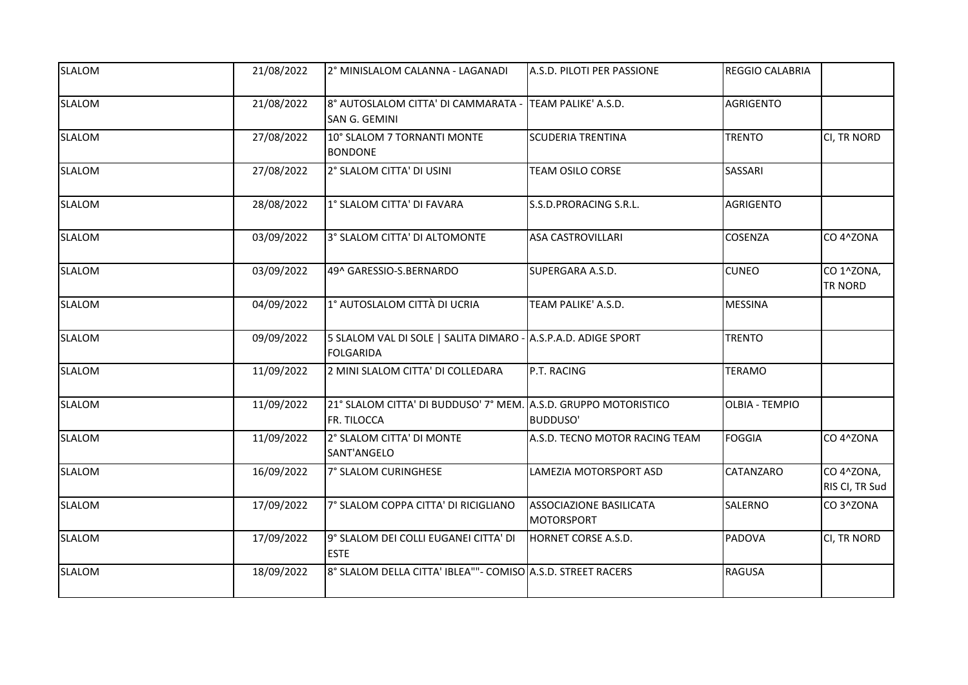| <b>SLALOM</b> | 21/08/2022 | 2° MINISLALOM CALANNA - LAGANADI                                                  | A.S.D. PILOTI PER PASSIONE                          | <b>REGGIO CALABRIA</b> |                              |
|---------------|------------|-----------------------------------------------------------------------------------|-----------------------------------------------------|------------------------|------------------------------|
| <b>SLALOM</b> | 21/08/2022 | 8° AUTOSLALOM CITTA' DI CAMMARATA - TEAM PALIKE' A.S.D.<br>SAN G. GEMINI          |                                                     | <b>AGRIGENTO</b>       |                              |
| <b>SLALOM</b> | 27/08/2022 | 10° SLALOM 7 TORNANTI MONTE<br><b>BONDONE</b>                                     | <b>SCUDERIA TRENTINA</b>                            | <b>TRENTO</b>          | CI, TR NORD                  |
| <b>SLALOM</b> | 27/08/2022 | 2° SLALOM CITTA' DI USINI                                                         | TEAM OSILO CORSE                                    | SASSARI                |                              |
| <b>SLALOM</b> | 28/08/2022 | 1° SLALOM CITTA' DI FAVARA                                                        | S.S.D.PRORACING S.R.L.                              | <b>AGRIGENTO</b>       |                              |
| <b>SLALOM</b> | 03/09/2022 | 3° SLALOM CITTA' DI ALTOMONTE                                                     | <b>ASA CASTROVILLARI</b>                            | <b>COSENZA</b>         | CO 4^ZONA                    |
| <b>SLALOM</b> | 03/09/2022 | 49^ GARESSIO-S.BERNARDO                                                           | SUPERGARA A.S.D.                                    | <b>CUNEO</b>           | CO 1^ZONA,<br>TR NORD        |
| <b>SLALOM</b> | 04/09/2022 | 1° AUTOSLALOM CITTÀ DI UCRIA                                                      | TEAM PALIKE' A.S.D.                                 | <b>MESSINA</b>         |                              |
| <b>SLALOM</b> | 09/09/2022 | 5 SLALOM VAL DI SOLE   SALITA DIMARO - A.S.P.A.D. ADIGE SPORT<br><b>FOLGARIDA</b> |                                                     | <b>TRENTO</b>          |                              |
| <b>SLALOM</b> | 11/09/2022 | 2 MINI SLALOM CITTA' DI COLLEDARA                                                 | P.T. RACING                                         | <b>TERAMO</b>          |                              |
| <b>SLALOM</b> | 11/09/2022 | 21° SLALOM CITTA' DI BUDDUSO' 7° MEM. A.S.D. GRUPPO MOTORISTICO<br>FR. TILOCCA    | <b>BUDDUSO'</b>                                     | <b>OLBIA - TEMPIO</b>  |                              |
| <b>SLALOM</b> | 11/09/2022 | 2° SLALOM CITTA' DI MONTE<br>SANT'ANGELO                                          | A.S.D. TECNO MOTOR RACING TEAM                      | <b>FOGGIA</b>          | CO 4^ZONA                    |
| SLALOM        | 16/09/2022 | 7° SLALOM CURINGHESE                                                              | LAMEZIA MOTORSPORT ASD                              | CATANZARO              | CO 4^ZONA,<br>RIS CI, TR Sud |
| <b>SLALOM</b> | 17/09/2022 | 7° SLALOM COPPA CITTA' DI RICIGLIANO                                              | <b>ASSOCIAZIONE BASILICATA</b><br><b>MOTORSPORT</b> | SALERNO                | CO3^ZONA                     |
| <b>SLALOM</b> | 17/09/2022 | 9° SLALOM DEI COLLI EUGANEI CITTA' DI<br><b>ESTE</b>                              | HORNET CORSE A.S.D.                                 | <b>PADOVA</b>          | CI, TR NORD                  |
| <b>SLALOM</b> | 18/09/2022 | 8° SLALOM DELLA CITTA' IBLEA""- COMISO A.S.D. STREET RACERS                       |                                                     | <b>RAGUSA</b>          |                              |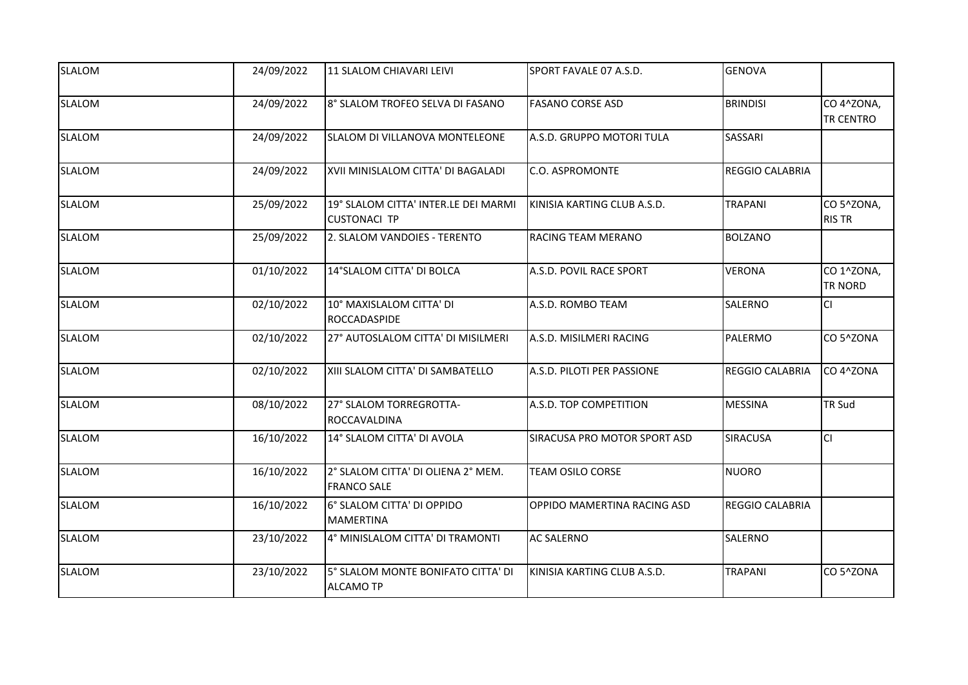| <b>SLALOM</b> | 24/09/2022 | 11 SLALOM CHIAVARI LEIVI                                    | SPORT FAVALE 07 A.S.D.       | <b>GENOVA</b>          |                                |
|---------------|------------|-------------------------------------------------------------|------------------------------|------------------------|--------------------------------|
| <b>SLALOM</b> | 24/09/2022 | 8° SLALOM TROFEO SELVA DI FASANO                            | <b>FASANO CORSE ASD</b>      | <b>BRINDISI</b>        | CO 4^ZONA,<br><b>TR CENTRO</b> |
| <b>SLALOM</b> | 24/09/2022 | SLALOM DI VILLANOVA MONTELEONE                              | A.S.D. GRUPPO MOTORI TULA    | <b>SASSARI</b>         |                                |
| <b>SLALOM</b> | 24/09/2022 | XVII MINISLALOM CITTA' DI BAGALADI                          | <b>C.O. ASPROMONTE</b>       | REGGIO CALABRIA        |                                |
| <b>SLALOM</b> | 25/09/2022 | 19° SLALOM CITTA' INTER.LE DEI MARMI<br><b>CUSTONACI TP</b> | KINISIA KARTING CLUB A.S.D.  | <b>TRAPANI</b>         | CO 5^ZONA,<br><b>RIS TR</b>    |
| <b>SLALOM</b> | 25/09/2022 | 2. SLALOM VANDOIES - TERENTO                                | RACING TEAM MERANO           | <b>BOLZANO</b>         |                                |
| <b>SLALOM</b> | 01/10/2022 | 14°SLALOM CITTA' DI BOLCA                                   | A.S.D. POVIL RACE SPORT      | <b>VERONA</b>          | CO 1^ZONA,<br><b>TR NORD</b>   |
| <b>SLALOM</b> | 02/10/2022 | 10° MAXISLALOM CITTA' DI<br>ROCCADASPIDE                    | A.S.D. ROMBO TEAM            | <b>SALERNO</b>         | <b>CI</b>                      |
| <b>SLALOM</b> | 02/10/2022 | 27° AUTOSLALOM CITTA' DI MISILMERI                          | A.S.D. MISILMERI RACING      | PALERMO                | CO 5^ZONA                      |
| <b>SLALOM</b> | 02/10/2022 | XIII SLALOM CITTA' DI SAMBATELLO                            | A.S.D. PILOTI PER PASSIONE   | <b>REGGIO CALABRIA</b> | CO 4^ZONA                      |
| <b>SLALOM</b> | 08/10/2022 | 27° SLALOM TORREGROTTA-<br>ROCCAVALDINA                     | A.S.D. TOP COMPETITION       | <b>MESSINA</b>         | <b>TR Sud</b>                  |
| <b>SLALOM</b> | 16/10/2022 | 14° SLALOM CITTA' DI AVOLA                                  | SIRACUSA PRO MOTOR SPORT ASD | <b>SIRACUSA</b>        | <b>CI</b>                      |
| <b>SLALOM</b> | 16/10/2022 | 2° SLALOM CITTA' DI OLIENA 2° MEM.<br><b>FRANCO SALE</b>    | <b>TEAM OSILO CORSE</b>      | <b>NUORO</b>           |                                |
| <b>SLALOM</b> | 16/10/2022 | 6° SLALOM CITTA' DI OPPIDO<br><b>MAMERTINA</b>              | OPPIDO MAMERTINA RACING ASD  | REGGIO CALABRIA        |                                |
| <b>SLALOM</b> | 23/10/2022 | 4° MINISLALOM CITTA' DI TRAMONTI                            | <b>AC SALERNO</b>            | SALERNO                |                                |
| <b>SLALOM</b> | 23/10/2022 | 5° SLALOM MONTE BONIFATO CITTA' DI<br><b>ALCAMO TP</b>      | KINISIA KARTING CLUB A.S.D.  | <b>TRAPANI</b>         | CO 5^ZONA                      |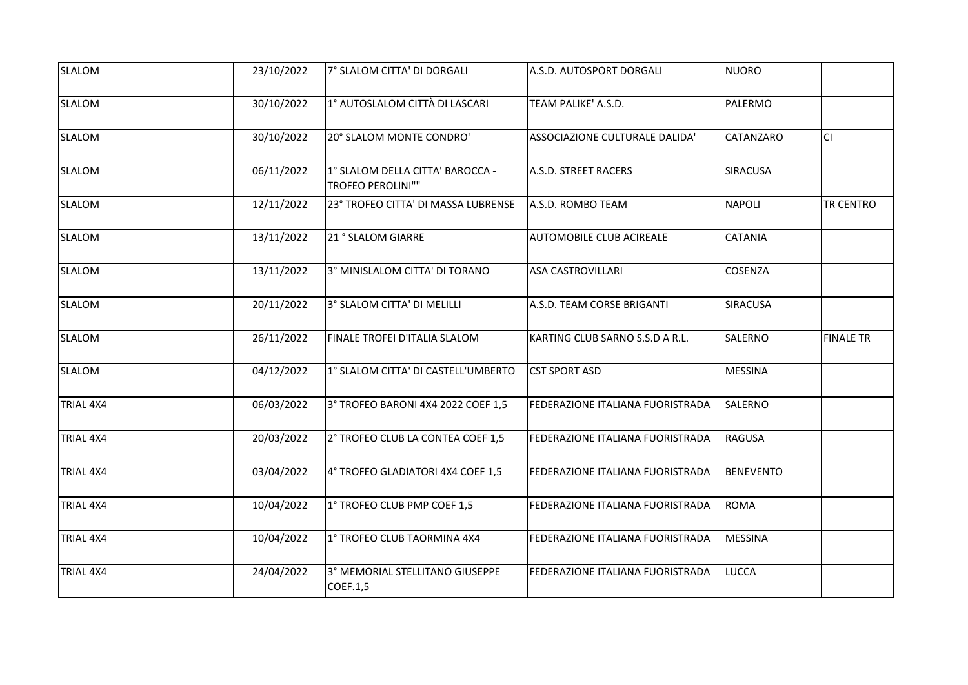| <b>SLALOM</b>    | 23/10/2022 | 7° SLALOM CITTA' DI DORGALI                           | A.S.D. AUTOSPORT DORGALI                | NUORO            |                  |
|------------------|------------|-------------------------------------------------------|-----------------------------------------|------------------|------------------|
| <b>SLALOM</b>    | 30/10/2022 | 1° AUTOSLALOM CITTÀ DI LASCARI                        | TEAM PALIKE' A.S.D.                     | PALERMO          |                  |
| <b>SLALOM</b>    | 30/10/2022 | 20° SLALOM MONTE CONDRO'                              | ASSOCIAZIONE CULTURALE DALIDA'          | <b>CATANZARO</b> | lcı              |
| <b>SLALOM</b>    | 06/11/2022 | 1° SLALOM DELLA CITTA' BAROCCA -<br>TROFEO PEROLINI"" | A.S.D. STREET RACERS                    | <b>SIRACUSA</b>  |                  |
| <b>SLALOM</b>    | 12/11/2022 | 23° TROFEO CITTA' DI MASSA LUBRENSE                   | A.S.D. ROMBO TEAM                       | <b>NAPOLI</b>    | <b>TR CENTRO</b> |
| <b>SLALOM</b>    | 13/11/2022 | 21 ° SLALOM GIARRE                                    | AUTOMOBILE CLUB ACIREALE                | <b>CATANIA</b>   |                  |
| <b>SLALOM</b>    | 13/11/2022 | 3° MINISLALOM CITTA' DI TORANO                        | <b>ASA CASTROVILLARI</b>                | COSENZA          |                  |
| <b>SLALOM</b>    | 20/11/2022 | 3° SLALOM CITTA' DI MELILLI                           | A.S.D. TEAM CORSE BRIGANTI              | <b>SIRACUSA</b>  |                  |
| <b>SLALOM</b>    | 26/11/2022 | FINALE TROFEI D'ITALIA SLALOM                         | KARTING CLUB SARNO S.S.D A R.L.         | SALERNO          | <b>FINALE TR</b> |
| <b>SLALOM</b>    | 04/12/2022 | 1° SLALOM CITTA' DI CASTELL'UMBERTO                   | <b>CST SPORT ASD</b>                    | <b>MESSINA</b>   |                  |
| <b>TRIAL 4X4</b> | 06/03/2022 | 3° TROFEO BARONI 4X4 2022 COEF 1,5                    | <b>FEDERAZIONE ITALIANA FUORISTRADA</b> | SALERNO          |                  |
| TRIAL 4X4        | 20/03/2022 | 2° TROFEO CLUB LA CONTEA COEF 1,5                     | FEDERAZIONE ITALIANA FUORISTRADA        | RAGUSA           |                  |
| TRIAL 4X4        | 03/04/2022 | 4° TROFEO GLADIATORI 4X4 COEF 1,5                     | FEDERAZIONE ITALIANA FUORISTRADA        | <b>BENEVENTO</b> |                  |
| TRIAL 4X4        | 10/04/2022 | 1° TROFEO CLUB PMP COEF 1,5                           | FEDERAZIONE ITALIANA FUORISTRADA        | ROMA             |                  |
| TRIAL 4X4        | 10/04/2022 | 1° TROFEO CLUB TAORMINA 4X4                           | FEDERAZIONE ITALIANA FUORISTRADA        | MESSINA          |                  |
| TRIAL 4X4        | 24/04/2022 | 3° MEMORIAL STELLITANO GIUSEPPE<br>COEF.1,5           | FEDERAZIONE ITALIANA FUORISTRADA        | <b>LUCCA</b>     |                  |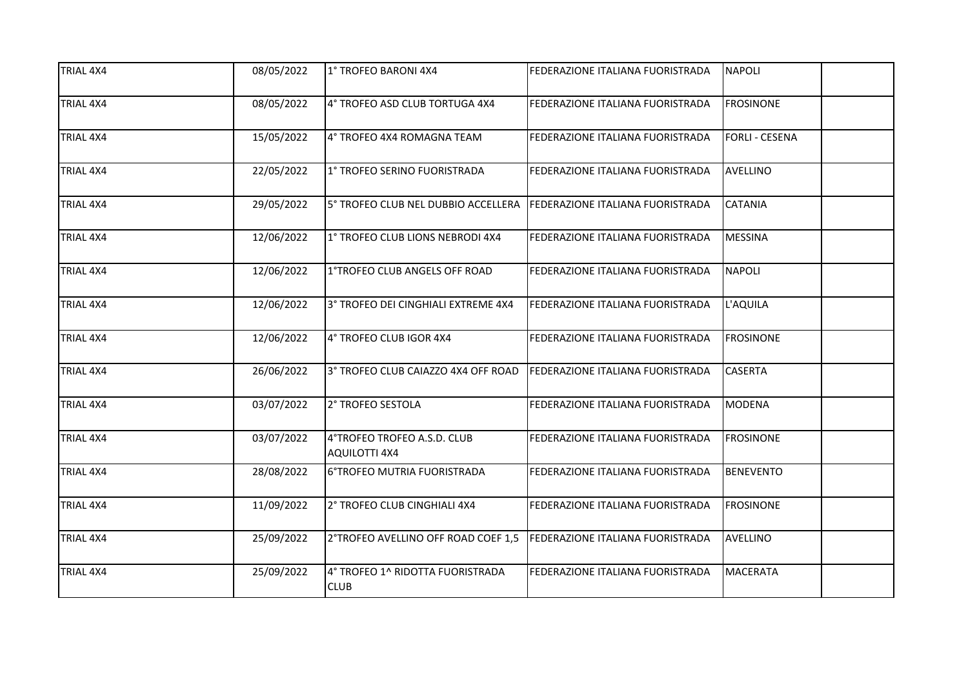| <b>TRIAL 4X4</b> | 08/05/2022 | 1° TROFEO BARONI 4X4                                                 | FEDERAZIONE ITALIANA FUORISTRADA        | <b>NAPOLI</b>         |
|------------------|------------|----------------------------------------------------------------------|-----------------------------------------|-----------------------|
| <b>TRIAL 4X4</b> | 08/05/2022 | 4° TROFEO ASD CLUB TORTUGA 4X4                                       | FEDERAZIONE ITALIANA FUORISTRADA        | <b>FROSINONE</b>      |
| <b>TRIAL 4X4</b> | 15/05/2022 | 4° TROFEO 4X4 ROMAGNA TEAM                                           | FEDERAZIONE ITALIANA FUORISTRADA        | <b>FORLI - CESENA</b> |
| TRIAL 4X4        | 22/05/2022 | 1° TROFEO SERINO FUORISTRADA                                         | FEDERAZIONE ITALIANA FUORISTRADA        | <b>AVELLINO</b>       |
| <b>TRIAL 4X4</b> | 29/05/2022 | 5° TROFEO CLUB NEL DUBBIO ACCELLERA FEDERAZIONE ITALIANA FUORISTRADA |                                         | <b>CATANIA</b>        |
| TRIAL 4X4        | 12/06/2022 | 1° TROFEO CLUB LIONS NEBRODI 4X4                                     | FEDERAZIONE ITALIANA FUORISTRADA        | <b>MESSINA</b>        |
| TRIAL 4X4        | 12/06/2022 | 1°TROFEO CLUB ANGELS OFF ROAD                                        | FEDERAZIONE ITALIANA FUORISTRADA        | <b>NAPOLI</b>         |
| TRIAL 4X4        | 12/06/2022 | 3° TROFEO DEI CINGHIALI EXTREME 4X4                                  | FEDERAZIONE ITALIANA FUORISTRADA        | L'AQUILA              |
| TRIAL 4X4        | 12/06/2022 | 4° TROFEO CLUB IGOR 4X4                                              | FEDERAZIONE ITALIANA FUORISTRADA        | <b>FROSINONE</b>      |
| TRIAL 4X4        | 26/06/2022 | 3° TROFEO CLUB CAIAZZO 4X4 OFF ROAD                                  | <b>FEDERAZIONE ITALIANA FUORISTRADA</b> | <b>CASERTA</b>        |
| <b>TRIAL 4X4</b> | 03/07/2022 | 2° TROFEO SESTOLA                                                    | FEDERAZIONE ITALIANA FUORISTRADA        | <b>MODENA</b>         |
| TRIAL 4X4        | 03/07/2022 | 4°TROFEO TROFEO A.S.D. CLUB<br><b>AQUILOTTI 4X4</b>                  | FEDERAZIONE ITALIANA FUORISTRADA        | <b>FROSINONE</b>      |
| TRIAL 4X4        | 28/08/2022 | 6°TROFEO MUTRIA FUORISTRADA                                          | FEDERAZIONE ITALIANA FUORISTRADA        | <b>BENEVENTO</b>      |
| TRIAL 4X4        | 11/09/2022 | 2° TROFEO CLUB CINGHIALI 4X4                                         | FEDERAZIONE ITALIANA FUORISTRADA        | <b>FROSINONE</b>      |
| TRIAL 4X4        | 25/09/2022 | 2°TROFEO AVELLINO OFF ROAD COEF 1,5                                  | <b>FEDERAZIONE ITALIANA FUORISTRADA</b> | AVELLINO              |
| TRIAL 4X4        | 25/09/2022 | 4° TROFEO 1^ RIDOTTA FUORISTRADA<br><b>CLUB</b>                      | FEDERAZIONE ITALIANA FUORISTRADA        | <b>MACERATA</b>       |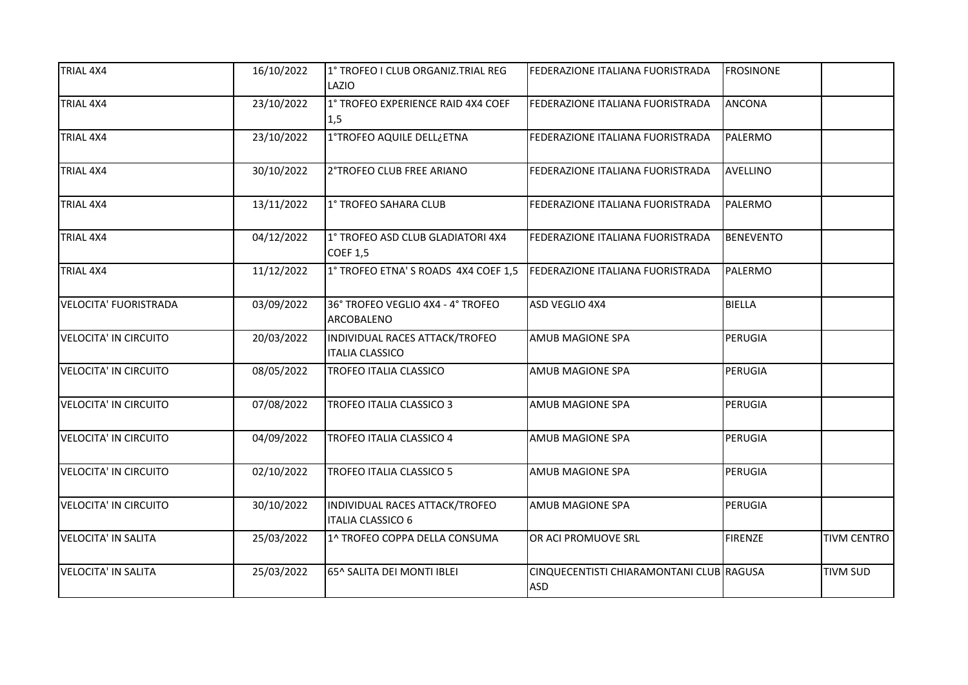| TRIAL 4X4                    | 16/10/2022 | 1° TROFEO I CLUB ORGANIZ.TRIAL REG<br>LAZIO                | FEDERAZIONE ITALIANA FUORISTRADA                | <b>FROSINONE</b> |                    |
|------------------------------|------------|------------------------------------------------------------|-------------------------------------------------|------------------|--------------------|
| TRIAL 4X4                    | 23/10/2022 | 1° TROFEO EXPERIENCE RAID 4X4 COEF<br>1,5                  | FEDERAZIONE ITALIANA FUORISTRADA                | <b>ANCONA</b>    |                    |
| TRIAL 4X4                    | 23/10/2022 | 1°TROFEO AQUILE DELL¿ETNA                                  | FEDERAZIONE ITALIANA FUORISTRADA                | PALERMO          |                    |
| TRIAL 4X4                    | 30/10/2022 | 2°TROFEO CLUB FREE ARIANO                                  | FEDERAZIONE ITALIANA FUORISTRADA                | <b>AVELLINO</b>  |                    |
| <b>TRIAL 4X4</b>             | 13/11/2022 | 1° TROFEO SAHARA CLUB                                      | FEDERAZIONE ITALIANA FUORISTRADA                | PALERMO          |                    |
| TRIAL 4X4                    | 04/12/2022 | 1° TROFEO ASD CLUB GLADIATORI 4X4<br><b>COEF 1,5</b>       | FEDERAZIONE ITALIANA FUORISTRADA                | <b>BENEVENTO</b> |                    |
| TRIAL 4X4                    | 11/12/2022 | 1° TROFEO ETNA'S ROADS 4X4 COEF 1,5                        | FEDERAZIONE ITALIANA FUORISTRADA                | PALERMO          |                    |
| <b>VELOCITA' FUORISTRADA</b> | 03/09/2022 | 36° TROFEO VEGLIO 4X4 - 4° TROFEO<br>ARCOBALENO            | ASD VEGLIO 4X4                                  | <b>BIELLA</b>    |                    |
| <b>VELOCITA' IN CIRCUITO</b> | 20/03/2022 | INDIVIDUAL RACES ATTACK/TROFEO<br><b>ITALIA CLASSICO</b>   | AMUB MAGIONE SPA                                | PERUGIA          |                    |
| <b>VELOCITA' IN CIRCUITO</b> | 08/05/2022 | TROFEO ITALIA CLASSICO                                     | AMUB MAGIONE SPA                                | PERUGIA          |                    |
| <b>VELOCITA' IN CIRCUITO</b> | 07/08/2022 | <b>TROFEO ITALIA CLASSICO 3</b>                            | AMUB MAGIONE SPA                                | PERUGIA          |                    |
| <b>VELOCITA' IN CIRCUITO</b> | 04/09/2022 | TROFEO ITALIA CLASSICO 4                                   | AMUB MAGIONE SPA                                | PERUGIA          |                    |
| <b>VELOCITA' IN CIRCUITO</b> | 02/10/2022 | TROFEO ITALIA CLASSICO 5                                   | AMUB MAGIONE SPA                                | PERUGIA          |                    |
| <b>VELOCITA' IN CIRCUITO</b> | 30/10/2022 | INDIVIDUAL RACES ATTACK/TROFEO<br><b>ITALIA CLASSICO 6</b> | AMUB MAGIONE SPA                                | PERUGIA          |                    |
| <b>VELOCITA' IN SALITA</b>   | 25/03/2022 | 1^ TROFEO COPPA DELLA CONSUMA                              | OR ACI PROMUOVE SRL                             | <b>FIRENZE</b>   | <b>TIVM CENTRO</b> |
| <b>VELOCITA' IN SALITA</b>   | 25/03/2022 | 65^ SALITA DEI MONTI IBLEI                                 | CINQUECENTISTI CHIARAMONTANI CLUB RAGUSA<br>ASD |                  | <b>TIVM SUD</b>    |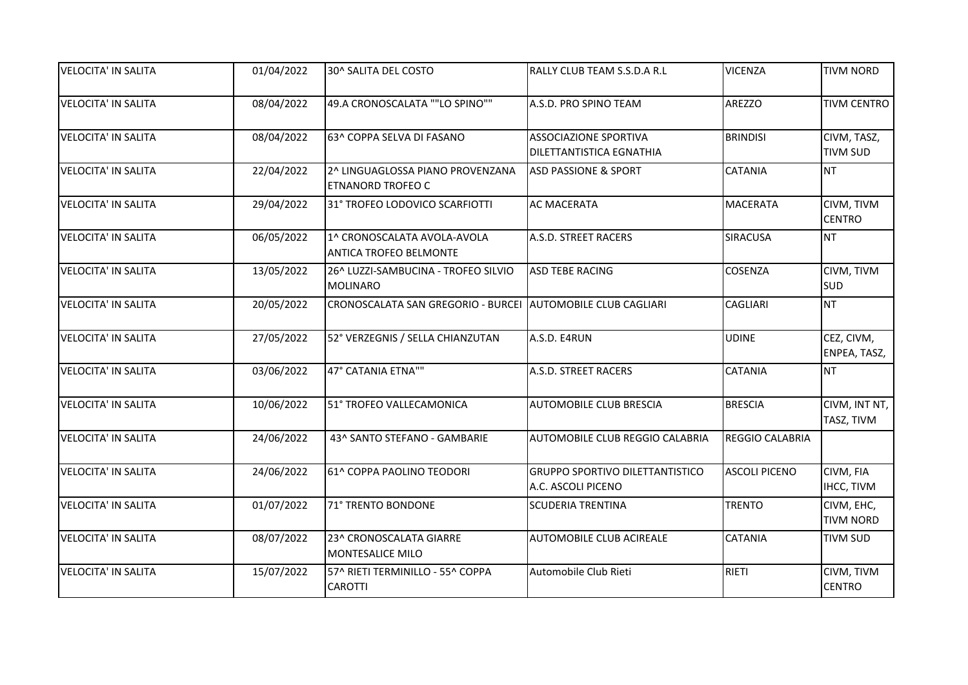| <b>VELOCITA' IN SALITA</b> | 01/04/2022 | 30^ SALITA DEL COSTO                                         | RALLY CLUB TEAM S.S.D.A R.L                                     | <b>VICENZA</b>       | <b>TIVM NORD</b>               |
|----------------------------|------------|--------------------------------------------------------------|-----------------------------------------------------------------|----------------------|--------------------------------|
| <b>VELOCITA' IN SALITA</b> | 08/04/2022 | 49.A CRONOSCALATA ""LO SPINO""                               | A.S.D. PRO SPINO TEAM                                           | <b>AREZZO</b>        | <b>TIVM CENTRO</b>             |
| <b>VELOCITA' IN SALITA</b> | 08/04/2022 | 63^ COPPA SELVA DI FASANO                                    | <b>ASSOCIAZIONE SPORTIVA</b><br><b>DILETTANTISTICA EGNATHIA</b> | <b>BRINDISI</b>      | CIVM, TASZ,<br><b>TIVM SUD</b> |
| <b>VELOCITA' IN SALITA</b> | 22/04/2022 | 2^ LINGUAGLOSSA PIANO PROVENZANA<br><b>ETNANORD TROFEO C</b> | <b>ASD PASSIONE &amp; SPORT</b>                                 | <b>CATANIA</b>       | <b>NT</b>                      |
| <b>VELOCITA' IN SALITA</b> | 29/04/2022 | 31° TROFEO LODOVICO SCARFIOTTI                               | <b>AC MACERATA</b>                                              | <b>MACERATA</b>      | CIVM, TIVM<br><b>CENTRO</b>    |
| <b>VELOCITA' IN SALITA</b> | 06/05/2022 | 1^ CRONOSCALATA AVOLA-AVOLA<br><b>ANTICA TROFEO BELMONTE</b> | A.S.D. STREET RACERS                                            | <b>SIRACUSA</b>      | <b>NT</b>                      |
| <b>VELOCITA' IN SALITA</b> | 13/05/2022 | 26^ LUZZI-SAMBUCINA - TROFEO SILVIO<br><b>MOLINARO</b>       | <b>ASD TEBE RACING</b>                                          | COSENZA              | CIVM, TIVM<br><b>SUD</b>       |
| <b>VELOCITA' IN SALITA</b> | 20/05/2022 | CRONOSCALATA SAN GREGORIO - BURCEI AUTOMOBILE CLUB CAGLIARI  |                                                                 | <b>CAGLIARI</b>      | <b>NT</b>                      |
| <b>VELOCITA' IN SALITA</b> | 27/05/2022 | 52° VERZEGNIS / SELLA CHIANZUTAN                             | A.S.D. E4RUN                                                    | <b>UDINE</b>         | CEZ, CIVM,<br>ENPEA, TASZ,     |
| <b>VELOCITA' IN SALITA</b> | 03/06/2022 | 47° CATANIA ETNA""                                           | A.S.D. STREET RACERS                                            | <b>CATANIA</b>       | <b>NT</b>                      |
| <b>VELOCITA' IN SALITA</b> | 10/06/2022 | 51° TROFEO VALLECAMONICA                                     | <b>AUTOMOBILE CLUB BRESCIA</b>                                  | <b>BRESCIA</b>       | CIVM, INT NT,<br>TASZ, TIVM    |
| <b>VELOCITA' IN SALITA</b> | 24/06/2022 | 43^ SANTO STEFANO - GAMBARIE                                 | AUTOMOBILE CLUB REGGIO CALABRIA                                 | REGGIO CALABRIA      |                                |
| <b>VELOCITA' IN SALITA</b> | 24/06/2022 | 61^ COPPA PAOLINO TEODORI                                    | <b>GRUPPO SPORTIVO DILETTANTISTICO</b><br>A.C. ASCOLI PICENO    | <b>ASCOLI PICENO</b> | CIVM, FIA<br><b>IHCC, TIVM</b> |
| <b>VELOCITA' IN SALITA</b> | 01/07/2022 | 71° TRENTO BONDONE                                           | <b>SCUDERIA TRENTINA</b>                                        | <b>TRENTO</b>        | CIVM, EHC,<br><b>TIVM NORD</b> |
| <b>VELOCITA' IN SALITA</b> | 08/07/2022 | 23^ CRONOSCALATA GIARRE<br><b>MONTESALICE MILO</b>           | <b>AUTOMOBILE CLUB ACIREALE</b>                                 | <b>CATANIA</b>       | <b>TIVM SUD</b>                |
| <b>VELOCITA' IN SALITA</b> | 15/07/2022 | 57^ RIETI TERMINILLO - 55^ COPPA<br><b>CAROTTI</b>           | Automobile Club Rieti                                           | RIETI                | CIVM, TIVM<br><b>CENTRO</b>    |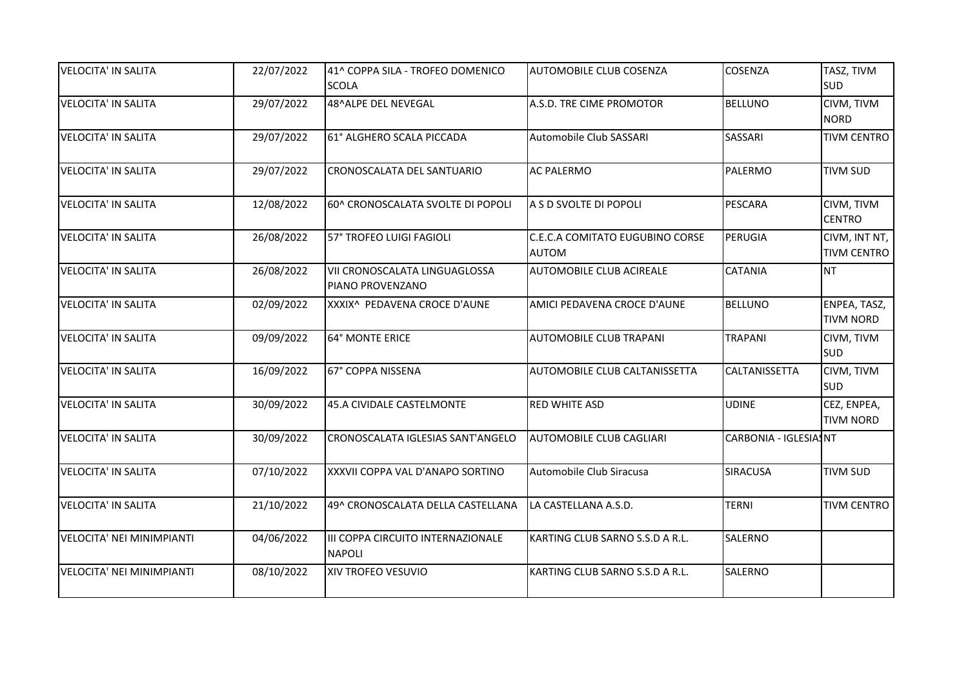| <b>VELOCITA' IN SALITA</b>       | 22/07/2022 | 41^ COPPA SILA - TROFEO DOMENICO                   | <b>AUTOMOBILE CLUB COSENZA</b>  | COSENZA               | TASZ, TIVM         |
|----------------------------------|------------|----------------------------------------------------|---------------------------------|-----------------------|--------------------|
|                                  |            | <b>SCOLA</b>                                       |                                 |                       | <b>SUD</b>         |
| <b>VELOCITA' IN SALITA</b>       | 29/07/2022 | 48^ALPE DEL NEVEGAL                                | A.S.D. TRE CIME PROMOTOR        | <b>BELLUNO</b>        | CIVM, TIVM         |
|                                  |            |                                                    |                                 |                       | <b>NORD</b>        |
| <b>VELOCITA' IN SALITA</b>       | 29/07/2022 | 61° ALGHERO SCALA PICCADA                          | Automobile Club SASSARI         | <b>SASSARI</b>        | <b>TIVM CENTRO</b> |
| <b>VELOCITA' IN SALITA</b>       | 29/07/2022 | CRONOSCALATA DEL SANTUARIO                         | <b>AC PALERMO</b>               | PALERMO               | <b>TIVM SUD</b>    |
| <b>VELOCITA' IN SALITA</b>       | 12/08/2022 | 60^ CRONOSCALATA SVOLTE DI POPOLI                  | A S D SVOLTE DI POPOLI          | <b>PESCARA</b>        | CIVM, TIVM         |
|                                  |            |                                                    |                                 |                       | <b>CENTRO</b>      |
| <b>VELOCITA' IN SALITA</b>       | 26/08/2022 | 57° TROFEO LUIGI FAGIOLI                           | C.E.C.A COMITATO EUGUBINO CORSE | PERUGIA               | CIVM, INT NT,      |
|                                  |            |                                                    | <b>AUTOM</b>                    |                       | <b>TIVM CENTRO</b> |
| <b>VELOCITA' IN SALITA</b>       | 26/08/2022 | VII CRONOSCALATA LINGUAGLOSSA<br>PIANO PROVENZANO  | <b>AUTOMOBILE CLUB ACIREALE</b> | <b>CATANIA</b>        | <b>NT</b>          |
| <b>VELOCITA' IN SALITA</b>       | 02/09/2022 | XXXIX^ PEDAVENA CROCE D'AUNE                       | AMICI PEDAVENA CROCE D'AUNE     | <b>BELLUNO</b>        | ENPEA, TASZ,       |
|                                  |            |                                                    |                                 |                       | <b>TIVM NORD</b>   |
| <b>VELOCITA' IN SALITA</b>       | 09/09/2022 | 64° MONTE ERICE                                    | <b>AUTOMOBILE CLUB TRAPANI</b>  | <b>TRAPANI</b>        | CIVM, TIVM         |
|                                  |            |                                                    |                                 |                       | <b>SUD</b>         |
| <b>VELOCITA' IN SALITA</b>       | 16/09/2022 | 67° COPPA NISSENA                                  | AUTOMOBILE CLUB CALTANISSETTA   | CALTANISSETTA         | CIVM, TIVM         |
|                                  |            |                                                    |                                 |                       | <b>SUD</b>         |
| <b>VELOCITA' IN SALITA</b>       | 30/09/2022 | 45.A CIVIDALE CASTELMONTE                          | <b>RED WHITE ASD</b>            | <b>UDINE</b>          | CEZ, ENPEA,        |
|                                  |            |                                                    |                                 |                       | <b>TIVM NORD</b>   |
| <b>VELOCITA' IN SALITA</b>       | 30/09/2022 | CRONOSCALATA IGLESIAS SANT'ANGELO                  | <b>AUTOMOBILE CLUB CAGLIARI</b> | CARBONIA - IGLESIASNT |                    |
| <b>VELOCITA' IN SALITA</b>       | 07/10/2022 | XXXVII COPPA VAL D'ANAPO SORTINO                   | Automobile Club Siracusa        | SIRACUSA              | <b>TIVM SUD</b>    |
|                                  |            |                                                    |                                 |                       |                    |
| <b>VELOCITA' IN SALITA</b>       | 21/10/2022 | 49^ CRONOSCALATA DELLA CASTELLANA                  | LA CASTELLANA A.S.D.            | <b>TERNI</b>          | <b>TIVM CENTRO</b> |
| <b>VELOCITA' NEI MINIMPIANTI</b> | 04/06/2022 | III COPPA CIRCUITO INTERNAZIONALE<br><b>NAPOLI</b> | KARTING CLUB SARNO S.S.D A R.L. | SALERNO               |                    |
| <b>VELOCITA' NEI MINIMPIANTI</b> | 08/10/2022 | XIV TROFEO VESUVIO                                 | KARTING CLUB SARNO S.S.D A R.L. | SALERNO               |                    |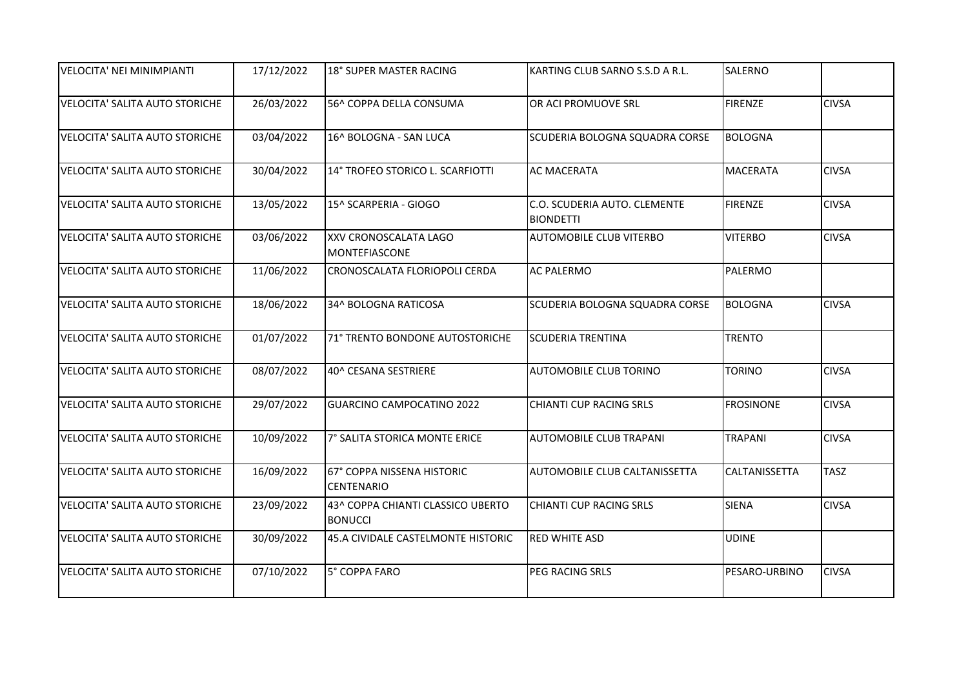| VELOCITA' NEI MINIMPIANTI             | 17/12/2022 | 18° SUPER MASTER RACING                             | KARTING CLUB SARNO S.S.D A R.L.                  | SALERNO          |              |
|---------------------------------------|------------|-----------------------------------------------------|--------------------------------------------------|------------------|--------------|
| VELOCITA' SALITA AUTO STORICHE        | 26/03/2022 | 56^ COPPA DELLA CONSUMA                             | OR ACI PROMUOVE SRL                              | <b>FIRENZE</b>   | <b>CIVSA</b> |
| <b>VELOCITA' SALITA AUTO STORICHE</b> | 03/04/2022 | 16^ BOLOGNA - SAN LUCA                              | SCUDERIA BOLOGNA SQUADRA CORSE                   | <b>BOLOGNA</b>   |              |
| <b>VELOCITA' SALITA AUTO STORICHE</b> | 30/04/2022 | 14° TROFEO STORICO L. SCARFIOTTI                    | <b>AC MACERATA</b>                               | <b>MACERATA</b>  | <b>CIVSA</b> |
| VELOCITA' SALITA AUTO STORICHE        | 13/05/2022 | 15^ SCARPERIA - GIOGO                               | C.O. SCUDERIA AUTO. CLEMENTE<br><b>BIONDETTI</b> | <b>FIRENZE</b>   | <b>CIVSA</b> |
| VELOCITA' SALITA AUTO STORICHE        | 03/06/2022 | XXV CRONOSCALATA LAGO<br><b>MONTEFIASCONE</b>       | <b>AUTOMOBILE CLUB VITERBO</b>                   | <b>VITERBO</b>   | <b>CIVSA</b> |
| <b>VELOCITA' SALITA AUTO STORICHE</b> | 11/06/2022 | CRONOSCALATA FLORIOPOLI CERDA                       | <b>AC PALERMO</b>                                | PALERMO          |              |
| VELOCITA' SALITA AUTO STORICHE        | 18/06/2022 | 34^ BOLOGNA RATICOSA                                | SCUDERIA BOLOGNA SQUADRA CORSE                   | <b>BOLOGNA</b>   | <b>CIVSA</b> |
| <b>VELOCITA' SALITA AUTO STORICHE</b> | 01/07/2022 | 71° TRENTO BONDONE AUTOSTORICHE                     | <b>SCUDERIA TRENTINA</b>                         | <b>TRENTO</b>    |              |
| <b>VELOCITA' SALITA AUTO STORICHE</b> | 08/07/2022 | 40^ CESANA SESTRIERE                                | <b>AUTOMOBILE CLUB TORINO</b>                    | <b>TORINO</b>    | <b>CIVSA</b> |
| VELOCITA' SALITA AUTO STORICHE        | 29/07/2022 | GUARCINO CAMPOCATINO 2022                           | CHIANTI CUP RACING SRLS                          | <b>FROSINONE</b> | <b>CIVSA</b> |
| <b>VELOCITA' SALITA AUTO STORICHE</b> | 10/09/2022 | 7° SALITA STORICA MONTE ERICE                       | <b>AUTOMOBILE CLUB TRAPANI</b>                   | <b>TRAPANI</b>   | <b>CIVSA</b> |
| <b>VELOCITA' SALITA AUTO STORICHE</b> | 16/09/2022 | 67° COPPA NISSENA HISTORIC<br><b>CENTENARIO</b>     | AUTOMOBILE CLUB CALTANISSETTA                    | CALTANISSETTA    | <b>TASZ</b>  |
| VELOCITA' SALITA AUTO STORICHE        | 23/09/2022 | 43^ COPPA CHIANTI CLASSICO UBERTO<br><b>BONUCCI</b> | CHIANTI CUP RACING SRLS                          | <b>SIENA</b>     | <b>CIVSA</b> |
| VELOCITA' SALITA AUTO STORICHE        | 30/09/2022 | 45.A CIVIDALE CASTELMONTE HISTORIC                  | <b>RED WHITE ASD</b>                             | <b>UDINE</b>     |              |
| <b>VELOCITA' SALITA AUTO STORICHE</b> | 07/10/2022 | 5° COPPA FARO                                       | PEG RACING SRLS                                  | PESARO-URBINO    | <b>CIVSA</b> |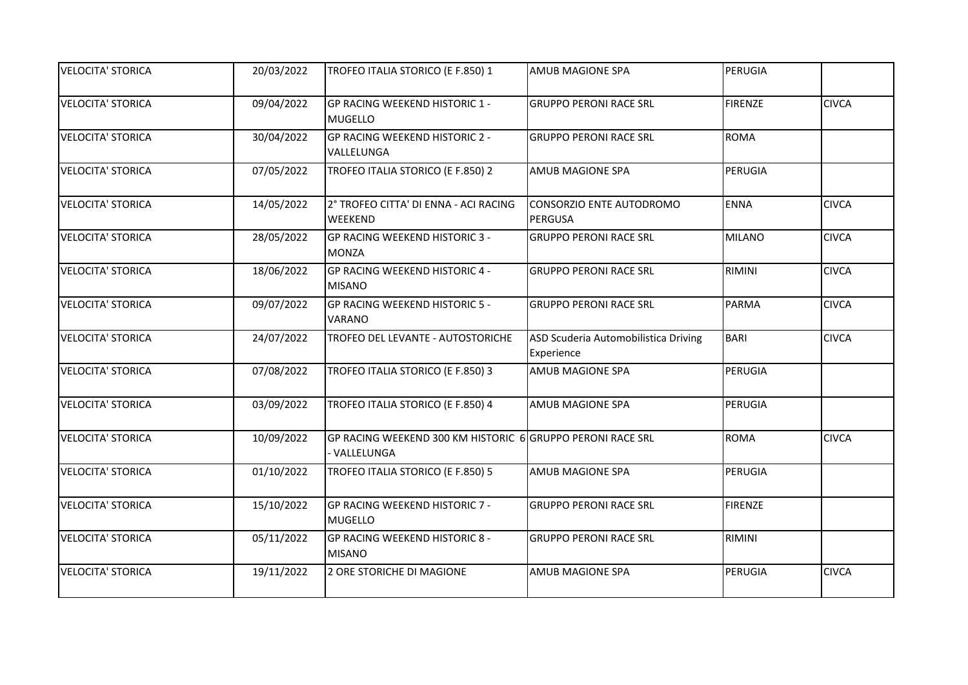| <b>VELOCITA' STORICA</b> | 20/03/2022 | TROFEO ITALIA STORICO (E F.850) 1                                        | <b>AMUB MAGIONE SPA</b>                            | PERUGIA        |              |
|--------------------------|------------|--------------------------------------------------------------------------|----------------------------------------------------|----------------|--------------|
| <b>VELOCITA' STORICA</b> | 09/04/2022 | GP RACING WEEKEND HISTORIC 1 -<br><b>MUGELLO</b>                         | <b>GRUPPO PERONI RACE SRL</b>                      | <b>FIRENZE</b> | <b>CIVCA</b> |
| <b>VELOCITA' STORICA</b> | 30/04/2022 | GP RACING WEEKEND HISTORIC 2 -<br>VALLELUNGA                             | <b>GRUPPO PERONI RACE SRL</b>                      | ROMA           |              |
| <b>VELOCITA' STORICA</b> | 07/05/2022 | TROFEO ITALIA STORICO (E F.850) 2                                        | <b>AMUB MAGIONE SPA</b>                            | PERUGIA        |              |
| <b>VELOCITA' STORICA</b> | 14/05/2022 | 2° TROFEO CITTA' DI ENNA - ACI RACING<br>WEEKEND                         | CONSORZIO ENTE AUTODROMO<br>PERGUSA                | <b>ENNA</b>    | <b>CIVCA</b> |
| <b>VELOCITA' STORICA</b> | 28/05/2022 | <b>GP RACING WEEKEND HISTORIC 3 -</b><br><b>MONZA</b>                    | <b>GRUPPO PERONI RACE SRL</b>                      | MILANO         | <b>CIVCA</b> |
| <b>VELOCITA' STORICA</b> | 18/06/2022 | GP RACING WEEKEND HISTORIC 4 -<br><b>MISANO</b>                          | <b>GRUPPO PERONI RACE SRL</b>                      | RIMINI         | <b>CIVCA</b> |
| <b>VELOCITA' STORICA</b> | 09/07/2022 | <b>GP RACING WEEKEND HISTORIC 5 -</b><br>VARANO                          | <b>GRUPPO PERONI RACE SRL</b>                      | PARMA          | <b>CIVCA</b> |
| <b>VELOCITA' STORICA</b> | 24/07/2022 | TROFEO DEL LEVANTE - AUTOSTORICHE                                        | ASD Scuderia Automobilistica Driving<br>Experience | <b>BARI</b>    | <b>CIVCA</b> |
| <b>VELOCITA' STORICA</b> | 07/08/2022 | TROFEO ITALIA STORICO (E F.850) 3                                        | <b>AMUB MAGIONE SPA</b>                            | PERUGIA        |              |
| <b>VELOCITA' STORICA</b> | 03/09/2022 | TROFEO ITALIA STORICO (E F.850) 4                                        | <b>AMUB MAGIONE SPA</b>                            | PERUGIA        |              |
| <b>VELOCITA' STORICA</b> | 10/09/2022 | GP RACING WEEKEND 300 KM HISTORIC 6 GRUPPO PERONI RACE SRL<br>VALLELUNGA |                                                    | <b>ROMA</b>    | <b>CIVCA</b> |
| <b>VELOCITA' STORICA</b> | 01/10/2022 | TROFEO ITALIA STORICO (E F.850) 5                                        | <b>AMUB MAGIONE SPA</b>                            | PERUGIA        |              |
| <b>VELOCITA' STORICA</b> | 15/10/2022 | GP RACING WEEKEND HISTORIC 7 -<br><b>MUGELLO</b>                         | <b>GRUPPO PERONI RACE SRL</b>                      | <b>FIRENZE</b> |              |
| <b>VELOCITA' STORICA</b> | 05/11/2022 | GP RACING WEEKEND HISTORIC 8 -<br><b>MISANO</b>                          | <b>GRUPPO PERONI RACE SRL</b>                      | RIMINI         |              |
| <b>VELOCITA' STORICA</b> | 19/11/2022 | 2 ORE STORICHE DI MAGIONE                                                | <b>AMUB MAGIONE SPA</b>                            | PERUGIA        | <b>CIVCA</b> |